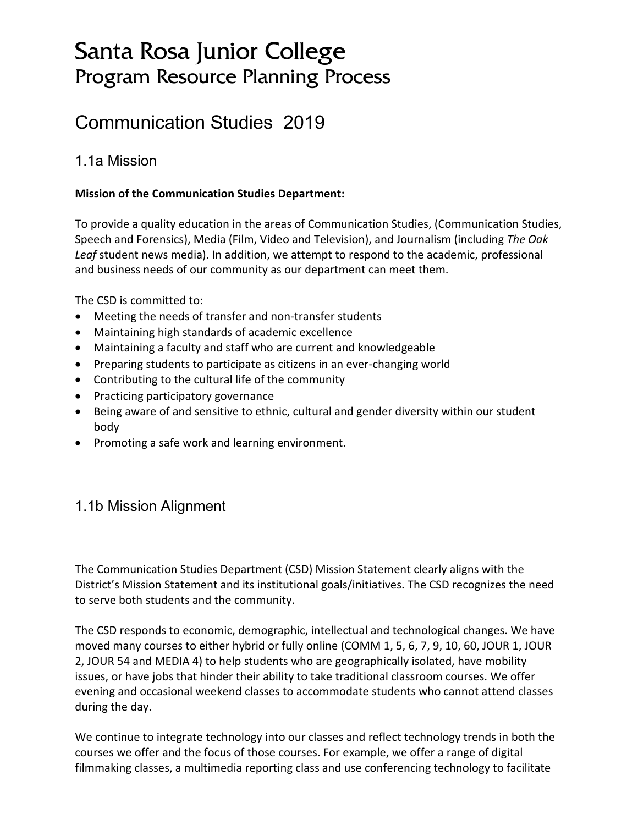# Santa Rosa Junior College Program Resource Planning Process

# Communication Studies 2019

## 1.1a Mission

### **Mission of the Communication Studies Department:**

To provide a quality education in the areas of Communication Studies, (Communication Studies, Speech and Forensics), Media (Film, Video and Television), and Journalism (including *The Oak Leaf* student news media). In addition, we attempt to respond to the academic, professional and business needs of our community as our department can meet them.

The CSD is committed to:

- Meeting the needs of transfer and non-transfer students
- Maintaining high standards of academic excellence
- Maintaining a faculty and staff who are current and knowledgeable
- Preparing students to participate as citizens in an ever-changing world
- Contributing to the cultural life of the community
- Practicing participatory governance
- Being aware of and sensitive to ethnic, cultural and gender diversity within our student body
- Promoting a safe work and learning environment.

## 1.1b Mission Alignment

The Communication Studies Department (CSD) Mission Statement clearly aligns with the District's Mission Statement and its institutional goals/initiatives. The CSD recognizes the need to serve both students and the community.

The CSD responds to economic, demographic, intellectual and technological changes. We have moved many courses to either hybrid or fully online (COMM 1, 5, 6, 7, 9, 10, 60, JOUR 1, JOUR 2, JOUR 54 and MEDIA 4) to help students who are geographically isolated, have mobility issues, or have jobs that hinder their ability to take traditional classroom courses. We offer evening and occasional weekend classes to accommodate students who cannot attend classes during the day.

We continue to integrate technology into our classes and reflect technology trends in both the courses we offer and the focus of those courses. For example, we offer a range of digital filmmaking classes, a multimedia reporting class and use conferencing technology to facilitate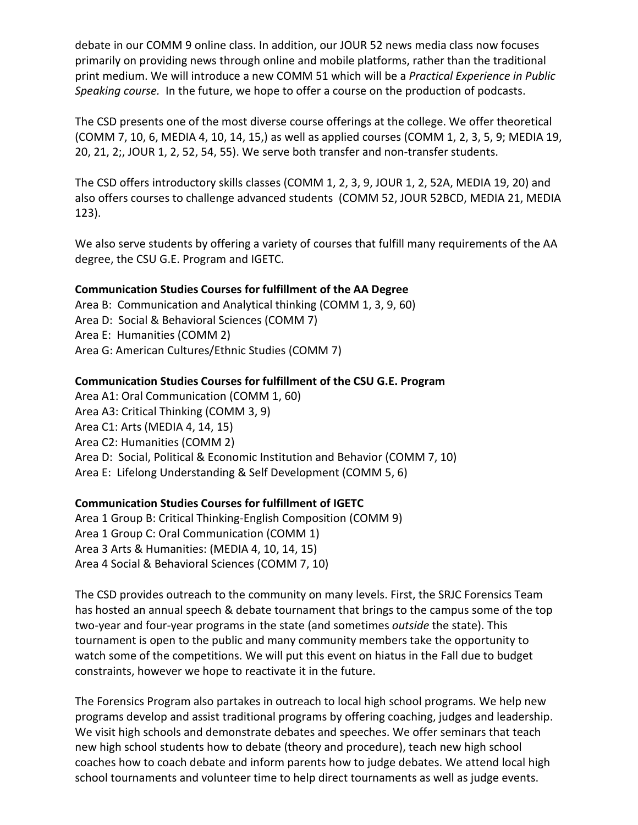debate in our COMM 9 online class. In addition, our JOUR 52 news media class now focuses primarily on providing news through online and mobile platforms, rather than the traditional print medium. We will introduce a new COMM 51 which will be a *Practical Experience in Public Speaking course.* In the future, we hope to offer a course on the production of podcasts.

The CSD presents one of the most diverse course offerings at the college. We offer theoretical (COMM 7, 10, 6, MEDIA 4, 10, 14, 15,) as well as applied courses (COMM 1, 2, 3, 5, 9; MEDIA 19, 20, 21, 2;, JOUR 1, 2, 52, 54, 55). We serve both transfer and non-transfer students.

The CSD offers introductory skills classes (COMM 1, 2, 3, 9, JOUR 1, 2, 52A, MEDIA 19, 20) and also offers courses to challenge advanced students (COMM 52, JOUR 52BCD, MEDIA 21, MEDIA 123).

We also serve students by offering a variety of courses that fulfill many requirements of the AA degree, the CSU G.E. Program and IGETC.

### **Communication Studies Courses for fulfillment of the AA Degree**

Area B: Communication and Analytical thinking (COMM 1, 3, 9, 60) Area D: Social & Behavioral Sciences (COMM 7) Area E: Humanities (COMM 2) Area G: American Cultures/Ethnic Studies (COMM 7)

#### **Communication Studies Courses for fulfillment of the CSU G.E. Program**

Area A1: Oral Communication (COMM 1, 60) Area A3: Critical Thinking (COMM 3, 9) Area C1: Arts (MEDIA 4, 14, 15) Area C2: Humanities (COMM 2) Area D: Social, Political & Economic Institution and Behavior (COMM 7, 10) Area E: Lifelong Understanding & Self Development (COMM 5, 6)

### **Communication Studies Courses for fulfillment of IGETC**

Area 1 Group B: Critical Thinking-English Composition (COMM 9) Area 1 Group C: Oral Communication (COMM 1) Area 3 Arts & Humanities: (MEDIA 4, 10, 14, 15) Area 4 Social & Behavioral Sciences (COMM 7, 10)

The CSD provides outreach to the community on many levels. First, the SRJC Forensics Team has hosted an annual speech & debate tournament that brings to the campus some of the top two-year and four-year programs in the state (and sometimes *outside* the state). This tournament is open to the public and many community members take the opportunity to watch some of the competitions. We will put this event on hiatus in the Fall due to budget constraints, however we hope to reactivate it in the future.

The Forensics Program also partakes in outreach to local high school programs. We help new programs develop and assist traditional programs by offering coaching, judges and leadership. We visit high schools and demonstrate debates and speeches. We offer seminars that teach new high school students how to debate (theory and procedure), teach new high school coaches how to coach debate and inform parents how to judge debates. We attend local high school tournaments and volunteer time to help direct tournaments as well as judge events.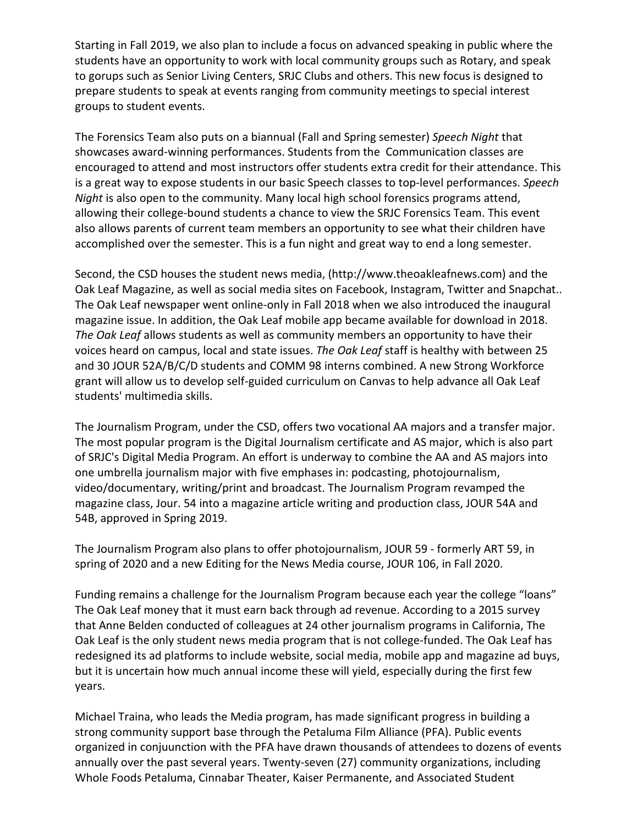Starting in Fall 2019, we also plan to include a focus on advanced speaking in public where the students have an opportunity to work with local community groups such as Rotary, and speak to gorups such as Senior Living Centers, SRJC Clubs and others. This new focus is designed to prepare students to speak at events ranging from community meetings to special interest groups to student events.

The Forensics Team also puts on a biannual (Fall and Spring semester) *Speech Night* that showcases award-winning performances. Students from the Communication classes are encouraged to attend and most instructors offer students extra credit for their attendance. This is a great way to expose students in our basic Speech classes to top-level performances. *Speech Night* is also open to the community. Many local high school forensics programs attend, allowing their college-bound students a chance to view the SRJC Forensics Team. This event also allows parents of current team members an opportunity to see what their children have accomplished over the semester. This is a fun night and great way to end a long semester.

Second, the CSD houses the student news media, (http://www.theoakleafnews.com) and the Oak Leaf Magazine, as well as social media sites on Facebook, Instagram, Twitter and Snapchat.. The Oak Leaf newspaper went online-only in Fall 2018 when we also introduced the inaugural magazine issue. In addition, the Oak Leaf mobile app became available for download in 2018. *The Oak Leaf* allows students as well as community members an opportunity to have their voices heard on campus, local and state issues. *The Oak Leaf* staff is healthy with between 25 and 30 JOUR 52A/B/C/D students and COMM 98 interns combined. A new Strong Workforce grant will allow us to develop self-guided curriculum on Canvas to help advance all Oak Leaf students' multimedia skills.

The Journalism Program, under the CSD, offers two vocational AA majors and a transfer major. The most popular program is the Digital Journalism certificate and AS major, which is also part of SRJC's Digital Media Program. An effort is underway to combine the AA and AS majors into one umbrella journalism major with five emphases in: podcasting, photojournalism, video/documentary, writing/print and broadcast. The Journalism Program revamped the magazine class, Jour. 54 into a magazine article writing and production class, JOUR 54A and 54B, approved in Spring 2019.

The Journalism Program also plans to offer photojournalism, JOUR 59 - formerly ART 59, in spring of 2020 and a new Editing for the News Media course, JOUR 106, in Fall 2020.

Funding remains a challenge for the Journalism Program because each year the college "loans" The Oak Leaf money that it must earn back through ad revenue. According to a 2015 survey that Anne Belden conducted of colleagues at 24 other journalism programs in California, The Oak Leaf is the only student news media program that is not college-funded. The Oak Leaf has redesigned its ad platforms to include website, social media, mobile app and magazine ad buys, but it is uncertain how much annual income these will yield, especially during the first few years.

Michael Traina, who leads the Media program, has made significant progress in building a strong community support base through the Petaluma Film Alliance (PFA). Public events organized in conjuunction with the PFA have drawn thousands of attendees to dozens of events annually over the past several years. Twenty-seven (27) community organizations, including Whole Foods Petaluma, Cinnabar Theater, Kaiser Permanente, and Associated Student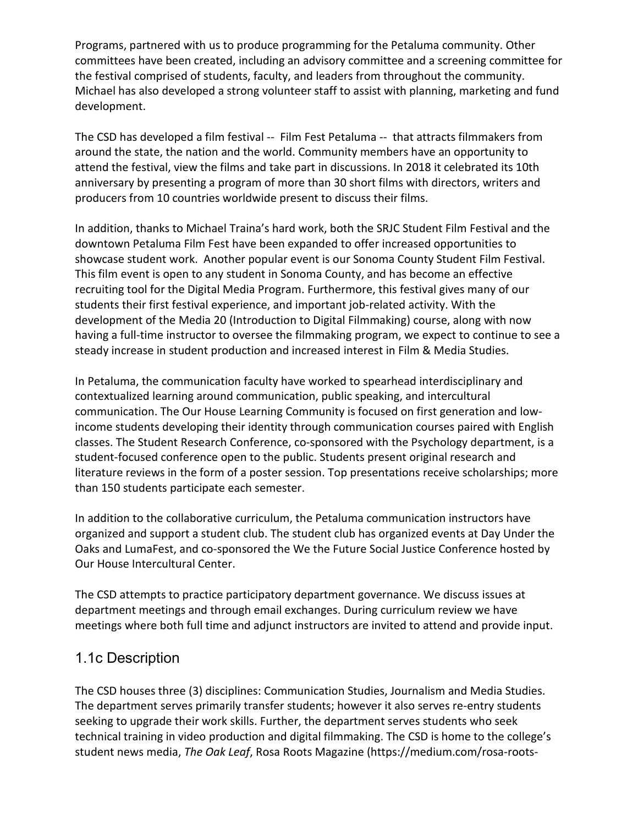Programs, partnered with us to produce programming for the Petaluma community. Other committees have been created, including an advisory committee and a screening committee for the festival comprised of students, faculty, and leaders from throughout the community. Michael has also developed a strong volunteer staff to assist with planning, marketing and fund development.

The CSD has developed a film festival -- Film Fest Petaluma -- that attracts filmmakers from around the state, the nation and the world. Community members have an opportunity to attend the festival, view the films and take part in discussions. In 2018 it celebrated its 10th anniversary by presenting a program of more than 30 short films with directors, writers and producers from 10 countries worldwide present to discuss their films.

In addition, thanks to Michael Traina's hard work, both the SRJC Student Film Festival and the downtown Petaluma Film Fest have been expanded to offer increased opportunities to showcase student work. Another popular event is our Sonoma County Student Film Festival. This film event is open to any student in Sonoma County, and has become an effective recruiting tool for the Digital Media Program. Furthermore, this festival gives many of our students their first festival experience, and important job-related activity. With the development of the Media 20 (Introduction to Digital Filmmaking) course, along with now having a full-time instructor to oversee the filmmaking program, we expect to continue to see a steady increase in student production and increased interest in Film & Media Studies.

In Petaluma, the communication faculty have worked to spearhead interdisciplinary and contextualized learning around communication, public speaking, and intercultural communication. The Our House Learning Community is focused on first generation and lowincome students developing their identity through communication courses paired with English classes. The Student Research Conference, co-sponsored with the Psychology department, is a student-focused conference open to the public. Students present original research and literature reviews in the form of a poster session. Top presentations receive scholarships; more than 150 students participate each semester.

In addition to the collaborative curriculum, the Petaluma communication instructors have organized and support a student club. The student club has organized events at Day Under the Oaks and LumaFest, and co-sponsored the We the Future Social Justice Conference hosted by Our House Intercultural Center.

The CSD attempts to practice participatory department governance. We discuss issues at department meetings and through email exchanges. During curriculum review we have meetings where both full time and adjunct instructors are invited to attend and provide input.

## 1.1c Description

The CSD houses three (3) disciplines: Communication Studies, Journalism and Media Studies. The department serves primarily transfer students; however it also serves re-entry students seeking to upgrade their work skills. Further, the department serves students who seek technical training in video production and digital filmmaking. The CSD is home to the college's student news media, *The Oak Leaf*, Rosa Roots Magazine (https://medium.com/rosa-roots-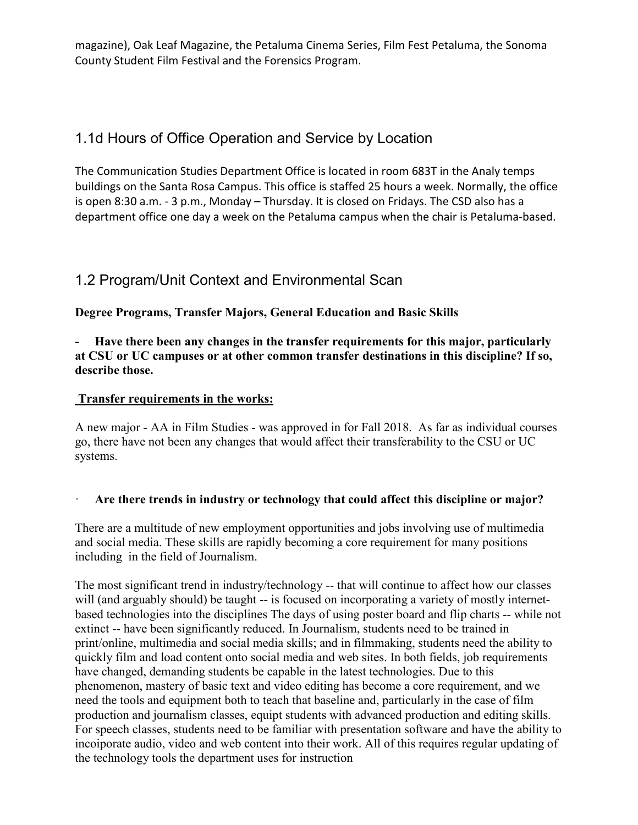magazine), Oak Leaf Magazine, the Petaluma Cinema Series, Film Fest Petaluma, the Sonoma County Student Film Festival and the Forensics Program.

## 1.1d Hours of Office Operation and Service by Location

The Communication Studies Department Office is located in room 683T in the Analy temps buildings on the Santa Rosa Campus. This office is staffed 25 hours a week. Normally, the office is open 8:30 a.m. - 3 p.m., Monday – Thursday. It is closed on Fridays. The CSD also has a department office one day a week on the Petaluma campus when the chair is Petaluma-based.

## 1.2 Program/Unit Context and Environmental Scan

**Degree Programs, Transfer Majors, General Education and Basic Skills**

Have there been any changes in the transfer requirements for this major, particularly **at CSU or UC campuses or at other common transfer destinations in this discipline? If so, describe those.** 

### **Transfer requirements in the works:**

A new major - AA in Film Studies - was approved in for Fall 2018. As far as individual courses go, there have not been any changes that would affect their transferability to the CSU or UC systems.

### · **Are there trends in industry or technology that could affect this discipline or major?**

There are a multitude of new employment opportunities and jobs involving use of multimedia and social media. These skills are rapidly becoming a core requirement for many positions including in the field of Journalism.

The most significant trend in industry/technology -- that will continue to affect how our classes will (and arguably should) be taught -- is focused on incorporating a variety of mostly internetbased technologies into the disciplines The days of using poster board and flip charts -- while not extinct -- have been significantly reduced. In Journalism, students need to be trained in print/online, multimedia and social media skills; and in filmmaking, students need the ability to quickly film and load content onto social media and web sites. In both fields, job requirements have changed, demanding students be capable in the latest technologies. Due to this phenomenon, mastery of basic text and video editing has become a core requirement, and we need the tools and equipment both to teach that baseline and, particularly in the case of film production and journalism classes, equipt students with advanced production and editing skills. For speech classes, students need to be familiar with presentation software and have the ability to incoiporate audio, video and web content into their work. All of this requires regular updating of the technology tools the department uses for instruction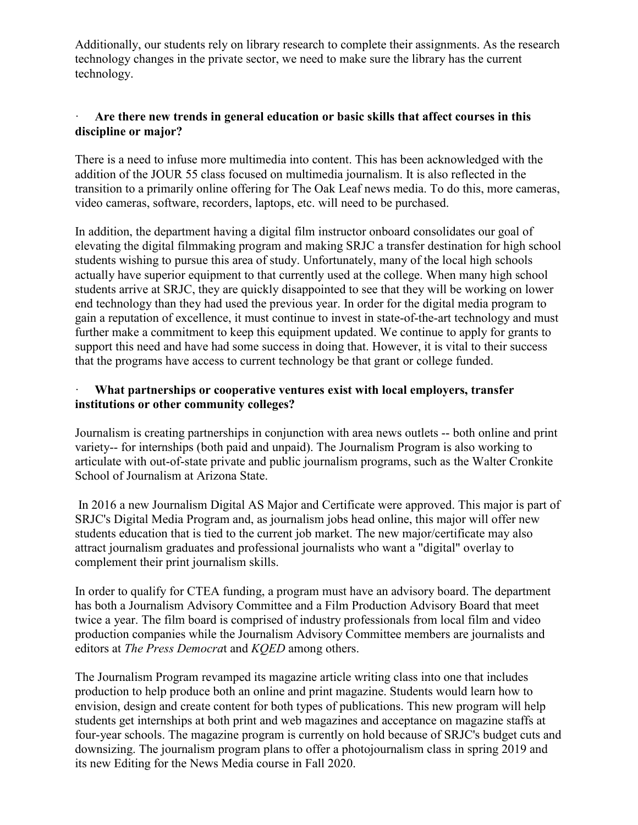Additionally, our students rely on library research to complete their assignments. As the research technology changes in the private sector, we need to make sure the library has the current technology.

#### Are there new trends in general education or basic skills that affect courses in this **discipline or major?**

There is a need to infuse more multimedia into content. This has been acknowledged with the addition of the JOUR 55 class focused on multimedia journalism. It is also reflected in the transition to a primarily online offering for The Oak Leaf news media. To do this, more cameras, video cameras, software, recorders, laptops, etc. will need to be purchased.

In addition, the department having a digital film instructor onboard consolidates our goal of elevating the digital filmmaking program and making SRJC a transfer destination for high school students wishing to pursue this area of study. Unfortunately, many of the local high schools actually have superior equipment to that currently used at the college. When many high school students arrive at SRJC, they are quickly disappointed to see that they will be working on lower end technology than they had used the previous year. In order for the digital media program to gain a reputation of excellence, it must continue to invest in state-of-the-art technology and must further make a commitment to keep this equipment updated. We continue to apply for grants to support this need and have had some success in doing that. However, it is vital to their success that the programs have access to current technology be that grant or college funded.

### · **What partnerships or cooperative ventures exist with local employers, transfer institutions or other community colleges?**

Journalism is creating partnerships in conjunction with area news outlets -- both online and print variety-- for internships (both paid and unpaid). The Journalism Program is also working to articulate with out-of-state private and public journalism programs, such as the Walter Cronkite School of Journalism at Arizona State.

In 2016 a new Journalism Digital AS Major and Certificate were approved. This major is part of SRJC's Digital Media Program and, as journalism jobs head online, this major will offer new students education that is tied to the current job market. The new major/certificate may also attract journalism graduates and professional journalists who want a "digital" overlay to complement their print journalism skills.

In order to qualify for CTEA funding, a program must have an advisory board. The department has both a Journalism Advisory Committee and a Film Production Advisory Board that meet twice a year. The film board is comprised of industry professionals from local film and video production companies while the Journalism Advisory Committee members are journalists and editors at *The Press Democra*t and *KQED* among others.

The Journalism Program revamped its magazine article writing class into one that includes production to help produce both an online and print magazine. Students would learn how to envision, design and create content for both types of publications. This new program will help students get internships at both print and web magazines and acceptance on magazine staffs at four-year schools. The magazine program is currently on hold because of SRJC's budget cuts and downsizing. The journalism program plans to offer a photojournalism class in spring 2019 and its new Editing for the News Media course in Fall 2020.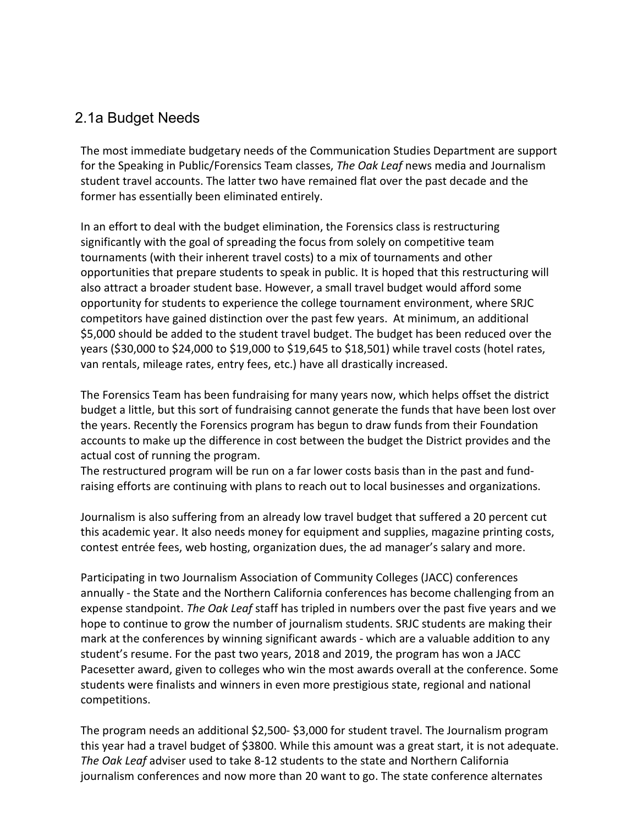### 2.1a Budget Needs

The most immediate budgetary needs of the Communication Studies Department are support for the Speaking in Public/Forensics Team classes, *The Oak Leaf* news media and Journalism student travel accounts. The latter two have remained flat over the past decade and the former has essentially been eliminated entirely.

In an effort to deal with the budget elimination, the Forensics class is restructuring significantly with the goal of spreading the focus from solely on competitive team tournaments (with their inherent travel costs) to a mix of tournaments and other opportunities that prepare students to speak in public. It is hoped that this restructuring will also attract a broader student base. However, a small travel budget would afford some opportunity for students to experience the college tournament environment, where SRJC competitors have gained distinction over the past few years. At minimum, an additional \$5,000 should be added to the student travel budget. The budget has been reduced over the years (\$30,000 to \$24,000 to \$19,000 to \$19,645 to \$18,501) while travel costs (hotel rates, van rentals, mileage rates, entry fees, etc.) have all drastically increased.

The Forensics Team has been fundraising for many years now, which helps offset the district budget a little, but this sort of fundraising cannot generate the funds that have been lost over the years. Recently the Forensics program has begun to draw funds from their Foundation accounts to make up the difference in cost between the budget the District provides and the actual cost of running the program.

The restructured program will be run on a far lower costs basis than in the past and fundraising efforts are continuing with plans to reach out to local businesses and organizations.

Journalism is also suffering from an already low travel budget that suffered a 20 percent cut this academic year. It also needs money for equipment and supplies, magazine printing costs, contest entrée fees, web hosting, organization dues, the ad manager's salary and more.

Participating in two Journalism Association of Community Colleges (JACC) conferences annually - the State and the Northern California conferences has become challenging from an expense standpoint. *The Oak Leaf* staff has tripled in numbers over the past five years and we hope to continue to grow the number of journalism students. SRJC students are making their mark at the conferences by winning significant awards - which are a valuable addition to any student's resume. For the past two years, 2018 and 2019, the program has won a JACC Pacesetter award, given to colleges who win the most awards overall at the conference. Some students were finalists and winners in even more prestigious state, regional and national competitions.

The program needs an additional \$2,500- \$3,000 for student travel. The Journalism program this year had a travel budget of \$3800. While this amount was a great start, it is not adequate. *The Oak Leaf* adviser used to take 8-12 students to the state and Northern California journalism conferences and now more than 20 want to go. The state conference alternates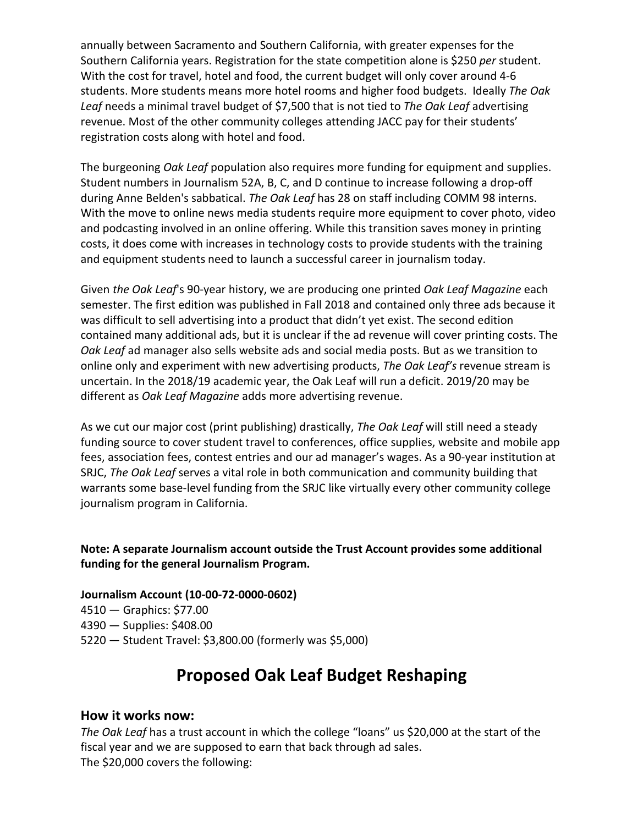annually between Sacramento and Southern California, with greater expenses for the Southern California years. Registration for the state competition alone is \$250 *per* student. With the cost for travel, hotel and food, the current budget will only cover around 4-6 students. More students means more hotel rooms and higher food budgets. Ideally *The Oak Leaf* needs a minimal travel budget of \$7,500 that is not tied to *The Oak Leaf* advertising revenue. Most of the other community colleges attending JACC pay for their students' registration costs along with hotel and food.

The burgeoning *Oak Leaf* population also requires more funding for equipment and supplies. Student numbers in Journalism 52A, B, C, and D continue to increase following a drop-off during Anne Belden's sabbatical. *The Oak Leaf* has 28 on staff including COMM 98 interns. With the move to online news media students require more equipment to cover photo, video and podcasting involved in an online offering. While this transition saves money in printing costs, it does come with increases in technology costs to provide students with the training and equipment students need to launch a successful career in journalism today.

Given *the Oak Leaf*'s 90-year history, we are producing one printed *Oak Leaf Magazine* each semester. The first edition was published in Fall 2018 and contained only three ads because it was difficult to sell advertising into a product that didn't yet exist. The second edition contained many additional ads, but it is unclear if the ad revenue will cover printing costs. The *Oak Leaf* ad manager also sells website ads and social media posts. But as we transition to online only and experiment with new advertising products, *The Oak Leaf's* revenue stream is uncertain. In the 2018/19 academic year, the Oak Leaf will run a deficit. 2019/20 may be different as *Oak Leaf Magazine* adds more advertising revenue.

As we cut our major cost (print publishing) drastically, *The Oak Leaf* will still need a steady funding source to cover student travel to conferences, office supplies, website and mobile app fees, association fees, contest entries and our ad manager's wages. As a 90-year institution at SRJC, *The Oak Leaf* serves a vital role in both communication and community building that warrants some base-level funding from the SRJC like virtually every other community college journalism program in California.

**Note: A separate Journalism account outside the Trust Account provides some additional funding for the general Journalism Program.**

#### **Journalism Account (10-00-72-0000-0602)**

4510 — Graphics: \$77.00 4390 — Supplies: \$408.00 5220 — Student Travel: \$3,800.00 (formerly was \$5,000)

# **Proposed Oak Leaf Budget Reshaping**

#### **How it works now:**

*The Oak Leaf* has a trust account in which the college "loans" us \$20,000 at the start of the fiscal year and we are supposed to earn that back through ad sales. The \$20,000 covers the following: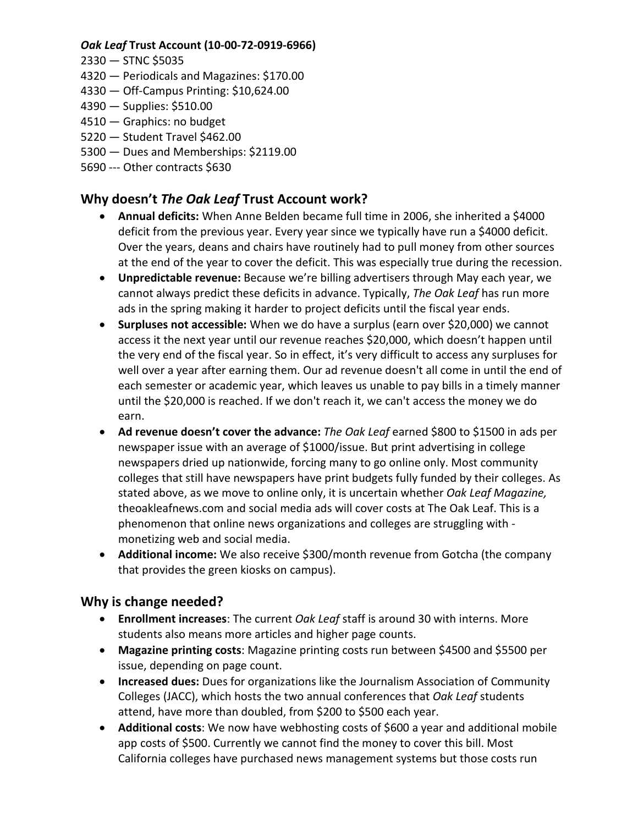### *Oak Leaf* **Trust Account (10-00-72-0919-6966)**

- 2330 STNC \$5035
- 4320 Periodicals and Magazines: \$170.00
- 4330 Off-Campus Printing: \$10,624.00
- 4390 Supplies: \$510.00
- 4510 Graphics: no budget
- 5220 Student Travel \$462.00
- 5300 Dues and Memberships: \$2119.00
- 5690 --- Other contracts \$630

### **Why doesn't** *The Oak Leaf* **Trust Account work?**

- **Annual deficits:** When Anne Belden became full time in 2006, she inherited a \$4000 deficit from the previous year. Every year since we typically have run a \$4000 deficit. Over the years, deans and chairs have routinely had to pull money from other sources at the end of the year to cover the deficit. This was especially true during the recession.
- **Unpredictable revenue:** Because we're billing advertisers through May each year, we cannot always predict these deficits in advance. Typically, *The Oak Leaf* has run more ads in the spring making it harder to project deficits until the fiscal year ends.
- **Surpluses not accessible:** When we do have a surplus (earn over \$20,000) we cannot access it the next year until our revenue reaches \$20,000, which doesn't happen until the very end of the fiscal year. So in effect, it's very difficult to access any surpluses for well over a year after earning them. Our ad revenue doesn't all come in until the end of each semester or academic year, which leaves us unable to pay bills in a timely manner until the \$20,000 is reached. If we don't reach it, we can't access the money we do earn.
- **Ad revenue doesn't cover the advance:** *The Oak Leaf* earned \$800 to \$1500 in ads per newspaper issue with an average of \$1000/issue. But print advertising in college newspapers dried up nationwide, forcing many to go online only. Most community colleges that still have newspapers have print budgets fully funded by their colleges. As stated above, as we move to online only, it is uncertain whether *Oak Leaf Magazine,*  theoakleafnews.com and social media ads will cover costs at The Oak Leaf. This is a phenomenon that online news organizations and colleges are struggling with monetizing web and social media.
- **Additional income:** We also receive \$300/month revenue from Gotcha (the company that provides the green kiosks on campus).

### **Why is change needed?**

- **Enrollment increases**: The current *Oak Leaf* staff is around 30 with interns. More students also means more articles and higher page counts.
- **Magazine printing costs**: Magazine printing costs run between \$4500 and \$5500 per issue, depending on page count.
- **Increased dues:** Dues for organizations like the Journalism Association of Community Colleges (JACC), which hosts the two annual conferences that *Oak Leaf* students attend, have more than doubled, from \$200 to \$500 each year.
- **Additional costs**: We now have webhosting costs of \$600 a year and additional mobile app costs of \$500. Currently we cannot find the money to cover this bill. Most California colleges have purchased news management systems but those costs run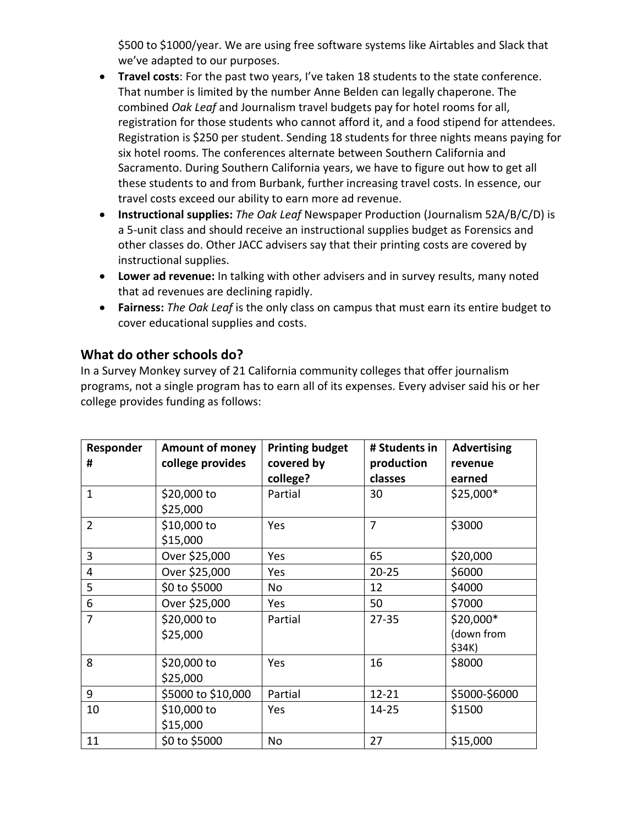\$500 to \$1000/year. We are using free software systems like Airtables and Slack that we've adapted to our purposes.

- **Travel costs**: For the past two years, I've taken 18 students to the state conference. That number is limited by the number Anne Belden can legally chaperone. The combined *Oak Leaf* and Journalism travel budgets pay for hotel rooms for all, registration for those students who cannot afford it, and a food stipend for attendees. Registration is \$250 per student. Sending 18 students for three nights means paying for six hotel rooms. The conferences alternate between Southern California and Sacramento. During Southern California years, we have to figure out how to get all these students to and from Burbank, further increasing travel costs. In essence, our travel costs exceed our ability to earn more ad revenue.
- **Instructional supplies:** *The Oak Leaf* Newspaper Production (Journalism 52A/B/C/D) is a 5-unit class and should receive an instructional supplies budget as Forensics and other classes do. Other JACC advisers say that their printing costs are covered by instructional supplies.
- **Lower ad revenue:** In talking with other advisers and in survey results, many noted that ad revenues are declining rapidly.
- **Fairness:** *The Oak Leaf* is the only class on campus that must earn its entire budget to cover educational supplies and costs.

### **What do other schools do?**

In a Survey Monkey survey of 21 California community colleges that offer journalism programs, not a single program has to earn all of its expenses. Every adviser said his or her college provides funding as follows:

| Responder<br># | <b>Amount of money</b><br>college provides | <b>Printing budget</b><br>covered by<br>college? | # Students in<br>production<br>classes | <b>Advertising</b><br>revenue<br>earned |
|----------------|--------------------------------------------|--------------------------------------------------|----------------------------------------|-----------------------------------------|
| $\mathbf{1}$   | \$20,000 to<br>\$25,000                    | Partial                                          | 30                                     | $$25,000*$                              |
| $\overline{2}$ | \$10,000 to<br>\$15,000                    | Yes                                              | $\overline{7}$                         | \$3000                                  |
| 3              | Over \$25,000                              | Yes                                              | 65                                     | \$20,000                                |
| 4              | Over \$25,000                              | Yes                                              | $20 - 25$                              | \$6000                                  |
| 5              | \$0 to \$5000                              | No                                               | 12                                     | \$4000                                  |
| 6              | Over \$25,000                              | Yes                                              | 50                                     | \$7000                                  |
| 7              | \$20,000 to<br>\$25,000                    | Partial                                          | $27 - 35$                              | \$20,000*<br>(down from<br>\$34K)       |
| 8              | \$20,000 to<br>\$25,000                    | Yes                                              | 16                                     | \$8000                                  |
| 9              | \$5000 to \$10,000                         | Partial                                          | $12 - 21$                              | \$5000-\$6000                           |
| 10             | \$10,000 to<br>\$15,000                    | Yes                                              | $14 - 25$                              | \$1500                                  |
| 11             | \$0 to \$5000                              | No                                               | 27                                     | \$15,000                                |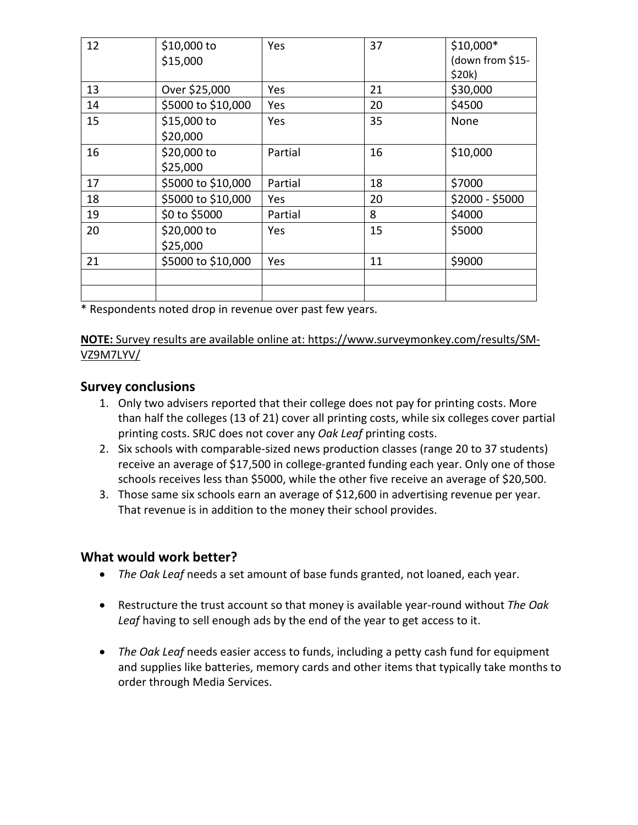| 12 | $$10,000$ to       | Yes     | 37 | $$10,000*$       |
|----|--------------------|---------|----|------------------|
|    | \$15,000           |         |    | (down from \$15- |
|    |                    |         |    | \$20k)           |
| 13 | Over \$25,000      | Yes     | 21 | \$30,000         |
| 14 | \$5000 to \$10,000 | Yes     | 20 | \$4500           |
| 15 | \$15,000 to        | Yes     | 35 | None             |
|    | \$20,000           |         |    |                  |
| 16 | \$20,000 to        | Partial | 16 | \$10,000         |
|    | \$25,000           |         |    |                  |
| 17 | \$5000 to \$10,000 | Partial | 18 | \$7000           |
| 18 | \$5000 to \$10,000 | Yes     | 20 | \$2000 - \$5000  |
| 19 | \$0 to \$5000      | Partial | 8  | \$4000           |
| 20 | \$20,000 to        | Yes     | 15 | \$5000           |
|    | \$25,000           |         |    |                  |
| 21 | \$5000 to \$10,000 | Yes     | 11 | \$9000           |
|    |                    |         |    |                  |
|    |                    |         |    |                  |

\* Respondents noted drop in revenue over past few years.

#### **NOTE:** Survey results are available online at: https://www.surveymonkey.com/results/SM-VZ9M7LYV/

### **Survey conclusions**

- 1. Only two advisers reported that their college does not pay for printing costs. More than half the colleges (13 of 21) cover all printing costs, while six colleges cover partial printing costs. SRJC does not cover any *Oak Leaf* printing costs.
- 2. Six schools with comparable-sized news production classes (range 20 to 37 students) receive an average of \$17,500 in college-granted funding each year. Only one of those schools receives less than \$5000, while the other five receive an average of \$20,500.
- 3. Those same six schools earn an average of \$12,600 in advertising revenue per year. That revenue is in addition to the money their school provides.

### **What would work better?**

- *The Oak Leaf* needs a set amount of base funds granted, not loaned, each year.
- Restructure the trust account so that money is available year-round without *The Oak Leaf* having to sell enough ads by the end of the year to get access to it.
- *The Oak Leaf* needs easier access to funds, including a petty cash fund for equipment and supplies like batteries, memory cards and other items that typically take months to order through Media Services.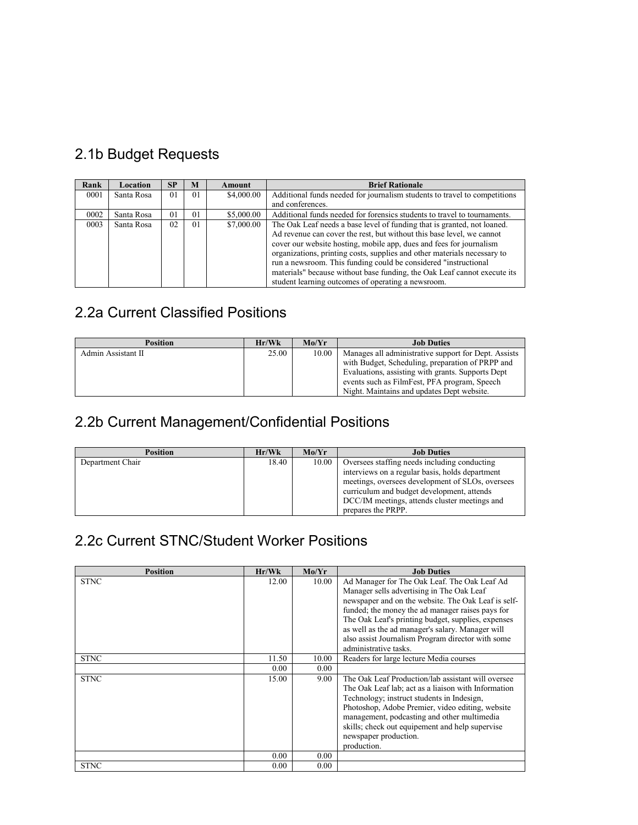# 2.1b Budget Requests

| Rank | Location   | <b>SP</b>      | M              | Amount     | <b>Brief Rationale</b>                                                    |
|------|------------|----------------|----------------|------------|---------------------------------------------------------------------------|
| 0001 | Santa Rosa | 0 <sub>1</sub> | 01             | \$4,000.00 | Additional funds needed for journalism students to travel to competitions |
|      |            |                |                |            | and conferences.                                                          |
| 0002 | Santa Rosa | 0 <sub>1</sub> | 0 <sub>1</sub> | \$5,000.00 | Additional funds needed for forensics students to travel to tournaments.  |
| 0003 | Santa Rosa | 02             | 0 <sub>1</sub> | \$7,000.00 | The Oak Leaf needs a base level of funding that is granted, not loaned.   |
|      |            |                |                |            | Ad revenue can cover the rest, but without this base level, we cannot     |
|      |            |                |                |            | cover our website hosting, mobile app, dues and fees for journalism       |
|      |            |                |                |            | organizations, printing costs, supplies and other materials necessary to  |
|      |            |                |                |            | run a newsroom. This funding could be considered "instructional           |
|      |            |                |                |            | materials" because without base funding, the Oak Leaf cannot execute its  |
|      |            |                |                |            | student learning outcomes of operating a newsroom.                        |

# 2.2a Current Classified Positions

| <b>Position</b>    | Hr/Wk | Mo/Yr | <b>Job Duties</b>                                    |
|--------------------|-------|-------|------------------------------------------------------|
| Admin Assistant II | 25.00 | 10.00 | Manages all administrative support for Dept. Assists |
|                    |       |       | with Budget, Scheduling, preparation of PRPP and     |
|                    |       |       | Evaluations, assisting with grants. Supports Dept    |
|                    |       |       | events such as FilmFest, PFA program, Speech         |
|                    |       |       | Night. Maintains and updates Dept website.           |

# 2.2b Current Management/Confidential Positions

| <b>Position</b>  | Hr/Wk | Mo/Yr | <b>Job Duties</b>                                |
|------------------|-------|-------|--------------------------------------------------|
| Department Chair | 18.40 | 10.00 | Oversees staffing needs including conducting     |
|                  |       |       | interviews on a regular basis, holds department  |
|                  |       |       | meetings, oversees development of SLOs, oversees |
|                  |       |       | curriculum and budget development, attends       |
|                  |       |       | DCC/IM meetings, attends cluster meetings and    |
|                  |       |       | prepares the PRPP.                               |

# 2.2c Current STNC/Student Worker Positions

| <b>Position</b> | Hr/Wk | Mo/Yr | <b>Job Duties</b>                                   |
|-----------------|-------|-------|-----------------------------------------------------|
| <b>STNC</b>     | 12.00 | 10.00 | Ad Manager for The Oak Leaf. The Oak Leaf Ad        |
|                 |       |       | Manager sells advertising in The Oak Leaf           |
|                 |       |       | newspaper and on the website. The Oak Leaf is self- |
|                 |       |       | funded; the money the ad manager raises pays for    |
|                 |       |       | The Oak Leaf's printing budget, supplies, expenses  |
|                 |       |       | as well as the ad manager's salary. Manager will    |
|                 |       |       | also assist Journalism Program director with some   |
|                 |       |       | administrative tasks.                               |
| <b>STNC</b>     | 11.50 | 10.00 | Readers for large lecture Media courses             |
|                 | 0.00  | 0.00  |                                                     |
| <b>STNC</b>     | 15.00 | 9.00  | The Oak Leaf Production/lab assistant will oversee  |
|                 |       |       | The Oak Leaf lab; act as a liaison with Information |
|                 |       |       | Technology; instruct students in Indesign,          |
|                 |       |       | Photoshop, Adobe Premier, video editing, website    |
|                 |       |       | management, podcasting and other multimedia         |
|                 |       |       | skills; check out equipement and help supervise     |
|                 |       |       | newspaper production.                               |
|                 |       |       | production.                                         |
|                 | 0.00  | 0.00  |                                                     |
| <b>STNC</b>     | 0.00  | 0.00  |                                                     |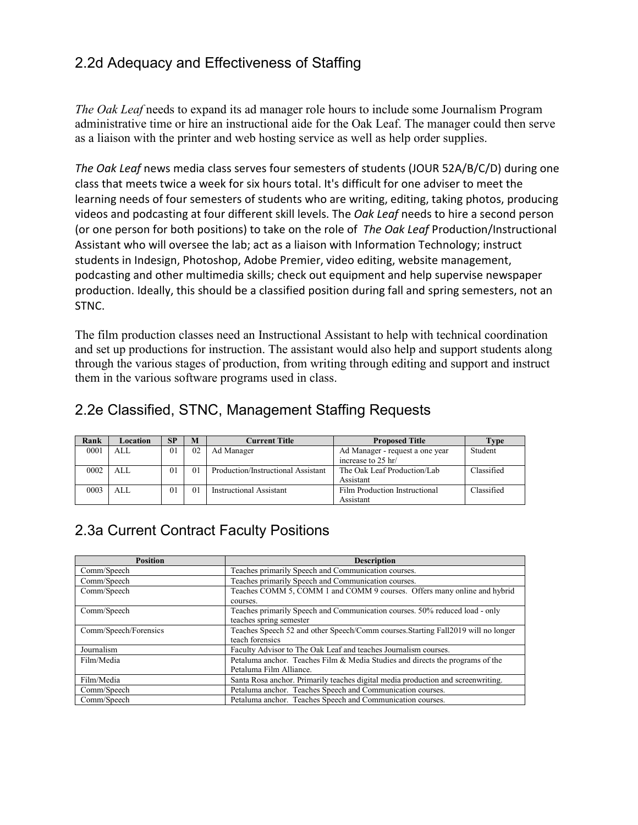## 2.2d Adequacy and Effectiveness of Staffing

*The Oak Leaf* needs to expand its ad manager role hours to include some Journalism Program administrative time or hire an instructional aide for the Oak Leaf. The manager could then serve as a liaison with the printer and web hosting service as well as help order supplies.

*The Oak Leaf* news media class serves four semesters of students (JOUR 52A/B/C/D) during one class that meets twice a week for six hours total. It's difficult for one adviser to meet the learning needs of four semesters of students who are writing, editing, taking photos, producing videos and podcasting at four different skill levels. The *Oak Leaf* needs to hire a second person (or one person for both positions) to take on the role of *The Oak Leaf* Production/Instructional Assistant who will oversee the lab; act as a liaison with Information Technology; instruct students in Indesign, Photoshop, Adobe Premier, video editing, website management, podcasting and other multimedia skills; check out equipment and help supervise newspaper production. Ideally, this should be a classified position during fall and spring semesters, not an STNC.

The film production classes need an Instructional Assistant to help with technical coordination and set up productions for instruction. The assistant would also help and support students along through the various stages of production, from writing through editing and support and instruct them in the various software programs used in class.

| Rank | Location | SP             | M              | <b>Current Title</b>               | <b>Proposed Title</b>           | <b>Type</b> |
|------|----------|----------------|----------------|------------------------------------|---------------------------------|-------------|
| 0001 | AI.      | 0 <sub>1</sub> | 0 <sub>2</sub> | Ad Manager                         | Ad Manager - request a one year | Student     |
|      |          |                |                |                                    | increase to 25 hr/              |             |
| 0002 | AI.      | 0 <sub>1</sub> | 01             | Production/Instructional Assistant | The Oak Leaf Production/Lab     | Classified  |
|      |          |                |                |                                    | Assistant                       |             |
| 0003 | AI.      | 0 <sub>1</sub> | 01             | Instructional Assistant            | Film Production Instructional   | Classified  |
|      |          |                |                |                                    | Assistant                       |             |

## 2.2e Classified, STNC, Management Staffing Requests

## 2.3a Current Contract Faculty Positions

| <b>Position</b>       | <b>Description</b>                                                                 |
|-----------------------|------------------------------------------------------------------------------------|
| Comm/Speech           | Teaches primarily Speech and Communication courses.                                |
| Comm/Speech           | Teaches primarily Speech and Communication courses.                                |
| Comm/Speech           | Teaches COMM 5, COMM 1 and COMM 9 courses. Offers many online and hybrid           |
|                       | courses.                                                                           |
| Comm/Speech           | Teaches primarily Speech and Communication courses. 50% reduced load - only        |
|                       | teaches spring semester                                                            |
| Comm/Speech/Forensics | Teaches Speech 52 and other Speech/Comm courses. Starting Fall 2019 will no longer |
|                       | teach forensics                                                                    |
| Journalism            | Faculty Advisor to The Oak Leaf and teaches Journalism courses.                    |
| Film/Media            | Petaluma anchor. Teaches Film & Media Studies and directs the programs of the      |
|                       | Petaluma Film Alliance.                                                            |
| Film/Media            | Santa Rosa anchor. Primarily teaches digital media production and screenwriting.   |
| Comm/Speech           | Petaluma anchor. Teaches Speech and Communication courses.                         |
| Comm/Speech           | Petaluma anchor. Teaches Speech and Communication courses.                         |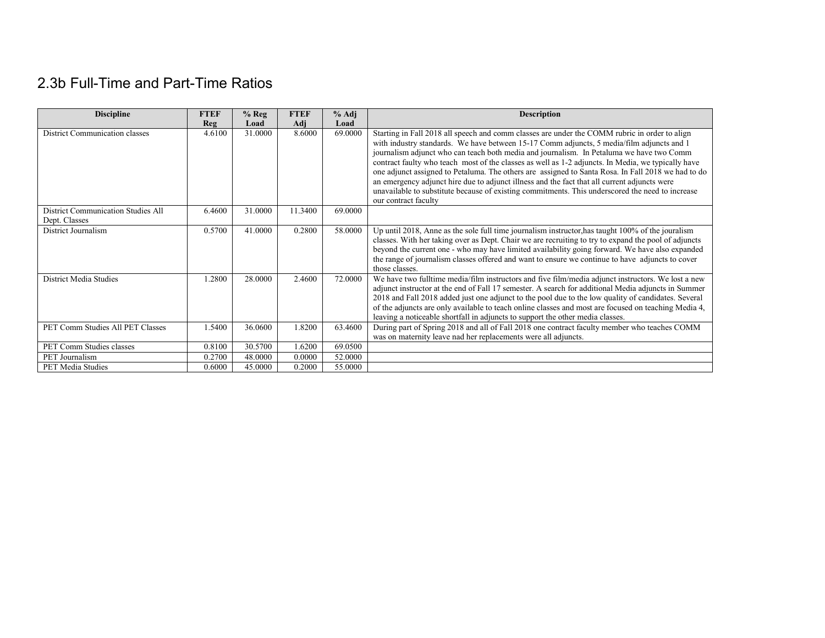# 2.3b Full-Time and Part-Time Ratios

| <b>Discipline</b>                                   | <b>FTEF</b> | $%$ Reg | <b>FTEF</b> | % Adj   | <b>Description</b>                                                                                                                                                                                                                                                                                                                                                                                                                                                                                                                                                                                                                                                                                                             |
|-----------------------------------------------------|-------------|---------|-------------|---------|--------------------------------------------------------------------------------------------------------------------------------------------------------------------------------------------------------------------------------------------------------------------------------------------------------------------------------------------------------------------------------------------------------------------------------------------------------------------------------------------------------------------------------------------------------------------------------------------------------------------------------------------------------------------------------------------------------------------------------|
|                                                     | <b>Reg</b>  | Load    | Adj         | Load    |                                                                                                                                                                                                                                                                                                                                                                                                                                                                                                                                                                                                                                                                                                                                |
| District Communication classes                      | 4.6100      | 31.0000 | 8.6000      | 69.0000 | Starting in Fall 2018 all speech and comm classes are under the COMM rubric in order to align<br>with industry standards. We have between 15-17 Comm adjuncts, 5 media/film adjuncts and 1<br>journalism adjunct who can teach both media and journalism. In Petaluma we have two Comm<br>contract faulty who teach most of the classes as well as 1-2 adjuncts. In Media, we typically have<br>one adjunct assigned to Petaluma. The others are assigned to Santa Rosa. In Fall 2018 we had to do<br>an emergency adjunct hire due to adjunct illness and the fact that all current adjuncts were<br>unavailable to substitute because of existing commitments. This underscored the need to increase<br>our contract faculty |
| District Communication Studies All<br>Dept. Classes | 6.4600      | 31.0000 | 11.3400     | 69,0000 |                                                                                                                                                                                                                                                                                                                                                                                                                                                                                                                                                                                                                                                                                                                                |
| District Journalism                                 | 0.5700      | 41,0000 | 0.2800      | 58,0000 | Up until 2018, Anne as the sole full time journalism instructor, has taught 100% of the journalism<br>classes. With her taking over as Dept. Chair we are recruiting to try to expand the pool of adjuncts<br>beyond the current one - who may have limited availability going forward. We have also expanded<br>the range of journalism classes offered and want to ensure we continue to have adjuncts to cover<br>those classes.                                                                                                                                                                                                                                                                                            |
| District Media Studies                              | 1.2800      | 28,0000 | 2.4600      | 72.0000 | We have two fulltime media/film instructors and five film/media adjunct instructors. We lost a new<br>adjunct instructor at the end of Fall 17 semester. A search for additional Media adjuncts in Summer<br>2018 and Fall 2018 added just one adjunct to the pool due to the low quality of candidates. Several<br>of the adjuncts are only available to teach online classes and most are focused on teaching Media 4,<br>leaving a noticeable shortfall in adjuncts to support the other media classes.                                                                                                                                                                                                                     |
| PET Comm Studies All PET Classes                    | 1.5400      | 36.0600 | 1.8200      | 63.4600 | During part of Spring 2018 and all of Fall 2018 one contract faculty member who teaches COMM<br>was on maternity leave nad her replacements were all adjuncts.                                                                                                                                                                                                                                                                                                                                                                                                                                                                                                                                                                 |
| PET Comm Studies classes                            | 0.8100      | 30.5700 | 1.6200      | 69.0500 |                                                                                                                                                                                                                                                                                                                                                                                                                                                                                                                                                                                                                                                                                                                                |
| PET Journalism                                      | 0.2700      | 48.0000 | 0.0000      | 52.0000 |                                                                                                                                                                                                                                                                                                                                                                                                                                                                                                                                                                                                                                                                                                                                |
| <b>PET Media Studies</b>                            | 0.6000      | 45.0000 | 0.2000      | 55.0000 |                                                                                                                                                                                                                                                                                                                                                                                                                                                                                                                                                                                                                                                                                                                                |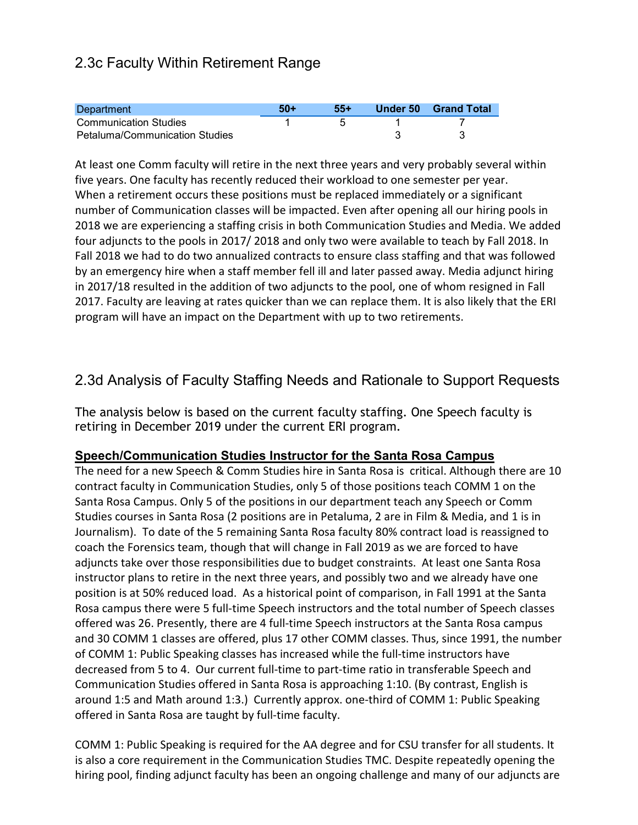## 2.3c Faculty Within Retirement Range

| Department                            | $50+$ | 55+ | Under 50 | <b>Grand Total</b> |
|---------------------------------------|-------|-----|----------|--------------------|
| <b>Communication Studies</b>          |       |     |          |                    |
| <b>Petaluma/Communication Studies</b> |       |     |          |                    |

At least one Comm faculty will retire in the next three years and very probably several within five years. One faculty has recently reduced their workload to one semester per year. When a retirement occurs these positions must be replaced immediately or a significant number of Communication classes will be impacted. Even after opening all our hiring pools in 2018 we are experiencing a staffing crisis in both Communication Studies and Media. We added four adjuncts to the pools in 2017/ 2018 and only two were available to teach by Fall 2018. In Fall 2018 we had to do two annualized contracts to ensure class staffing and that was followed by an emergency hire when a staff member fell ill and later passed away. Media adjunct hiring in 2017/18 resulted in the addition of two adjuncts to the pool, one of whom resigned in Fall 2017. Faculty are leaving at rates quicker than we can replace them. It is also likely that the ERI program will have an impact on the Department with up to two retirements.

### 2.3d Analysis of Faculty Staffing Needs and Rationale to Support Requests

The analysis below is based on the current faculty staffing. One Speech faculty is retiring in December 2019 under the current ERI program.

### **Speech/Communication Studies Instructor for the Santa Rosa Campus**

The need for a new Speech & Comm Studies hire in Santa Rosa is critical. Although there are 10 contract faculty in Communication Studies, only 5 of those positions teach COMM 1 on the Santa Rosa Campus. Only 5 of the positions in our department teach any Speech or Comm Studies courses in Santa Rosa (2 positions are in Petaluma, 2 are in Film & Media, and 1 is in Journalism). To date of the 5 remaining Santa Rosa faculty 80% contract load is reassigned to coach the Forensics team, though that will change in Fall 2019 as we are forced to have adjuncts take over those responsibilities due to budget constraints. At least one Santa Rosa instructor plans to retire in the next three years, and possibly two and we already have one position is at 50% reduced load. As a historical point of comparison, in Fall 1991 at the Santa Rosa campus there were 5 full-time Speech instructors and the total number of Speech classes offered was 26. Presently, there are 4 full-time Speech instructors at the Santa Rosa campus and 30 COMM 1 classes are offered, plus 17 other COMM classes. Thus, since 1991, the number of COMM 1: Public Speaking classes has increased while the full-time instructors have decreased from 5 to 4. Our current full-time to part-time ratio in transferable Speech and Communication Studies offered in Santa Rosa is approaching 1:10. (By contrast, English is around 1:5 and Math around 1:3.) Currently approx. one-third of COMM 1: Public Speaking offered in Santa Rosa are taught by full-time faculty.

COMM 1: Public Speaking is required for the AA degree and for CSU transfer for all students. It is also a core requirement in the Communication Studies TMC. Despite repeatedly opening the hiring pool, finding adjunct faculty has been an ongoing challenge and many of our adjuncts are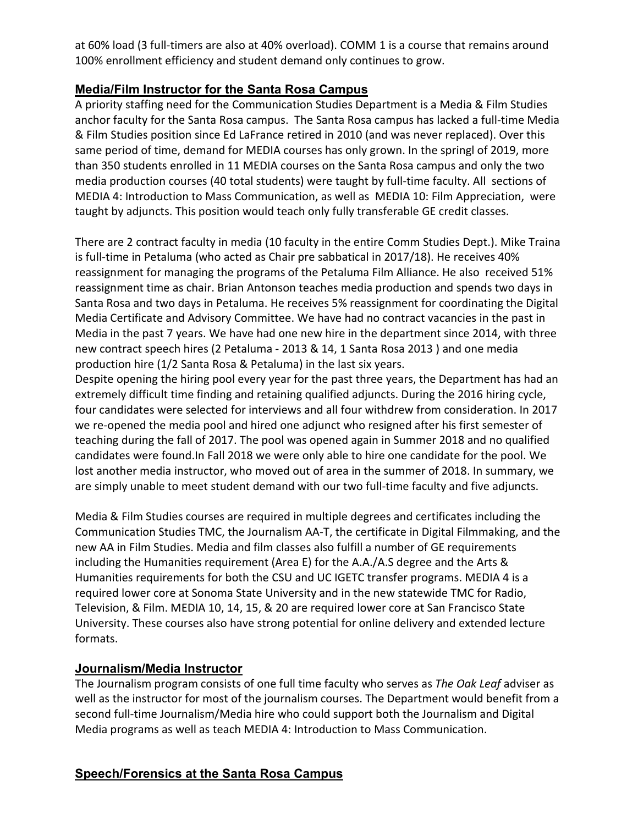at 60% load (3 full-timers are also at 40% overload). COMM 1 is a course that remains around 100% enrollment efficiency and student demand only continues to grow.

### **Media/Film Instructor for the Santa Rosa Campus**

A priority staffing need for the Communication Studies Department is a Media & Film Studies anchor faculty for the Santa Rosa campus. The Santa Rosa campus has lacked a full-time Media & Film Studies position since Ed LaFrance retired in 2010 (and was never replaced). Over this same period of time, demand for MEDIA courses has only grown. In the springl of 2019, more than 350 students enrolled in 11 MEDIA courses on the Santa Rosa campus and only the two media production courses (40 total students) were taught by full-time faculty. All sections of MEDIA 4: Introduction to Mass Communication, as well as MEDIA 10: Film Appreciation, were taught by adjuncts. This position would teach only fully transferable GE credit classes.

There are 2 contract faculty in media (10 faculty in the entire Comm Studies Dept.). Mike Traina is full-time in Petaluma (who acted as Chair pre sabbatical in 2017/18). He receives 40% reassignment for managing the programs of the Petaluma Film Alliance. He also received 51% reassignment time as chair. Brian Antonson teaches media production and spends two days in Santa Rosa and two days in Petaluma. He receives 5% reassignment for coordinating the Digital Media Certificate and Advisory Committee. We have had no contract vacancies in the past in Media in the past 7 years. We have had one new hire in the department since 2014, with three new contract speech hires (2 Petaluma - 2013 & 14, 1 Santa Rosa 2013 ) and one media production hire (1/2 Santa Rosa & Petaluma) in the last six years.

Despite opening the hiring pool every year for the past three years, the Department has had an extremely difficult time finding and retaining qualified adjuncts. During the 2016 hiring cycle, four candidates were selected for interviews and all four withdrew from consideration. In 2017 we re-opened the media pool and hired one adjunct who resigned after his first semester of teaching during the fall of 2017. The pool was opened again in Summer 2018 and no qualified candidates were found.In Fall 2018 we were only able to hire one candidate for the pool. We lost another media instructor, who moved out of area in the summer of 2018. In summary, we are simply unable to meet student demand with our two full-time faculty and five adjuncts.

Media & Film Studies courses are required in multiple degrees and certificates including the Communication Studies TMC, the Journalism AA-T, the certificate in Digital Filmmaking, and the new AA in Film Studies. Media and film classes also fulfill a number of GE requirements including the Humanities requirement (Area E) for the A.A./A.S degree and the Arts & Humanities requirements for both the CSU and UC IGETC transfer programs. MEDIA 4 is a required lower core at Sonoma State University and in the new statewide TMC for Radio, Television, & Film. MEDIA 10, 14, 15, & 20 are required lower core at San Francisco State University. These courses also have strong potential for online delivery and extended lecture formats.

### **Journalism/Media Instructor**

The Journalism program consists of one full time faculty who serves as *The Oak Leaf* adviser as well as the instructor for most of the journalism courses. The Department would benefit from a second full-time Journalism/Media hire who could support both the Journalism and Digital Media programs as well as teach MEDIA 4: Introduction to Mass Communication.

### **Speech/Forensics at the Santa Rosa Campus**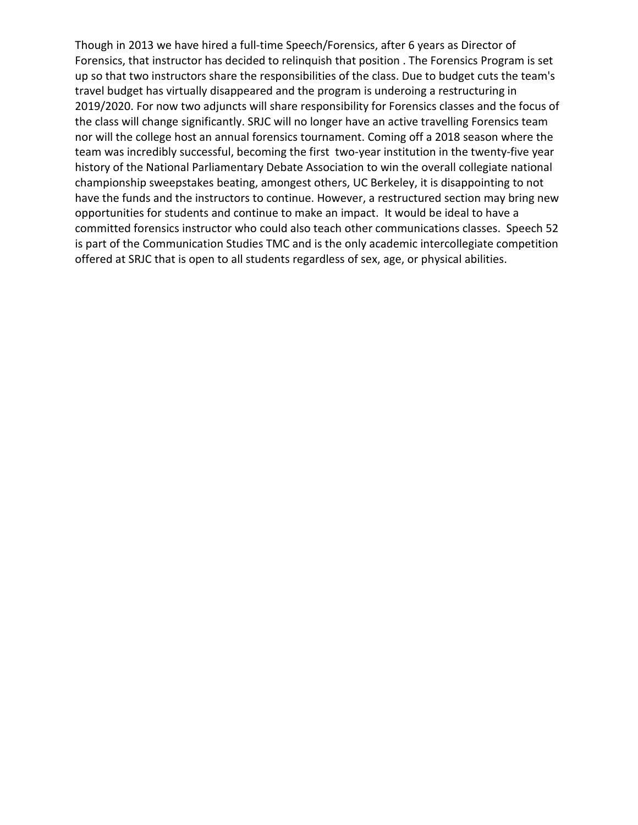Though in 2013 we have hired a full-time Speech/Forensics, after 6 years as Director of Forensics, that instructor has decided to relinquish that position . The Forensics Program is set up so that two instructors share the responsibilities of the class. Due to budget cuts the team's travel budget has virtually disappeared and the program is underoing a restructuring in 2019/2020. For now two adjuncts will share responsibility for Forensics classes and the focus of the class will change significantly. SRJC will no longer have an active travelling Forensics team nor will the college host an annual forensics tournament. Coming off a 2018 season where the team was incredibly successful, becoming the first two-year institution in the twenty-five year history of the National Parliamentary Debate Association to win the overall collegiate national championship sweepstakes beating, amongest others, UC Berkeley, it is disappointing to not have the funds and the instructors to continue. However, a restructured section may bring new opportunities for students and continue to make an impact. It would be ideal to have a committed forensics instructor who could also teach other communications classes. Speech 52 is part of the Communication Studies TMC and is the only academic intercollegiate competition offered at SRJC that is open to all students regardless of sex, age, or physical abilities.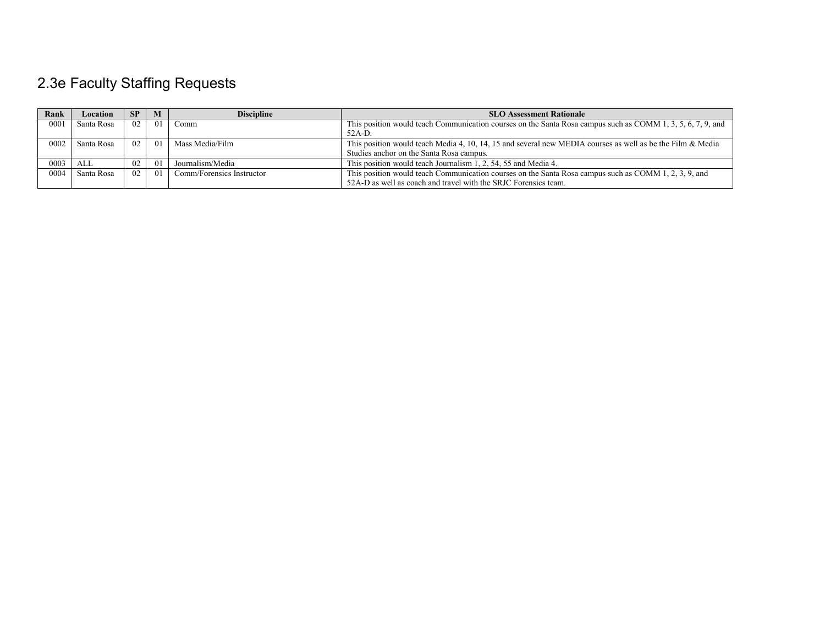# 2.3e Faculty Staffing Requests

| Rank | Location   | <b>SP</b>       |     | <b>Discipline</b>         | <b>SLO Assessment Rationale</b>                                                                               |
|------|------------|-----------------|-----|---------------------------|---------------------------------------------------------------------------------------------------------------|
| 0001 | Santa Rosa | 02              | 01  | Comm                      | This position would teach Communication courses on the Santa Rosa campus such as COMM 1, 3, 5, 6, 7, 9, and   |
|      |            |                 |     |                           | $52A-D$ .                                                                                                     |
| 0002 | Santa Rosa | 02 <sub>1</sub> | 01  | Mass Media/Film           | This position would teach Media 4, 10, 14, 15 and several new MEDIA courses as well as be the Film $\&$ Media |
|      |            |                 |     |                           | Studies anchor on the Santa Rosa campus.                                                                      |
| 0003 | ALL        | 02              | -01 | Journalism/Media          | This position would teach Journalism 1, 2, 54, 55 and Media 4.                                                |
| 0004 | Santa Rosa | 02              | 01  | Comm/Forensics Instructor | This position would teach Communication courses on the Santa Rosa campus such as COMM 1, 2, 3, 9, and         |
|      |            |                 |     |                           | 52A-D as well as coach and travel with the SRJC Forensics team.                                               |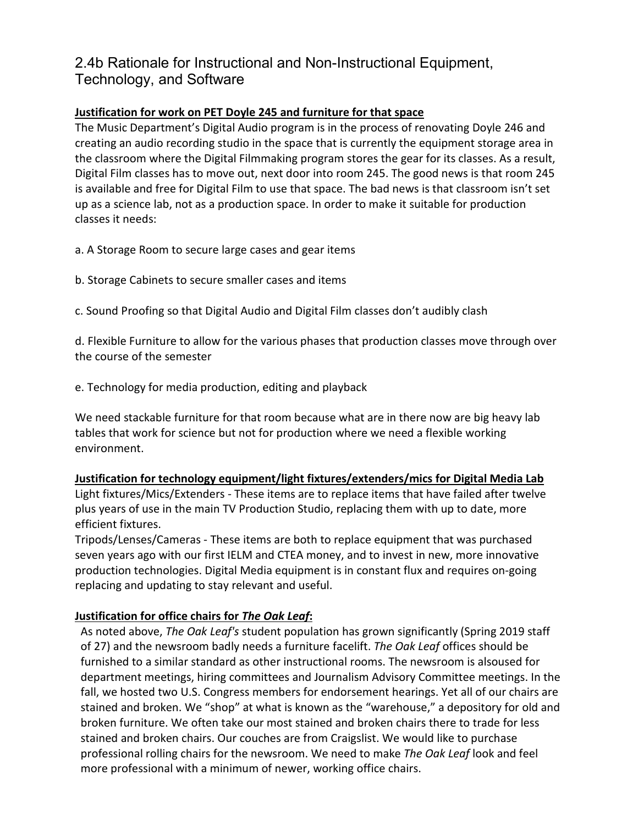### 2.4b Rationale for Instructional and Non-Instructional Equipment, Technology, and Software

#### **Justification for work on PET Doyle 245 and furniture for that space**

The Music Department's Digital Audio program is in the process of renovating Doyle 246 and creating an audio recording studio in the space that is currently the equipment storage area in the classroom where the Digital Filmmaking program stores the gear for its classes. As a result, Digital Film classes has to move out, next door into room 245. The good news is that room 245 is available and free for Digital Film to use that space. The bad news is that classroom isn't set up as a science lab, not as a production space. In order to make it suitable for production classes it needs:

a. A Storage Room to secure large cases and gear items

b. Storage Cabinets to secure smaller cases and items

c. Sound Proofing so that Digital Audio and Digital Film classes don't audibly clash

d. Flexible Furniture to allow for the various phases that production classes move through over the course of the semester

e. Technology for media production, editing and playback

We need stackable furniture for that room because what are in there now are big heavy lab tables that work for science but not for production where we need a flexible working environment.

#### **Justification for technology equipment/light fixtures/extenders/mics for Digital Media Lab**

Light fixtures/Mics/Extenders - These items are to replace items that have failed after twelve plus years of use in the main TV Production Studio, replacing them with up to date, more efficient fixtures.

Tripods/Lenses/Cameras - These items are both to replace equipment that was purchased seven years ago with our first IELM and CTEA money, and to invest in new, more innovative production technologies. Digital Media equipment is in constant flux and requires on-going replacing and updating to stay relevant and useful.

### **Justification for office chairs for** *The Oak Leaf***:**

As noted above, *The Oak Leaf's* student population has grown significantly (Spring 2019 staff of 27) and the newsroom badly needs a furniture facelift. *The Oak Leaf* offices should be furnished to a similar standard as other instructional rooms. The newsroom is alsoused for department meetings, hiring committees and Journalism Advisory Committee meetings. In the fall, we hosted two U.S. Congress members for endorsement hearings. Yet all of our chairs are stained and broken. We "shop" at what is known as the "warehouse," a depository for old and broken furniture. We often take our most stained and broken chairs there to trade for less stained and broken chairs. Our couches are from Craigslist. We would like to purchase professional rolling chairs for the newsroom. We need to make *The Oak Leaf* look and feel more professional with a minimum of newer, working office chairs.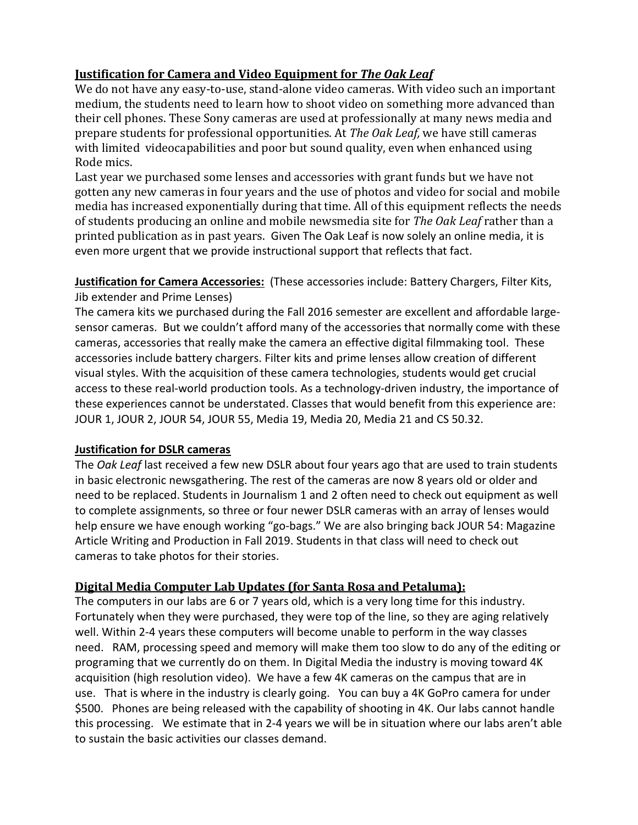### **Justification for Camera and Video Equipment for** *The Oak Leaf*

We do not have any easy-to-use, stand-alone video cameras. With video such an important medium, the students need to learn how to shoot video on something more advanced than their cell phones. These Sony cameras are used at professionally at many news media and prepare students for professional opportunities. At *The Oak Leaf,* we have still cameras with limited videocapabilities and poor but sound quality, even when enhanced using Rode mics.

Last year we purchased some lenses and accessories with grant funds but we have not gotten any new cameras in four years and the use of photos and video for social and mobile media has increased exponentially during that time. All of this equipment reflects the needs of students producing an online and mobile newsmedia site for *The Oak Leaf* rather than a printed publication as in past years. Given The Oak Leaf is now solely an online media, it is even more urgent that we provide instructional support that reflects that fact.

**Justification for Camera Accessories:** (These accessories include: Battery Chargers, Filter Kits, Jib extender and Prime Lenses)

The camera kits we purchased during the Fall 2016 semester are excellent and affordable largesensor cameras. But we couldn't afford many of the accessories that normally come with these cameras, accessories that really make the camera an effective digital filmmaking tool. These accessories include battery chargers. Filter kits and prime lenses allow creation of different visual styles. With the acquisition of these camera technologies, students would get crucial access to these real-world production tools. As a technology-driven industry, the importance of these experiences cannot be understated. Classes that would benefit from this experience are: JOUR 1, JOUR 2, JOUR 54, JOUR 55, Media 19, Media 20, Media 21 and CS 50.32.

### **Justification for DSLR cameras**

The *Oak Leaf* last received a few new DSLR about four years ago that are used to train students in basic electronic newsgathering. The rest of the cameras are now 8 years old or older and need to be replaced. Students in Journalism 1 and 2 often need to check out equipment as well to complete assignments, so three or four newer DSLR cameras with an array of lenses would help ensure we have enough working "go-bags." We are also bringing back JOUR 54: Magazine Article Writing and Production in Fall 2019. Students in that class will need to check out cameras to take photos for their stories.

### **Digital Media Computer Lab Updates (for Santa Rosa and Petaluma):**

The computers in our labs are 6 or 7 years old, which is a very long time for this industry. Fortunately when they were purchased, they were top of the line, so they are aging relatively well. Within 2-4 years these computers will become unable to perform in the way classes need. RAM, processing speed and memory will make them too slow to do any of the editing or programing that we currently do on them. In Digital Media the industry is moving toward 4K acquisition (high resolution video). We have a few 4K cameras on the campus that are in use. That is where in the industry is clearly going. You can buy a 4K GoPro camera for under \$500. Phones are being released with the capability of shooting in 4K. Our labs cannot handle this processing. We estimate that in 2-4 years we will be in situation where our labs aren't able to sustain the basic activities our classes demand.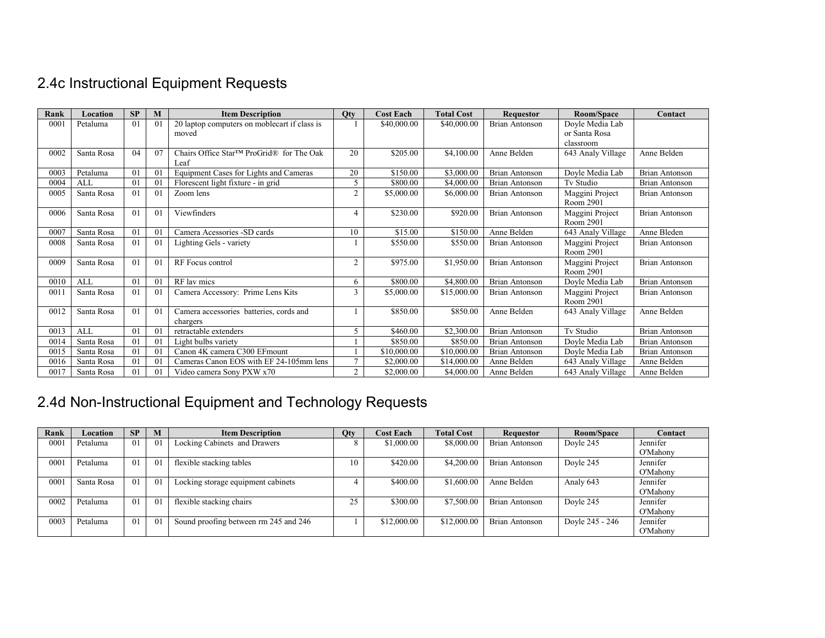# 2.4c Instructional Equipment Requests

| Rank | Location   | SP             | M              | <b>Item Description</b>                             | <b>Qty</b>     | <b>Cost Each</b> | <b>Total Cost</b> | <b>Requestor</b>      | Room/Space                   | Contact               |
|------|------------|----------------|----------------|-----------------------------------------------------|----------------|------------------|-------------------|-----------------------|------------------------------|-----------------------|
| 0001 | Petaluma   | 01             | $\overline{0}$ | 20 laptop computers on moblecart if class is        |                | \$40,000.00      | \$40,000.00       | <b>Brian Antonson</b> | Doyle Media Lab              |                       |
|      |            |                |                | moved                                               |                |                  |                   |                       | or Santa Rosa                |                       |
|      |            |                |                |                                                     |                |                  |                   |                       | classroom                    |                       |
| 0002 | Santa Rosa | 04             | 07             | Chairs Office Star™ ProGrid® for The Oak<br>Leaf    | 20             | \$205.00         | \$4,100.00        | Anne Belden           | 643 Analy Village            | Anne Belden           |
| 0003 | Petaluma   | 01             | $\overline{0}$ | Equipment Cases for Lights and Cameras              | 20             | \$150.00         | \$3,000.00        | Brian Antonson        | Doyle Media Lab              | Brian Antonson        |
| 0004 | ALL        | 01             | 0 <sup>1</sup> | Florescent light fixture - in grid                  | 5              | \$800.00         | \$4,000.00        | <b>Brian Antonson</b> | Tv Studio                    | <b>Brian Antonson</b> |
| 0005 | Santa Rosa | 01             | $\Omega$       | Zoom lens                                           | $\overline{2}$ | \$5,000.00       | \$6,000.00        | <b>Brian Antonson</b> | Maggini Project<br>Room 2901 | <b>Brian Antonson</b> |
| 0006 | Santa Rosa | 01             | $\Omega$       | Viewfinders                                         |                | \$230.00         | \$920.00          | <b>Brian Antonson</b> | Maggini Project<br>Room 2901 | <b>Brian Antonson</b> |
| 0007 | Santa Rosa | 01             | 01             | Camera Acessories -SD cards                         | 10             | \$15.00          | \$150.00          | Anne Belden           | 643 Analy Village            | Anne Bleden           |
| 0008 | Santa Rosa | 01             | 0 <sup>1</sup> | Lighting Gels - variety                             |                | \$550.00         | \$550.00          | <b>Brian Antonson</b> | Maggini Project<br>Room 2901 | <b>Brian Antonson</b> |
| 0009 | Santa Rosa | 01             | $\Omega$       | RF Focus control                                    | $\overline{2}$ | \$975.00         | \$1,950.00        | Brian Antonson        | Maggini Project<br>Room 2901 | Brian Antonson        |
| 0010 | ALL        | 01             | 0 <sup>1</sup> | RF lav mics                                         | 6              | \$800.00         | \$4,800.00        | <b>Brian Antonson</b> | Doyle Media Lab              | Brian Antonson        |
| 001  | Santa Rosa | 01             | 0 <sup>1</sup> | Camera Accessory: Prime Lens Kits                   | 3              | \$5,000.00       | \$15,000.00       | Brian Antonson        | Maggini Project<br>Room 2901 | <b>Brian Antonson</b> |
| 0012 | Santa Rosa | 01             | 0 <sup>1</sup> | Camera accessories batteries, cords and<br>chargers |                | \$850.00         | \$850.00          | Anne Belden           | 643 Analy Village            | Anne Belden           |
| 0013 | ALL        | 0 <sub>1</sub> | 0 <sup>1</sup> | retractable extenders                               | 5              | \$460.00         | \$2,300.00        | <b>Brian Antonson</b> | Tv Studio                    | <b>Brian Antonson</b> |
| 0014 | Santa Rosa | 01             | 0 <sup>1</sup> | Light bulbs variety                                 |                | \$850.00         | \$850.00          | <b>Brian Antonson</b> | Doyle Media Lab              | Brian Antonson        |
| 0015 | Santa Rosa | 01             | 01             | Canon 4K camera C300 EFmount                        |                | \$10,000.00      | \$10,000.00       | <b>Brian Antonson</b> | Doyle Media Lab              | Brian Antonson        |
| 0016 | Santa Rosa | 01             | $\overline{0}$ | Cameras Canon EOS with EF 24-105mm lens             |                | \$2,000.00       | \$14,000.00       | Anne Belden           | 643 Analy Village            | Anne Belden           |
| 0017 | Santa Rosa | 01             | 01             | Video camera Sony PXW x70                           | $\overline{2}$ | \$2,000.00       | \$4,000.00        | Anne Belden           | 643 Analy Village            | Anne Belden           |

# 2.4d Non-Instructional Equipment and Technology Requests

| Rank | Location   | SP | M              | <b>Item Description</b>               | Qty | <b>Cost Each</b> | <b>Total Cost</b> | <b>Requestor</b> | Room/Space      | Contact  |
|------|------------|----|----------------|---------------------------------------|-----|------------------|-------------------|------------------|-----------------|----------|
| 0001 | Petaluma   | 01 | $\overline{0}$ | Locking Cabinets and Drawers          |     | \$1,000.00       | \$8,000.00        | Brian Antonson   | Doyle 245       | Jennifer |
|      |            |    |                |                                       |     |                  |                   |                  |                 | O'Mahony |
| 0001 | Petaluma   | 01 | -01            | flexible stacking tables              | 10  | \$420.00         | \$4,200.00        | Brian Antonson   | Doyle 245       | Jennifer |
|      |            |    |                |                                       |     |                  |                   |                  |                 | O'Mahony |
| 0001 | Santa Rosa | 01 | $\overline{0}$ | Locking storage equipment cabinets    |     | \$400.00         | \$1,600.00        | Anne Belden      | Analy 643       | Jennifer |
|      |            |    |                |                                       |     |                  |                   |                  |                 | O'Mahony |
| 0002 | Petaluma   | 01 | -01            | flexible stacking chairs              | 25  | \$300.00         | \$7,500.00        | Brian Antonson   | Dovle 245       | Jennifer |
|      |            |    |                |                                       |     |                  |                   |                  |                 | O'Mahony |
| 0003 | Petaluma   | 01 | -01            | Sound proofing between rm 245 and 246 |     | \$12,000.00      | \$12,000.00       | Brian Antonson   | Doyle 245 - 246 | Jennifer |
|      |            |    |                |                                       |     |                  |                   |                  |                 | O'Mahony |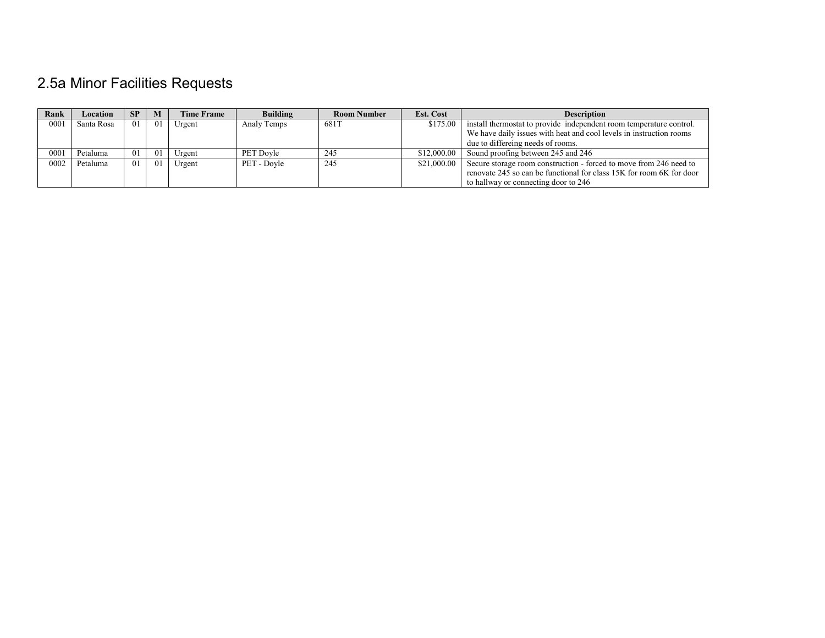# 2.5a Minor Facilities Requests

| Rank | Location   | <b>SP</b>      | M   | <b>Time Frame</b> | <b>Building</b>  | <b>Room Number</b> | <b>Est. Cost</b> | <b>Description</b>                                                   |
|------|------------|----------------|-----|-------------------|------------------|--------------------|------------------|----------------------------------------------------------------------|
| 0001 | Santa Rosa | 0 <sub>1</sub> | 01  | Urgent            | Analy Temps      | 681T               | \$175.00         | install thermostat to provide independent room temperature control.  |
|      |            |                |     |                   |                  |                    |                  | We have daily issues with heat and cool levels in instruction rooms  |
|      |            |                |     |                   |                  |                    |                  | due to differeing needs of rooms.                                    |
| 0001 | Petaluma   | 01             | -01 | Urgent            | <b>PET Dovle</b> | 245                | \$12.000.00      | Sound proofing between 245 and 246                                   |
| 0002 | Petaluma   | 01             | 01  | Urgent            | PET - Dovle      | 245                | \$21,000.00      | Secure storage room construction - forced to move from 246 need to   |
|      |            |                |     |                   |                  |                    |                  | renovate 245 so can be functional for class 15K for room 6K for door |
|      |            |                |     |                   |                  |                    |                  | to hallway or connecting door to 246                                 |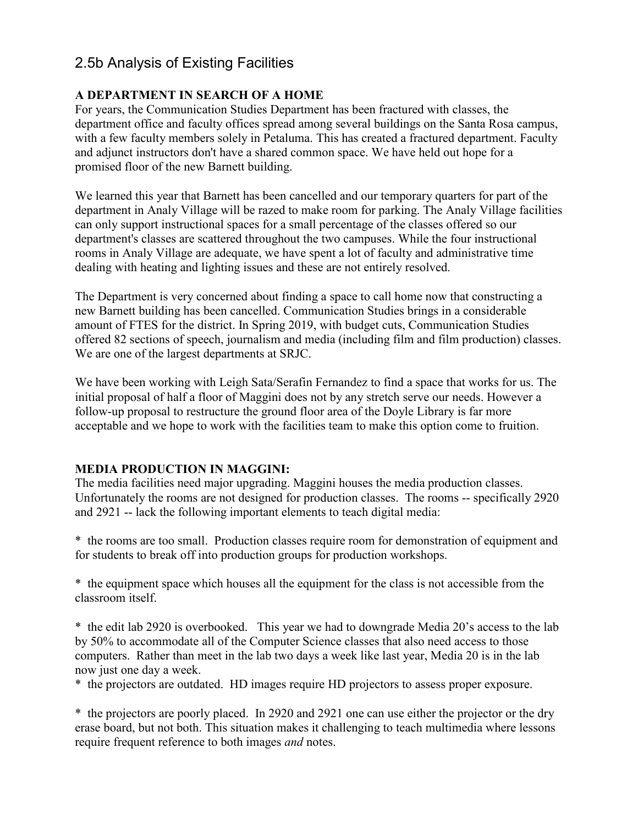### 2.5b Analysis of Existing Facilities

### **A DEPARTMENT IN SEARCH OF A HOME**

For years, the Communication Studies Department has been fractured with classes, the department office and faculty offices spread among several buildings on the Santa Rosa campus, with a few faculty members solely in Petaluma. This has created a fractured department. Faculty and adjunct instructors don't have a shared common space. We have held out hope for a promised floor of the new Barnett building.

We learned this year that Barnett has been cancelled and our temporary quarters for part of the department in Analy Village will be razed to make room for parking. The Analy Village facilities can only support instructional spaces for a small percentage of the classes offered so our department's classes are scattered throughout the two campuses. While the four instructional rooms in Analy Village are adequate, we have spent a lot of faculty and administrative time dealing with heating and lighting issues and these are not entirely resolved.

The Department is very concerned about finding a space to call home now that constructing a new Barnett building has been cancelled. Communication Studies brings in a considerable amount of FTES for the district. In Spring 2019, with budget cuts, Communication Studies offered 82 sections of speech, journalism and media (including film and film production) classes. We are one of the largest departments at SRJC.

We have been working with Leigh Sata/Serafin Fernandez to find a space that works for us. The initial proposal of half a floor of Maggini does not by any stretch serve our needs. However a follow-up proposal to restructure the ground floor area of the Doyle Library is far more acceptable and we hope to work with the facilities team to make this option come to fruition.

### **MEDIA PRODUCTION IN MAGGINI:**

The media facilities need major upgrading. Maggini houses the media production classes. Unfortunately the rooms are not designed for production classes. The rooms -- specifically 2920 and 2921 -- lack the following important elements to teach digital media:

\* the rooms are too small. Production classes require room for demonstration of equipment and for students to break off into production groups for production workshops.

\* the equipment space which houses all the equipment for the class is not accessible from the classroom itself.

\* the edit lab 2920 is overbooked. This year we had to downgrade Media 20's access to the lab by 50% to accommodate all of the Computer Science classes that also need access to those computers. Rather than meet in the lab two days a week like last year, Media 20 is in the lab now just one day a week.

\* the projectors are outdated. HD images require HD projectors to assess proper exposure.

\* the projectors are poorly placed. In 2920 and 2921 one can use either the projector or the dry erase board, but not both. This situation makes it challenging to teach multimedia where lessons require frequent reference to both images *and* notes.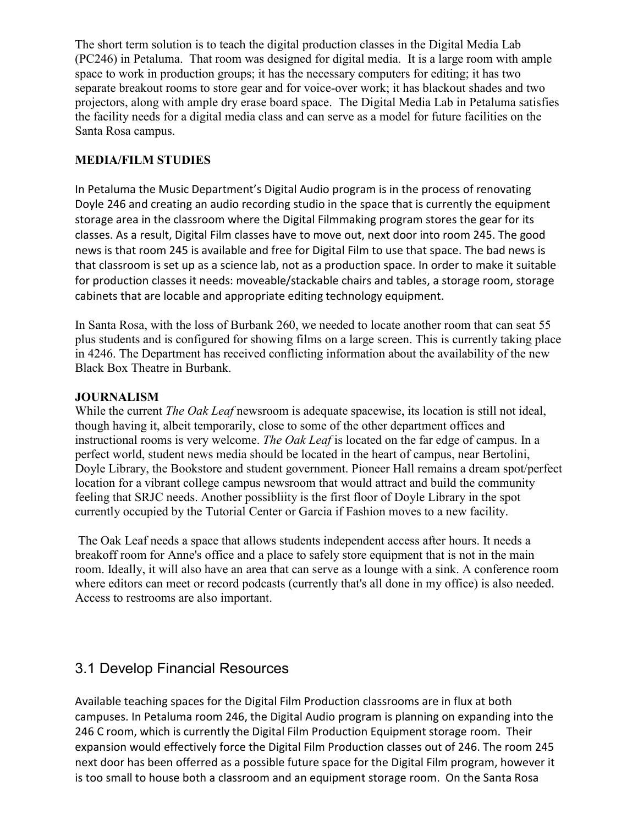The short term solution is to teach the digital production classes in the Digital Media Lab (PC246) in Petaluma. That room was designed for digital media. It is a large room with ample space to work in production groups; it has the necessary computers for editing; it has two separate breakout rooms to store gear and for voice-over work; it has blackout shades and two projectors, along with ample dry erase board space. The Digital Media Lab in Petaluma satisfies the facility needs for a digital media class and can serve as a model for future facilities on the Santa Rosa campus.

### **MEDIA/FILM STUDIES**

In Petaluma the Music Department's Digital Audio program is in the process of renovating Doyle 246 and creating an audio recording studio in the space that is currently the equipment storage area in the classroom where the Digital Filmmaking program stores the gear for its classes. As a result, Digital Film classes have to move out, next door into room 245. The good news is that room 245 is available and free for Digital Film to use that space. The bad news is that classroom is set up as a science lab, not as a production space. In order to make it suitable for production classes it needs: moveable/stackable chairs and tables, a storage room, storage cabinets that are locable and appropriate editing technology equipment.

In Santa Rosa, with the loss of Burbank 260, we needed to locate another room that can seat 55 plus students and is configured for showing films on a large screen. This is currently taking place in 4246. The Department has received conflicting information about the availability of the new Black Box Theatre in Burbank.

### **JOURNALISM**

While the current *The Oak Leaf* newsroom is adequate spacewise, its location is still not ideal, though having it, albeit temporarily, close to some of the other department offices and instructional rooms is very welcome. *The Oak Leaf* is located on the far edge of campus. In a perfect world, student news media should be located in the heart of campus, near Bertolini, Doyle Library, the Bookstore and student government. Pioneer Hall remains a dream spot/perfect location for a vibrant college campus newsroom that would attract and build the community feeling that SRJC needs. Another possibliity is the first floor of Doyle Library in the spot currently occupied by the Tutorial Center or Garcia if Fashion moves to a new facility.

The Oak Leaf needs a space that allows students independent access after hours. It needs a breakoff room for Anne's office and a place to safely store equipment that is not in the main room. Ideally, it will also have an area that can serve as a lounge with a sink. A conference room where editors can meet or record podcasts (currently that's all done in my office) is also needed. Access to restrooms are also important.

### 3.1 Develop Financial Resources

Available teaching spaces for the Digital Film Production classrooms are in flux at both campuses. In Petaluma room 246, the Digital Audio program is planning on expanding into the 246 C room, which is currently the Digital Film Production Equipment storage room. Their expansion would effectively force the Digital Film Production classes out of 246. The room 245 next door has been offerred as a possible future space for the Digital Film program, however it is too small to house both a classroom and an equipment storage room. On the Santa Rosa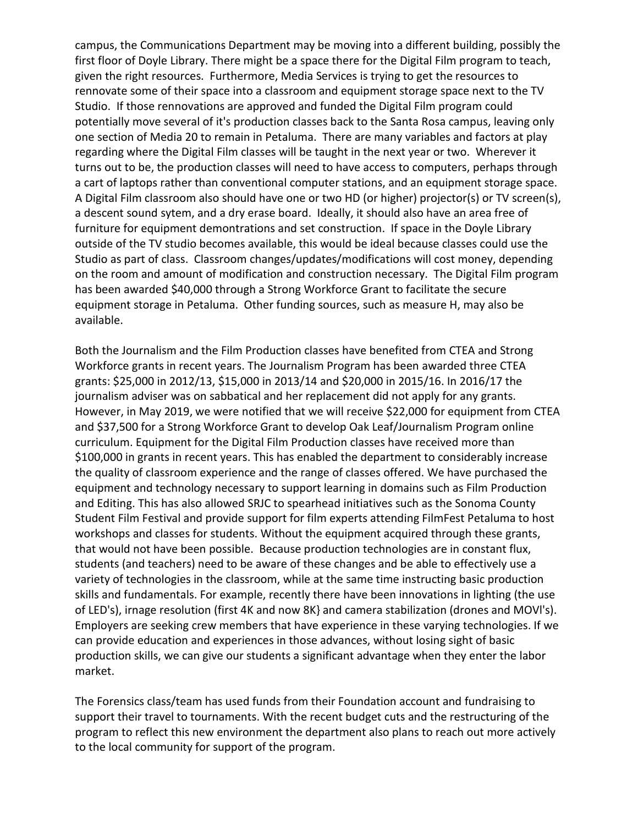campus, the Communications Department may be moving into a different building, possibly the first floor of Doyle Library. There might be a space there for the Digital Film program to teach, given the right resources. Furthermore, Media Services is trying to get the resources to rennovate some of their space into a classroom and equipment storage space next to the TV Studio. If those rennovations are approved and funded the Digital Film program could potentially move several of it's production classes back to the Santa Rosa campus, leaving only one section of Media 20 to remain in Petaluma. There are many variables and factors at play regarding where the Digital Film classes will be taught in the next year or two. Wherever it turns out to be, the production classes will need to have access to computers, perhaps through a cart of laptops rather than conventional computer stations, and an equipment storage space. A Digital Film classroom also should have one or two HD (or higher) projector(s) or TV screen(s), a descent sound sytem, and a dry erase board. Ideally, it should also have an area free of furniture for equipment demontrations and set construction. If space in the Doyle Library outside of the TV studio becomes available, this would be ideal because classes could use the Studio as part of class. Classroom changes/updates/modifications will cost money, depending on the room and amount of modification and construction necessary. The Digital Film program has been awarded \$40,000 through a Strong Workforce Grant to facilitate the secure equipment storage in Petaluma. Other funding sources, such as measure H, may also be available.

Both the Journalism and the Film Production classes have benefited from CTEA and Strong Workforce grants in recent years. The Journalism Program has been awarded three CTEA grants: \$25,000 in 2012/13, \$15,000 in 2013/14 and \$20,000 in 2015/16. In 2016/17 the journalism adviser was on sabbatical and her replacement did not apply for any grants. However, in May 2019, we were notified that we will receive \$22,000 for equipment from CTEA and \$37,500 for a Strong Workforce Grant to develop Oak Leaf/Journalism Program online curriculum. Equipment for the Digital Film Production classes have received more than \$100,000 in grants in recent years. This has enabled the department to considerably increase the quality of classroom experience and the range of classes offered. We have purchased the equipment and technology necessary to support learning in domains such as Film Production and Editing. This has also allowed SRJC to spearhead initiatives such as the Sonoma County Student Film Festival and provide support for film experts attending FilmFest Petaluma to host workshops and classes for students. Without the equipment acquired through these grants, that would not have been possible. Because production technologies are in constant flux, students (and teachers) need to be aware of these changes and be able to effectively use a variety of technologies in the classroom, while at the same time instructing basic production skills and fundamentals. For example, recently there have been innovations in lighting (the use of LED's), irnage resolution (first 4K and now 8K} and camera stabilization (drones and MOVl's). Employers are seeking crew members that have experience in these varying technologies. If we can provide education and experiences in those advances, without losing sight of basic production skills, we can give our students a significant advantage when they enter the labor market.

The Forensics class/team has used funds from their Foundation account and fundraising to support their travel to tournaments. With the recent budget cuts and the restructuring of the program to reflect this new environment the department also plans to reach out more actively to the local community for support of the program.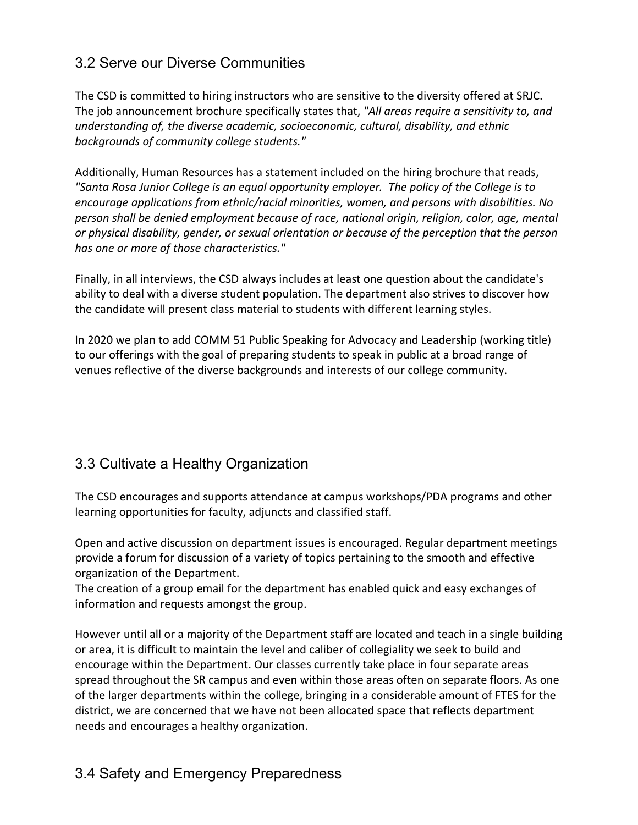## 3.2 Serve our Diverse Communities

The CSD is committed to hiring instructors who are sensitive to the diversity offered at SRJC. The job announcement brochure specifically states that, *"All areas require a sensitivity to, and understanding of, the diverse academic, socioeconomic, cultural, disability, and ethnic backgrounds of community college students."*

Additionally, Human Resources has a statement included on the hiring brochure that reads, *"Santa Rosa Junior College is an equal opportunity employer. The policy of the College is to encourage applications from ethnic/racial minorities, women, and persons with disabilities. No person shall be denied employment because of race, national origin, religion, color, age, mental or physical disability, gender, or sexual orientation or because of the perception that the person has one or more of those characteristics."*

Finally, in all interviews, the CSD always includes at least one question about the candidate's ability to deal with a diverse student population. The department also strives to discover how the candidate will present class material to students with different learning styles.

In 2020 we plan to add COMM 51 Public Speaking for Advocacy and Leadership (working title) to our offerings with the goal of preparing students to speak in public at a broad range of venues reflective of the diverse backgrounds and interests of our college community.

## 3.3 Cultivate a Healthy Organization

The CSD encourages and supports attendance at campus workshops/PDA programs and other learning opportunities for faculty, adjuncts and classified staff.

Open and active discussion on department issues is encouraged. Regular department meetings provide a forum for discussion of a variety of topics pertaining to the smooth and effective organization of the Department.

The creation of a group email for the department has enabled quick and easy exchanges of information and requests amongst the group.

However until all or a majority of the Department staff are located and teach in a single building or area, it is difficult to maintain the level and caliber of collegiality we seek to build and encourage within the Department. Our classes currently take place in four separate areas spread throughout the SR campus and even within those areas often on separate floors. As one of the larger departments within the college, bringing in a considerable amount of FTES for the district, we are concerned that we have not been allocated space that reflects department needs and encourages a healthy organization.

## 3.4 Safety and Emergency Preparedness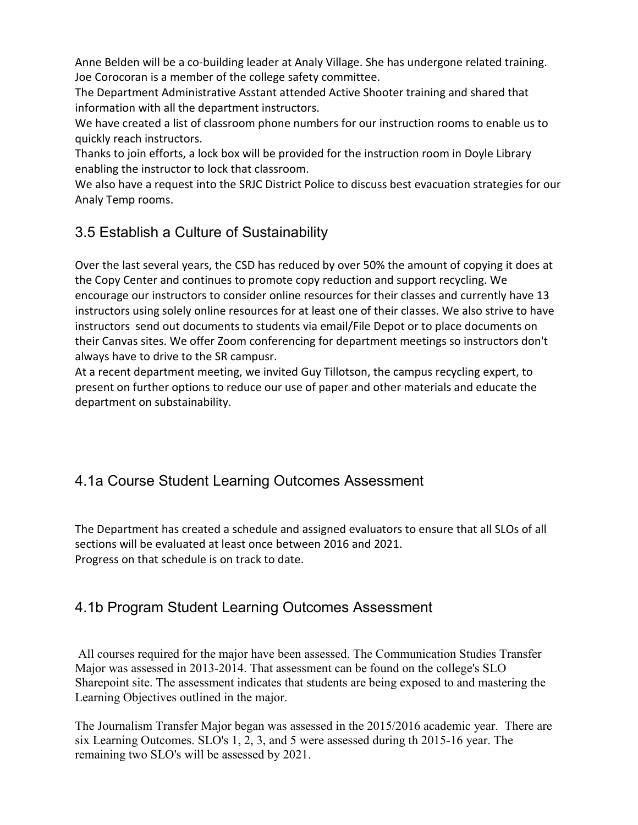Anne Belden will be a co-building leader at Analy Village. She has undergone related training. Joe Corocoran is a member of the college safety committee.

The Department Administrative Asstant attended Active Shooter training and shared that information with all the department instructors.

We have created a list of classroom phone numbers for our instruction rooms to enable us to quickly reach instructors.

Thanks to join efforts, a lock box will be provided for the instruction room in Doyle Library enabling the instructor to lock that classroom.

We also have a request into the SRJC District Police to discuss best evacuation strategies for our Analy Temp rooms.

## 3.5 Establish a Culture of Sustainability

Over the last several years, the CSD has reduced by over 50% the amount of copying it does at the Copy Center and continues to promote copy reduction and support recycling. We encourage our instructors to consider online resources for their classes and currently have 13 instructors using solely online resources for at least one of their classes. We also strive to have instructors send out documents to students via email/File Depot or to place documents on their Canvas sites. We offer Zoom conferencing for department meetings so instructors don't always have to drive to the SR campusr.

At a recent department meeting, we invited Guy Tillotson, the campus recycling expert, to present on further options to reduce our use of paper and other materials and educate the department on substainability.

# 4.1a Course Student Learning Outcomes Assessment

The Department has created a schedule and assigned evaluators to ensure that all SLOs of all sections will be evaluated at least once between 2016 and 2021. Progress on that schedule is on track to date.

## 4.1b Program Student Learning Outcomes Assessment

All courses required for the major have been assessed. The Communication Studies Transfer Major was assessed in 2013-2014. That assessment can be found on the college's SLO Sharepoint site. The assessment indicates that students are being exposed to and mastering the Learning Objectives outlined in the major.

The Journalism Transfer Major began was assessed in the 2015/2016 academic year. There are six Learning Outcomes. SLO's 1, 2, 3, and 5 were assessed during th 2015-16 year. The remaining two SLO's will be assessed by 2021.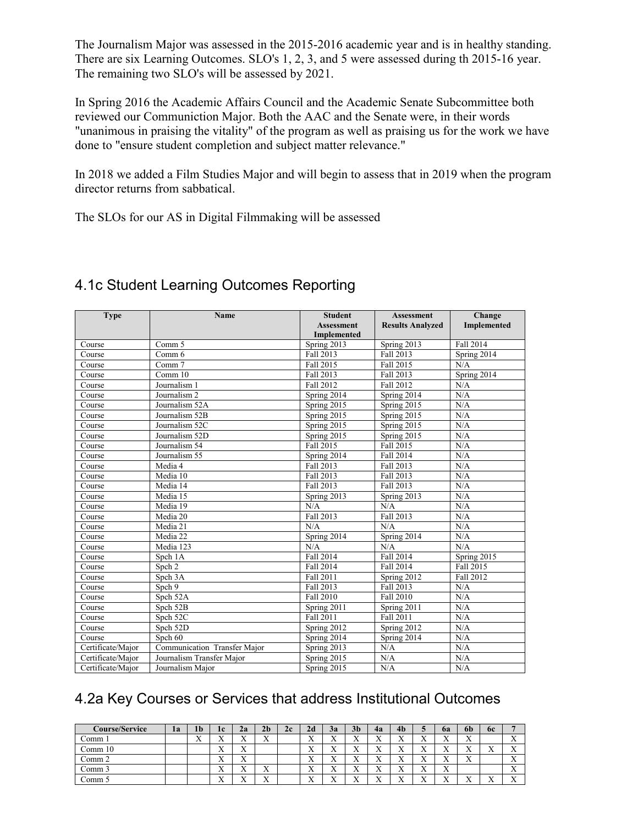The Journalism Major was assessed in the 2015-2016 academic year and is in healthy standing. There are six Learning Outcomes. SLO's 1, 2, 3, and 5 were assessed during th 2015-16 year. The remaining two SLO's will be assessed by 2021.

In Spring 2016 the Academic Affairs Council and the Academic Senate Subcommittee both reviewed our Communiction Major. Both the AAC and the Senate were, in their words "unanimous in praising the vitality" of the program as well as praising us for the work we have done to "ensure student completion and subject matter relevance."

In 2018 we added a Film Studies Major and will begin to assess that in 2019 when the program director returns from sabbatical.

The SLOs for our AS in Digital Filmmaking will be assessed

| <b>Type</b>       | <b>Name</b>                  | <b>Student</b>     | <b>Assessment</b>       | Change                   |
|-------------------|------------------------------|--------------------|-------------------------|--------------------------|
|                   |                              | <b>Assessment</b>  | <b>Results Analyzed</b> | Implemented              |
|                   |                              | <b>Implemented</b> |                         |                          |
| Course            | Comm 5                       | Spring 2013        | Spring 2013             | Fall 2014                |
| Course            | Comm 6                       | Fall 2013          | Fall 2013               | Spring $2014$            |
| Course            | Comm 7                       | Fall 2015          | Fall 2015               | N/A                      |
| Course            | Comm 10                      | Fall 2013          | Fall 2013               | Spring $20\overline{14}$ |
| Course            | Journalism 1                 | Fall 2012          | Fall 2012               | N/A                      |
| Course            | Journalism 2                 | Spring 2014        | Spring 2014             | N/A                      |
| Course            | Journalism 52A               | Spring 2015        | Spring 2015             | N/A                      |
| Course            | Journalism 52B               | Spring 2015        | Spring 2015             | N/A                      |
| Course            | Journalism 52C               | Spring $2015$      | Spring 2015             | N/A                      |
| Course            | Journalism 52D               | Spring 2015        | Spring 2015             | N/A                      |
| Course            | Journalism 54                | Fall 2015          | Fall 2015               | N/A                      |
| Course            | Journalism 55                | Spring 2014        | Fall 2014               | N/A                      |
| Course            | Media 4                      | Fall 2013          | Fall 2013               | N/A                      |
| Course            | Media 10                     | Fall 2013          | Fall 2013               | N/A                      |
| Course            | Media 14                     | Fall 2013          | Fall 2013               | N/A                      |
| Course            | Media 15                     | Spring 2013        | Spring 2013             | N/A                      |
| Course            | Media 19                     | N/A                | N/A                     | N/A                      |
| Course            | Media 20                     | Fall 2013          | <b>Fall 2013</b>        | N/A                      |
| Course            | Media 21                     | N/A                | N/A                     | N/A                      |
| Course            | Media 22                     | Spring 2014        | Spring 2014             | N/A                      |
| Course            | Media 123                    | N/A                | N/A                     | N/A                      |
| Course            | Spch 1A                      | Fall 2014          | Fall 2014               | Spring 2015              |
| Course            | Spch 2                       | Fall 2014          | <b>Fall 2014</b>        | Fall 2015                |
| Course            | Spch 3A                      | Fall 2011          | Spring 2012             | Fall 2012                |
| Course            | Spch 9                       | Fall 2013          | Fall 2013               | N/A                      |
| Course            | Spch 52A                     | Fall 2010          | <b>Fall 2010</b>        | N/A                      |
| Course            | Spch 52B                     | Spring $2011$      | Spring $2011$           | N/A                      |
| Course            | Spch 52C                     | Fall 2011          | Fall 2011               | N/A                      |
| Course            | Spch 52D                     | Spring 2012        | Spring 2012             | N/A                      |
| Course            | Spch 60                      | Spring 2014        | Spring 2014             | N/A                      |
| Certificate/Major | Communication Transfer Major | Spring 2013        | N/A                     | N/A                      |
| Certificate/Major | Journalism Transfer Major    | Spring 2015        | N/A                     | N/A                      |
| Certificate/Major | Journalism Major             | Spring 2015        | N/A                     | N/A                      |

# 4.1c Student Learning Outcomes Reporting

## 4.2a Key Courses or Services that address Institutional Outcomes

| <b>Course/Service</b> | 1a | 1 <sub>b</sub>            | 1c                     | 2a                        | 2 <sub>b</sub>            | 2c | 2d                        | 3a                        | 3 <sub>b</sub>            | 4a                        | 4 <sub>b</sub>            | ◡                     | 6a                     | 6b                         | 6c               |                                |
|-----------------------|----|---------------------------|------------------------|---------------------------|---------------------------|----|---------------------------|---------------------------|---------------------------|---------------------------|---------------------------|-----------------------|------------------------|----------------------------|------------------|--------------------------------|
| ∑omm ∃                |    | $\mathbf{v}$<br>$\Lambda$ | v v<br>$\Lambda$       | $\mathbf{v}$<br>$\Lambda$ | $\mathbf{v}$<br>$\lambda$ |    | $\mathbf{v}$<br>$\Lambda$ | $\mathbf{v}$<br>$\lambda$ | $\mathbf{x}$<br>$\Lambda$ | $\mathbf{v}$<br>$\Lambda$ | $\mathbf{v}$<br>$\Lambda$ | ٦z<br>$\overline{ }$  | <b>xx</b><br>$\Lambda$ | $\mathbf{v}$<br>$\Lambda$  |                  | $\mathbf{v}$<br>$\lambda$      |
| Comm 10               |    |                           | v v<br>$\Lambda$       | $\mathbf{v}$<br>$\Lambda$ |                           |    | $\mathbf{v}$<br>$\Lambda$ | $\mathbf{v}$<br>$\lambda$ | $\mathbf{x}$<br>$\Lambda$ | $\mathbf{v}$<br>$\Lambda$ | $\mathbf{v}$<br>$\Lambda$ | ۳z<br>$\overline{ }$  | v v<br>$\Lambda$       | <b>x</b><br>$\overline{ }$ | v v<br>$\lambda$ | $\mathbf{v}$<br>$\lambda$      |
| Comm 2                |    |                           | <b>xr</b><br>$\Lambda$ | $\mathbf{v}$<br>$\Lambda$ |                           |    | $\mathbf{v}$<br>$\Lambda$ | <b>TT</b><br>$\lambda$    | $\mathbf{x}$<br>$\Lambda$ | $\mathbf{v}$<br>$\Lambda$ | $\mathbf{v}$<br>$\Lambda$ | v v<br>$\Lambda$      | <br>$\Lambda$          | $\mathbf{v}$<br>$\Lambda$  |                  | $\mathbf{v}$<br>$\lambda$      |
| Comm 3                |    |                           | <b>x</b><br>$\Lambda$  | v v<br>$\Lambda$          | $\mathbf{v}$<br>$\lambda$ |    | $\mathbf{v}$<br>$\lambda$ | <b>x</b><br>$\lambda$     | $\mathbf{v}$<br>$\Lambda$ | <b>x</b><br>$\Lambda$     | $\mathbf{v}$<br>$\Lambda$ | <b>x</b><br>$\Lambda$ | v v<br>$\Lambda$       |                            |                  | $\mathbf{v}$<br>$\lambda$      |
| .`omm                 |    |                           | <b>x</b><br>$\Lambda$  | <b>x</b><br>$\Lambda$     | $\mathbf{v}$<br>$\lambda$ |    | $\mathbf{v}$<br>$\Lambda$ | <b>W</b><br>$\lambda$     | $\mathbf{v}$<br>$\lambda$ | $\mathbf{v}$<br>$\Lambda$ | $\mathbf{v}$<br>$\Lambda$ | <b>x</b><br>$\Lambda$ | v v<br>$\Lambda$       | <b>x</b><br>$\lambda$      | v v<br>$\lambda$ | $\mathbf{v}$<br>$\overline{ }$ |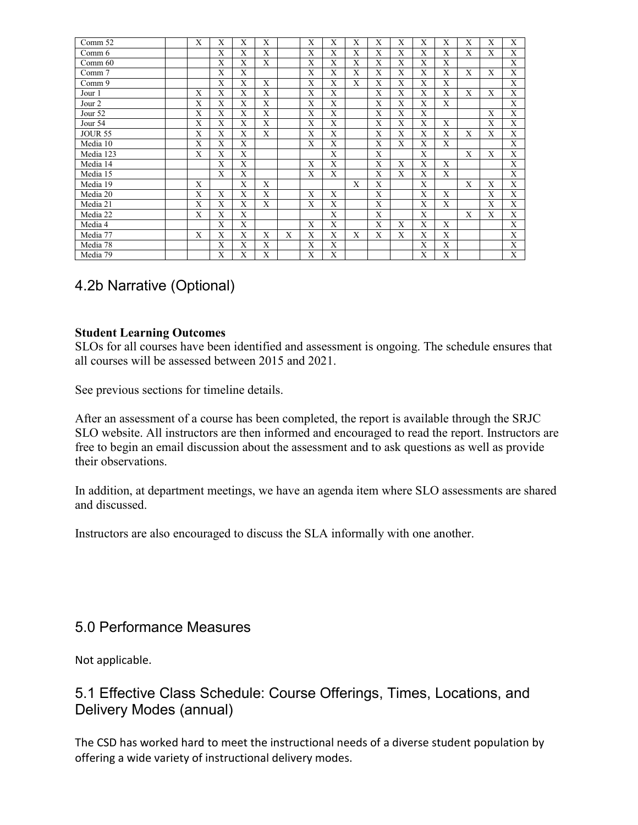| Comm 52        | X            | X | X            | X |   | X            | X | X            | X | X            | X            | X | X            | X            | X            |
|----------------|--------------|---|--------------|---|---|--------------|---|--------------|---|--------------|--------------|---|--------------|--------------|--------------|
| Comm 6         |              | X | X            | X |   | X            | X | X            | X | X            | X            | X | X            | X            | X            |
| Comm 60        |              | X | X            | X |   | X            | X | $\mathbf{X}$ | X | X            | X            | X |              |              | X            |
| Comm 7         |              | X | X            |   |   | X            | X | X            | X | X            | X            | X | X            | X            | X            |
| Comm 9         |              | X | X            | X |   | X            | X | $\mathbf{X}$ | X | X            | X            | X |              |              | X            |
| Jour 1         | X            | X | X            | X |   | X            | X |              | X | X            | X            | X | X            | X            | X            |
| Jour 2         | X            | X | X            | X |   | X            | X |              | X | X            | X            | X |              |              | X            |
| Jour 52        | X            | X | $\mathbf{X}$ | X |   | X            | X |              | X | $\mathbf{X}$ | X            |   |              | $\mathbf{X}$ | X            |
| Jour 54        | X            | X | X            | X |   | X            | X |              | X | X            | X            | X |              | X            | X            |
| <b>JOUR 55</b> | X            | X | X            | X |   | X            | X |              | X | X            | X            | X | X            | X            | X            |
| Media 10       | X            | X | X            |   |   | X            | X |              | X | X            | X            | X |              |              | X            |
| Media 123      | $\mathbf{X}$ | X | $\mathbf{X}$ |   |   |              | X |              | X |              | $\mathbf{X}$ |   | $\mathbf{X}$ | $\mathbf{X}$ | $\mathbf{X}$ |
| Media 14       |              | X | X            |   |   | X            | X |              | X | X            | X            | X |              |              | X            |
| Media 15       |              | X | X            |   |   | $\mathbf{X}$ | X |              | X | X            | X            | X |              |              | X            |
| Media 19       | X            |   | X            | X |   |              |   | $\mathbf{x}$ | X |              | X            |   | $\mathbf{X}$ | X            | X            |
| Media 20       | X            | X | X            | X |   | X            | X |              | X |              | X            | X |              | X            | X            |
| Media 21       | X            | X | X            | X |   | $\mathbf{X}$ | X |              | X |              | X            | X |              | X            | $\mathbf{X}$ |
| Media 22       | X            | X | X            |   |   |              | X |              | X |              | X            |   | X            | X            | X            |
| Media 4        |              | X | X            |   |   | X            | X |              | X | X            | X            | X |              |              | X            |
| Media 77       | X            | X | X            | X | X | X            | X | X            | X | X            | X            | X |              |              | X            |
| Media 78       |              | X | X            | X |   | X            | X |              |   |              | X            | X |              |              | X            |
| Media 79       |              | X | X            | X |   | X            | X |              |   |              | X            | X |              |              | X            |

## 4.2b Narrative (Optional)

#### **Student Learning Outcomes**

SLOs for all courses have been identified and assessment is ongoing. The schedule ensures that all courses will be assessed between 2015 and 2021.

See previous sections for timeline details.

After an assessment of a course has been completed, the report is available through the SRJC SLO website. All instructors are then informed and encouraged to read the report. Instructors are free to begin an email discussion about the assessment and to ask questions as well as provide their observations.

In addition, at department meetings, we have an agenda item where SLO assessments are shared and discussed.

Instructors are also encouraged to discuss the SLA informally with one another.

### 5.0 Performance Measures

Not applicable.

## 5.1 Effective Class Schedule: Course Offerings, Times, Locations, and Delivery Modes (annual)

The CSD has worked hard to meet the instructional needs of a diverse student population by offering a wide variety of instructional delivery modes.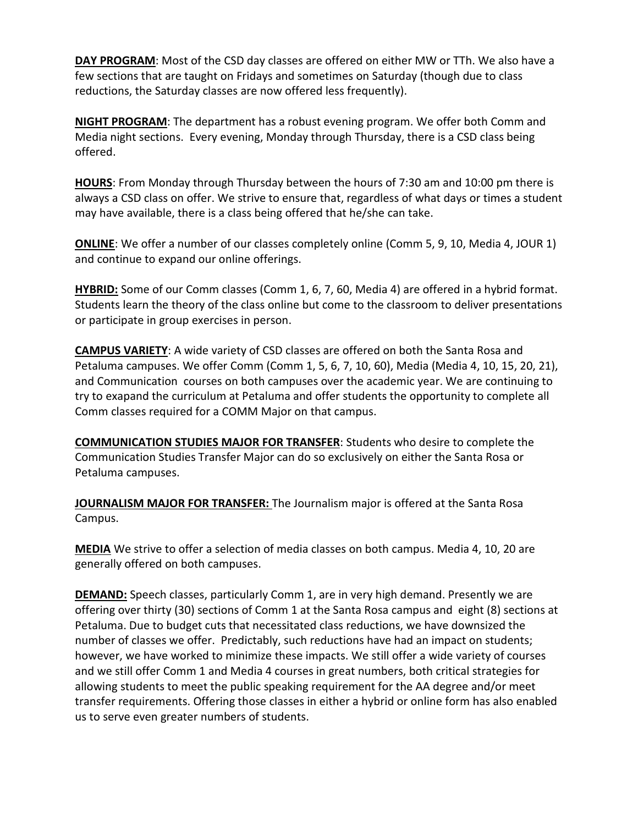**DAY PROGRAM**: Most of the CSD day classes are offered on either MW or TTh. We also have a few sections that are taught on Fridays and sometimes on Saturday (though due to class reductions, the Saturday classes are now offered less frequently).

**NIGHT PROGRAM**: The department has a robust evening program. We offer both Comm and Media night sections. Every evening, Monday through Thursday, there is a CSD class being offered.

**HOURS**: From Monday through Thursday between the hours of 7:30 am and 10:00 pm there is always a CSD class on offer. We strive to ensure that, regardless of what days or times a student may have available, there is a class being offered that he/she can take.

**ONLINE**: We offer a number of our classes completely online (Comm 5, 9, 10, Media 4, JOUR 1) and continue to expand our online offerings.

**HYBRID:** Some of our Comm classes (Comm 1, 6, 7, 60, Media 4) are offered in a hybrid format. Students learn the theory of the class online but come to the classroom to deliver presentations or participate in group exercises in person.

**CAMPUS VARIETY**: A wide variety of CSD classes are offered on both the Santa Rosa and Petaluma campuses. We offer Comm (Comm 1, 5, 6, 7, 10, 60), Media (Media 4, 10, 15, 20, 21), and Communication courses on both campuses over the academic year. We are continuing to try to exapand the curriculum at Petaluma and offer students the opportunity to complete all Comm classes required for a COMM Major on that campus.

**COMMUNICATION STUDIES MAJOR FOR TRANSFER**: Students who desire to complete the Communication Studies Transfer Major can do so exclusively on either the Santa Rosa or Petaluma campuses.

**JOURNALISM MAJOR FOR TRANSFER:** The Journalism major is offered at the Santa Rosa Campus.

**MEDIA** We strive to offer a selection of media classes on both campus. Media 4, 10, 20 are generally offered on both campuses.

**DEMAND:** Speech classes, particularly Comm 1, are in very high demand. Presently we are offering over thirty (30) sections of Comm 1 at the Santa Rosa campus and eight (8) sections at Petaluma. Due to budget cuts that necessitated class reductions, we have downsized the number of classes we offer. Predictably, such reductions have had an impact on students; however, we have worked to minimize these impacts. We still offer a wide variety of courses and we still offer Comm 1 and Media 4 courses in great numbers, both critical strategies for allowing students to meet the public speaking requirement for the AA degree and/or meet transfer requirements. Offering those classes in either a hybrid or online form has also enabled us to serve even greater numbers of students.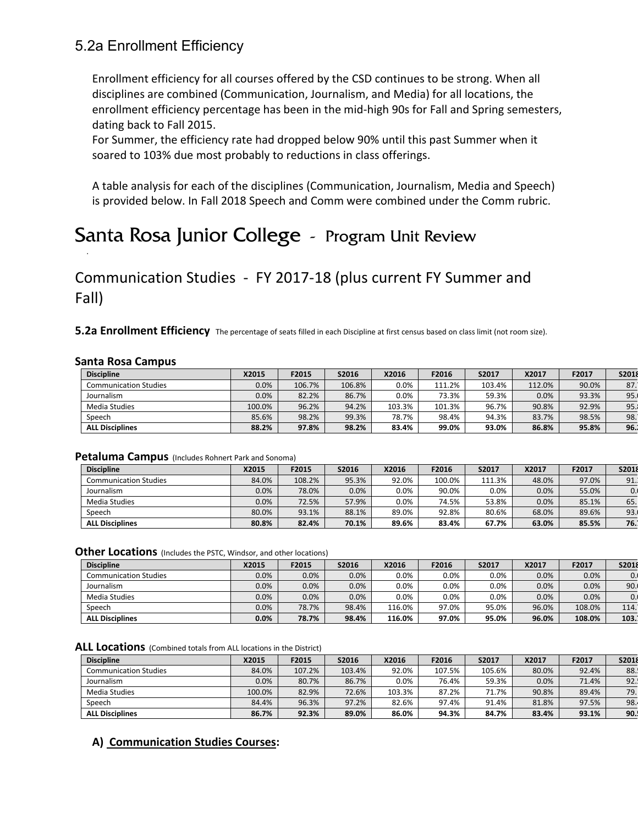### 5.2a Enrollment Efficiency

Enrollment efficiency for all courses offered by the CSD continues to be strong. When all disciplines are combined (Communication, Journalism, and Media) for all locations, the enrollment efficiency percentage has been in the mid-high 90s for Fall and Spring semesters, dating back to Fall 2015.

For Summer, the efficiency rate had dropped below 90% until this past Summer when it soared to 103% due most probably to reductions in class offerings.

A table analysis for each of the disciplines (Communication, Journalism, Media and Speech) is provided below. In Fall 2018 Speech and Comm were combined under the Comm rubric.

# Santa Rosa Junior College - Program Unit Review

Communication Studies - FY 2017-18 (plus current FY Summer and Fall)

**5.2a Enrollment Efficiency** The percentage of seats filled in each Discipline at first census based on class limit (not room size).

#### **Santa Rosa Campus**

.

| <b>Discipline</b>            | X2015   | F2015  | S2016  | X2016   | F2016  | S2017  | X2017  | F2017 | S2018 |
|------------------------------|---------|--------|--------|---------|--------|--------|--------|-------|-------|
| <b>Communication Studies</b> | $0.0\%$ | 106.7% | 106.8% | $0.0\%$ | 111.2% | 103.4% | 112.0% | 90.0% | 87.   |
| Journalism                   | $0.0\%$ | 82.2%  | 86.7%  | $0.0\%$ | 73.3%  | 59.3%  | 0.0%   | 93.3% | 95.   |
| <b>Media Studies</b>         | 100.0%  | 96.2%  | 94.2%  | 103.3%  | 101.3% | 96.7%  | 90.8%  | 92.9% | 95.1  |
| Speech                       | 85.6%   | 98.2%  | 99.3%  | 78.7%   | 98.4%  | 94.3%  | 83.7%  | 98.5% | 98.   |
| <b>ALL Disciplines</b>       | 88.2%   | 97.8%  | 98.2%  | 83.4%   | 99.0%  | 93.0%  | 86.8%  | 95.8% | 96.1  |

#### **Petaluma Campus** (Includes Rohnert Park and Sonoma)

| <b>Discipline</b>            | X2015 | F2015  | S2016 | X2016   | F2016  | S2017  | X2017 | F2017 | S2018 |
|------------------------------|-------|--------|-------|---------|--------|--------|-------|-------|-------|
| <b>Communication Studies</b> | 84.0% | 108.2% | 95.3% | 92.0%   | 100.0% | 111.3% | 48.0% | 97.0% | 91.   |
| Journalism                   | 0.0%  | 78.0%  | 0.0%  | $0.0\%$ | 90.0%  | 0.0%   | 0.0%  | 55.0% | 0.    |
| Media Studies                | 0.0%  | 72.5%  | 57.9% | $0.0\%$ | 74.5%  | 53.8%  | 0.0%  | 85.1% | 65.   |
| Speech                       | 80.0% | 93.1%  | 88.1% | 89.0%   | 92.8%  | 80.6%  | 68.0% | 89.6% | 93.   |
| <b>ALL Disciplines</b>       | 80.8% | 82.4%  | 70.1% | 89.6%   | 83.4%  | 67.7%  | 63.0% | 85.5% | 76.1  |

**Other Locations** (Includes the PSTC, Windsor, and other locations)

| <b>Discipline</b>            | X2015   | F2015   | S2016 | X2016   | F2016   | S2017   | X2017 | F2017  | S2018 |
|------------------------------|---------|---------|-------|---------|---------|---------|-------|--------|-------|
| <b>Communication Studies</b> | 0.0%    | $0.0\%$ | 0.0%  | $0.0\%$ | $0.0\%$ | $0.0\%$ | 0.0%  | 0.0%   | 0.1   |
| Journalism                   | 0.0%    | 0.0%    | 0.0%  | $0.0\%$ | $0.0\%$ | $0.0\%$ | 0.0%  | 0.0%   | 90.   |
| Media Studies                | 0.0%    | 0.0%    | 0.0%  | $0.0\%$ | $0.0\%$ | $0.0\%$ | 0.0%  | 0.0%   | 0.1   |
| Speech                       | $0.0\%$ | 78.7%   | 98.4% | 116.0%  | 97.0%   | 95.0%   | 96.0% | 108.0% | 114.  |
| <b>ALL Disciplines</b>       | 0.0%    | 78.7%   | 98.4% | 116.0%  | 97.0%   | 95.0%   | 96.0% | 108.0% | 103.1 |

ALL Locations (Combined totals from ALL locations in the District)

| <b>Discipline</b>            | X2015   | F2015  | S2016  | X2016  | F2016  | S2017  | X2017 | F2017 | S2018 |
|------------------------------|---------|--------|--------|--------|--------|--------|-------|-------|-------|
| <b>Communication Studies</b> | 84.0%   | 107.2% | 103.4% | 92.0%  | 107.5% | 105.6% | 80.0% | 92.4% | 88.   |
| Journalism                   | $0.0\%$ | 80.7%  | 86.7%  | 0.0%   | 76.4%  | 59.3%  | 0.0%  | 71.4% | 92.   |
| <b>Media Studies</b>         | 100.0%  | 82.9%  | 72.6%  | 103.3% | 87.2%  | 71.7%  | 90.8% | 89.4% | 79.   |
| Speech                       | 84.4%   | 96.3%  | 97.2%  | 82.6%  | 97.4%  | 91.4%  | 81.8% | 97.5% | 98.   |
| <b>ALL Disciplines</b>       | 86.7%   | 92.3%  | 89.0%  | 86.0%  | 94.3%  | 84.7%  | 83.4% | 93.1% | 90.   |

### **A) Communication Studies Courses:**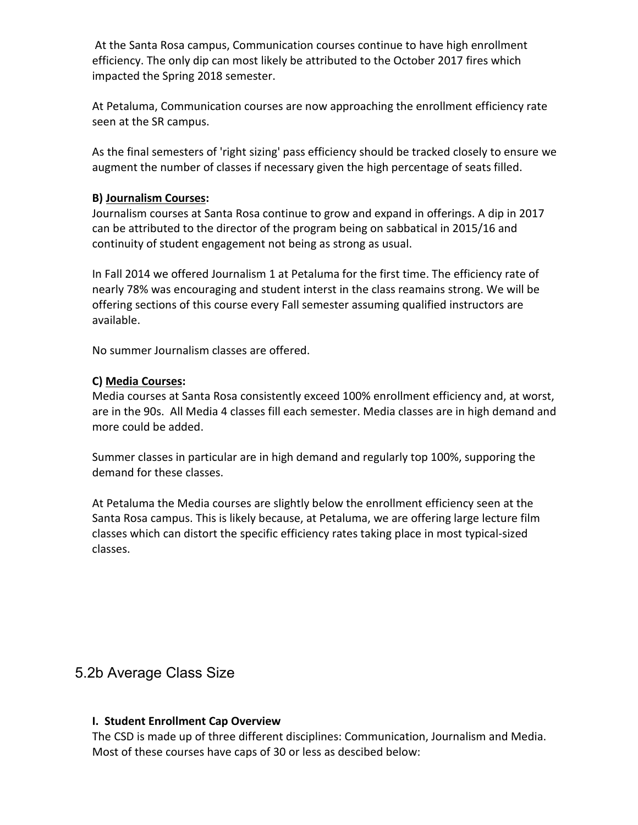At the Santa Rosa campus, Communication courses continue to have high enrollment efficiency. The only dip can most likely be attributed to the October 2017 fires which impacted the Spring 2018 semester.

At Petaluma, Communication courses are now approaching the enrollment efficiency rate seen at the SR campus.

As the final semesters of 'right sizing' pass efficiency should be tracked closely to ensure we augment the number of classes if necessary given the high percentage of seats filled.

#### **B) Journalism Courses:**

Journalism courses at Santa Rosa continue to grow and expand in offerings. A dip in 2017 can be attributed to the director of the program being on sabbatical in 2015/16 and continuity of student engagement not being as strong as usual.

In Fall 2014 we offered Journalism 1 at Petaluma for the first time. The efficiency rate of nearly 78% was encouraging and student interst in the class reamains strong. We will be offering sections of this course every Fall semester assuming qualified instructors are available.

No summer Journalism classes are offered.

#### **C) Media Courses:**

Media courses at Santa Rosa consistently exceed 100% enrollment efficiency and, at worst, are in the 90s. All Media 4 classes fill each semester. Media classes are in high demand and more could be added.

Summer classes in particular are in high demand and regularly top 100%, supporing the demand for these classes.

At Petaluma the Media courses are slightly below the enrollment efficiency seen at the Santa Rosa campus. This is likely because, at Petaluma, we are offering large lecture film classes which can distort the specific efficiency rates taking place in most typical-sized classes.

### 5.2b Average Class Size

### **I. Student Enrollment Cap Overview**

The CSD is made up of three different disciplines: Communication, Journalism and Media. Most of these courses have caps of 30 or less as descibed below: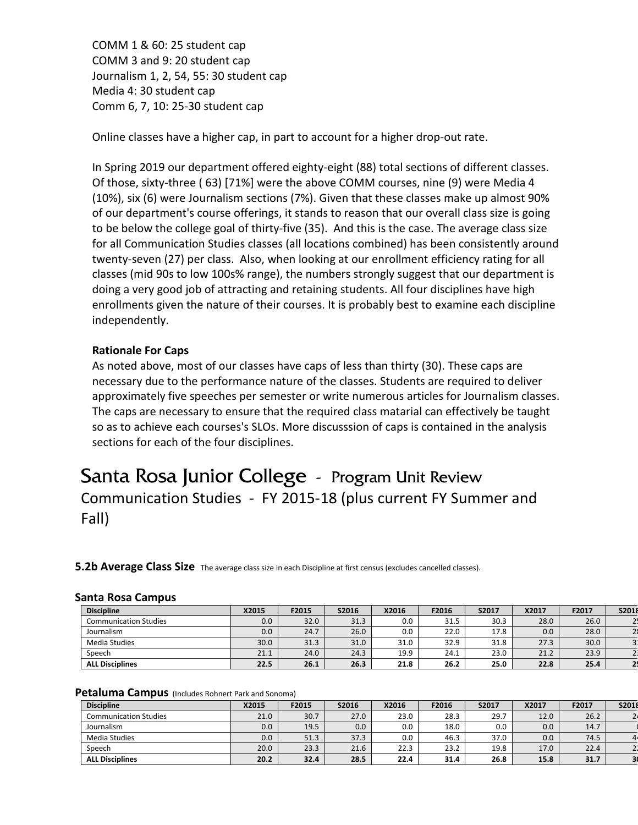COMM 1 & 60: 25 student cap COMM 3 and 9: 20 student cap Journalism 1, 2, 54, 55: 30 student cap Media 4: 30 student cap Comm 6, 7, 10: 25-30 student cap

Online classes have a higher cap, in part to account for a higher drop-out rate.

In Spring 2019 our department offered eighty-eight (88) total sections of different classes. Of those, sixty-three ( 63) [71%] were the above COMM courses, nine (9) were Media 4 (10%), six (6) were Journalism sections (7%). Given that these classes make up almost 90% of our department's course offerings, it stands to reason that our overall class size is going to be below the college goal of thirty-five (35). And this is the case. The average class size for all Communication Studies classes (all locations combined) has been consistently around twenty-seven (27) per class. Also, when looking at our enrollment efficiency rating for all classes (mid 90s to low 100s% range), the numbers strongly suggest that our department is doing a very good job of attracting and retaining students. All four disciplines have high enrollments given the nature of their courses. It is probably best to examine each discipline independently.

#### **Rationale For Caps**

As noted above, most of our classes have caps of less than thirty (30). These caps are necessary due to the performance nature of the classes. Students are required to deliver approximately five speeches per semester or write numerous articles for Journalism classes. The caps are necessary to ensure that the required class matarial can effectively be taught so as to achieve each courses's SLOs. More discusssion of caps is contained in the analysis sections for each of the four disciplines.

# Santa Rosa Junior College - Program Unit Review Communication Studies - FY 2015-18 (plus current FY Summer and Fall)

**5.2b Average Class Size** The average class size in each Discipline at first census (excludes cancelled classes).

|  | <b>Santa Rosa Campus</b> |  |
|--|--------------------------|--|
|  |                          |  |

| <b>Discipline</b>            | X2015 | F2015 | S2016 | X2016 | F2016 | S2017 | X2017 | F2017 | S2018          |
|------------------------------|-------|-------|-------|-------|-------|-------|-------|-------|----------------|
| <b>Communication Studies</b> | 0.0   | 32.0  | 31.3  | 0.0   | 31.5  | 30.3  | 28.0  | 26.0  |                |
| Journalism                   | 0.0   | 24.7  | 26.0  | 0.0   | 22.0  | 17.8  | 0.0   | 28.0  |                |
| <b>Media Studies</b>         | 30.0  | 31.3  | 31.0  | 31.0  | 32.9  | 31.8  | 27.3  | 30.0  | $\overline{3}$ |
| Speech                       | 21.1  | 24.0  | 24.3  | 19.9  | 24.1  | 23.0  | 21.2  | 23.9  |                |
| <b>ALL Disciplines</b>       | 22.5  | 26.1  | 26.3  | 21.8  | 26.2  | 25.0  | 22.8  | 25.4  |                |

#### **Petaluma Campus** (Includes Rohnert Park and Sonoma)

| <b>Discipline</b>            | X2015 | F2015 | S2016 | X2016 | F2016 | S2017 | X2017 | F2017 | S2018                   |
|------------------------------|-------|-------|-------|-------|-------|-------|-------|-------|-------------------------|
| <b>Communication Studies</b> | 21.0  | 30.7  | 27.0  | 23.0  | 28.3  | 29.7  | 12.0  | 26.2  |                         |
| Journalism                   | 0.0   | 19.5  | 0.0   | 0.0   | 18.0  | 0.0   | 0.0   | 14.7  |                         |
| <b>Media Studies</b>         | 0.0   | 51.3  | 37.3  | 0.0   | 46.3  | 37.0  | 0.0   | 74.5  |                         |
| Speech                       | 20.0  | 23.3  | 21.6  | 22.3  | 23.2  | 19.8  | 17.0  | 22.4  |                         |
| <b>ALL Disciplines</b>       | 20.2  | 32.4  | 28.5  | 22.4  | 31.4  | 26.8  | 15.8  | 31.7  | $\overline{\mathbf{3}}$ |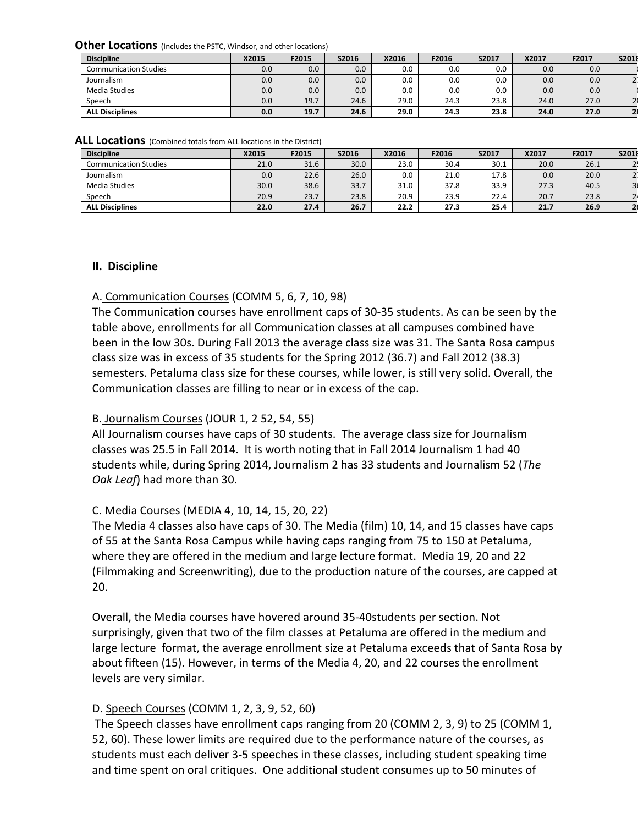**Other Locations** (Includes the PSTC, Windsor, and other locations)

| <b>Discipline</b>            | X2015 | F2015 | S2016 | X2016 | F2016   | S2017 | X2017 | F2017 | S2018 |
|------------------------------|-------|-------|-------|-------|---------|-------|-------|-------|-------|
| <b>Communication Studies</b> | 0.0   | 0.0   | 0.0   | 0.0   | $0.0\,$ | 0.0   | 0.0   | 0.0   |       |
| Journalism                   | 0.0   | 0.0   | 0.0   | 0.0   | 0.0     | 0.0   | 0.0   | 0.0   |       |
| Media Studies                | 0.0   | 0.0   | 0.0   | 0.0   | 0.0     | 0.0   | 0.0   | 0.0   |       |
| Speech                       | 0.0   | 19.7  | 24.6  | 29.0  | 24.3    | 23.8  | 24.0  | 27.0  |       |
| <b>ALL Disciplines</b>       | 0.0   | 19.7  | 24.6  | 29.0  | 24.3    | 23.8  | 24.0  | 27.0  |       |

|  |  | ALL Locations (Combined totals from ALL locations in the District) |  |  |  |  |
|--|--|--------------------------------------------------------------------|--|--|--|--|
|--|--|--------------------------------------------------------------------|--|--|--|--|

| <b>Discipline</b>            | X2015 | F2015 | S2016 | X2016 | F2016 | S2017 | X2017 | F2017 | S2018 |
|------------------------------|-------|-------|-------|-------|-------|-------|-------|-------|-------|
| <b>Communication Studies</b> | 21.0  | 31.6  | 30.0  | 23.0  | 30.4  | 30.1  | 20.0  | 26.1  |       |
| Journalism                   | 0.0   | 22.6  | 26.0  | 0.0   | 21.0  | 17.8  | 0.0   | 20.0  |       |
| Media Studies                | 30.0  | 38.6  | 33.7  | 31.0  | 37.8  | 33.9  | 27.3  | 40.5  |       |
| Speech                       | 20.9  | 23.7  | 23.8  | 20.9  | 23.9  | 22.4  | 20.7  | 23.8  |       |
| <b>ALL Disciplines</b>       | 22.0  | 27.4  | 26.7  | 22.2  | 27.3  | 25.4  | 21.7  | 26.9  |       |

#### **II. Discipline**

#### A. Communication Courses (COMM 5, 6, 7, 10, 98)

The Communication courses have enrollment caps of 30-35 students. As can be seen by the table above, enrollments for all Communication classes at all campuses combined have been in the low 30s. During Fall 2013 the average class size was 31. The Santa Rosa campus class size was in excess of 35 students for the Spring 2012 (36.7) and Fall 2012 (38.3) semesters. Petaluma class size for these courses, while lower, is still very solid. Overall, the Communication classes are filling to near or in excess of the cap.

#### B. Journalism Courses (JOUR 1, 2 52, 54, 55)

All Journalism courses have caps of 30 students. The average class size for Journalism classes was 25.5 in Fall 2014. It is worth noting that in Fall 2014 Journalism 1 had 40 students while, during Spring 2014, Journalism 2 has 33 students and Journalism 52 (*The Oak Leaf*) had more than 30.

#### C. Media Courses (MEDIA 4, 10, 14, 15, 20, 22)

The Media 4 classes also have caps of 30. The Media (film) 10, 14, and 15 classes have caps of 55 at the Santa Rosa Campus while having caps ranging from 75 to 150 at Petaluma, where they are offered in the medium and large lecture format. Media 19, 20 and 22 (Filmmaking and Screenwriting), due to the production nature of the courses, are capped at 20.

Overall, the Media courses have hovered around 35-40students per section. Not surprisingly, given that two of the film classes at Petaluma are offered in the medium and large lecture format, the average enrollment size at Petaluma exceeds that of Santa Rosa by about fifteen (15). However, in terms of the Media 4, 20, and 22 courses the enrollment levels are very similar.

#### D. Speech Courses (COMM 1, 2, 3, 9, 52, 60)

The Speech classes have enrollment caps ranging from 20 (COMM 2, 3, 9) to 25 (COMM 1, 52, 60). These lower limits are required due to the performance nature of the courses, as students must each deliver 3-5 speeches in these classes, including student speaking time and time spent on oral critiques. One additional student consumes up to 50 minutes of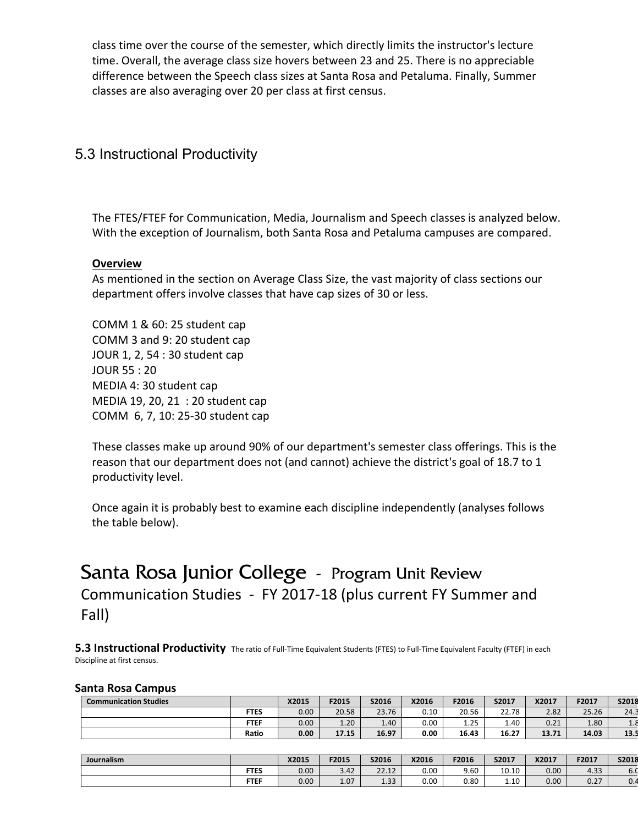class time over the course of the semester, which directly limits the instructor's lecture time. Overall, the average class size hovers between 23 and 25. There is no appreciable difference between the Speech class sizes at Santa Rosa and Petaluma. Finally, Summer classes are also averaging over 20 per class at first census.

### 5.3 Instructional Productivity

The FTES/FTEF for Communication, Media, Journalism and Speech classes is analyzed below. With the exception of Journalism, both Santa Rosa and Petaluma campuses are compared.

#### **Overview**

As mentioned in the section on Average Class Size, the vast majority of class sections our department offers involve classes that have cap sizes of 30 or less.

COMM 1 & 60: 25 student cap COMM 3 and 9: 20 student cap JOUR 1, 2, 54 : 30 student cap JOUR 55 : 20 MEDIA 4: 30 student cap MEDIA 19, 20, 21 : 20 student cap COMM 6, 7, 10: 25-30 student cap

These classes make up around 90% of our department's semester class offerings. This is the reason that our department does not (and cannot) achieve the district's goal of 18.7 to 1 productivity level.

Once again it is probably best to examine each discipline independently (analyses follows the table below).

# Santa Rosa Junior College - Program Unit Review Communication Studies - FY 2017-18 (plus current FY Summer and Fall)

**5.3 Instructional Productivity** The ratio of Full-Time Equivalent Students (FTES) to Full-Time Equivalent Faculty (FTEF) in each Discipline at first census.

#### **Santa Rosa Campus**

| <b>Communication Studies</b> |             | X2015             | F2015 | S2016 | X2016 | F2016           | S2017 | X2017 | F2017 | S2018                       |
|------------------------------|-------------|-------------------|-------|-------|-------|-----------------|-------|-------|-------|-----------------------------|
|                              | <b>FTES</b> | 0.00              | 20.58 | 23.76 | 0.10  | 20.56           | 22.78 | 2.82  | 25.26 | 24.3                        |
|                              | <b>FTEF</b> | 0.00 <sub>1</sub> | 1.20  | 1.40  | 0.00  | <b>DE</b><br>ᆠᇆ | 1.40  | 0.21  | 1.80  | $\mathbf{A}$ . $\mathbf{C}$ |
|                              | Ratio       | 0.00              | 17.15 | 16.97 | 0.00  | 16.43           | 16.27 | 13.71 | 14.03 | 13.5                        |

| Journalism |             | X2015 | F2015 | S2016          | X2016 | F2016 | S2017 | X2017 | F2017 | S2018 |
|------------|-------------|-------|-------|----------------|-------|-------|-------|-------|-------|-------|
|            | <b>FTES</b> | 0.00  | 3.42  | 22.12<br>22.12 | 0.00  | 9.60  | 10.10 | 0.00  | 4.33  | 6.0   |
|            | <b>FTEF</b> | 0.00  | 1.07  | 122<br>دد.⊥    | 0.00  | 0.80  | 1.10  | 0.00  | 0.27  | ،0    |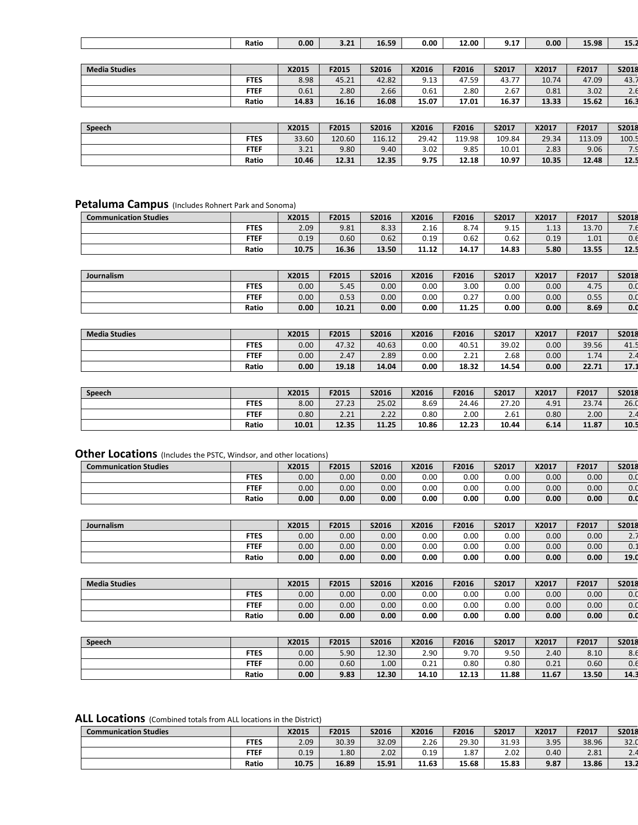|                      | Ratio       | 0.00  | 3.21  | 16.59 | 0.00  | 12.00 | 9.17  | 0.00  | 15.98 | 15.2  |
|----------------------|-------------|-------|-------|-------|-------|-------|-------|-------|-------|-------|
|                      |             |       |       |       |       |       |       |       |       |       |
| <b>Media Studies</b> |             | X2015 | F2015 | S2016 | X2016 | F2016 | S2017 | X2017 | F2017 | S2018 |
|                      | <b>FTES</b> | 8.98  | 45.21 | 42.82 | 9.13  | 47.59 | 43.77 | 10.74 | 47.09 | 43.7  |
|                      | <b>FTEF</b> | 0.61  | 2.80  | 2.66  | 0.61  | 2.80  | 2.67  | 0.81  | 3.02  | 2.6   |
|                      | Ratio       | 14.83 | 16.16 | 16.08 | 15.07 | 17.01 | 16.37 | 13.33 | 15.62 | 16.3  |
|                      |             |       |       |       |       |       |       |       |       |       |

| Speech |             | X2015 | F2015  | S2016  | X2016 | F2016  | S2017  | X2017 | F2017  | S2018               |
|--------|-------------|-------|--------|--------|-------|--------|--------|-------|--------|---------------------|
|        | <b>FTES</b> | 33.60 | 120.60 | 116.12 | 29.42 | 119.98 | 109.84 | 29.34 | 113.09 | 100.5               |
|        | <b>FTEF</b> | 3.21  | 9.80   | 9.40   | 3.02  | 9.85   | 10.01  | 2.83  | 9.06   | $\overline{z}$<br>ا |
|        | Ratio       | 10.46 | 12.31  | 12.35  | 9.75  | 12.18  | 10.97  | 10.35 | 12.48  | 12.5                |

### **Petaluma Campus** (Includes Rohnert Park and Sonoma)

| <b>Communication Studies</b> |             | X2015 | F2015 | S2016 | X2016 | F2016 | S2017 | X2017 | F2017 | S2018 |
|------------------------------|-------------|-------|-------|-------|-------|-------|-------|-------|-------|-------|
|                              | <b>FTES</b> | 2.09  | 9.81  | 8.33  | 2.16  | 8.74  | 9.15  | 1.13  | 13.70 | ۰. تا |
|                              | <b>FTEF</b> | 0.19  | 0.60  | 0.62  | 0.19  | 0.62  | 0.62  | 0.19  | 1.01  | 0.6   |
|                              | Ratio       | 10.75 | 16.36 | 13.50 | 11.12 | 14.17 | 14.83 | 5.80  | 13.55 | 12.5  |

| Journalism |             | X2015 | F2015 | S2016 | X2016 | F2016        | S2017 | X2017 | F2017 | S2018 |
|------------|-------------|-------|-------|-------|-------|--------------|-------|-------|-------|-------|
|            | <b>FTES</b> | 0.00  | 5.45  | 0.00  | 0.00  | 3.00         | 0.00  | 0.00  | 4.75  | 0.0   |
|            | <b>FTEF</b> | 0.00  | 0.53  | 0.00  | 0.00  | 0.27<br>U.Z. | 0.00  | 0.00  | 0.55  | 0.0   |
|            | Ratio       | 0.00  | 10.21 | 0.00  | 0.00  | 11.25        | 0.00  | 0.00  | 8.69  | 0.0   |

| <b>Media Studies</b> |             | X2015 | F2015 | S2016 | X2016 | F2016 | S2017 | X2017             | F2017 | S2018      |
|----------------------|-------------|-------|-------|-------|-------|-------|-------|-------------------|-------|------------|
|                      | <b>FTES</b> | 0.00  | 47.32 | 40.63 | 0.00  | 40.51 | 39.02 | 0.00              | 39.56 | 41.5       |
|                      | FTEF        | 0.00  | 2.47  | 2.89  | 0.00  | 2.21  | 2.68  | 0.00 <sub>1</sub> | 1.74  | $\sim$ . – |
|                      | Ratio       | 0.00  | 19.18 | 14.04 | 0.00  | 18.32 | 14.54 | 0.00              | 22.71 | 17.1       |

| Speech |             | X2015 | F2015 | S2016 | X2016 | F2016 | S2017 | X2017 | F2017 | S2018   |
|--------|-------------|-------|-------|-------|-------|-------|-------|-------|-------|---------|
|        | <b>FTES</b> | 8.00  | 27.23 | 25.02 | 8.69  | 24.46 | 27.20 | 4.91  | 23.74 | 26.0    |
|        | <b>FTEF</b> | 0.80  | 2.21  | 2.22  | 0.80  | 2.00  | 2.61  | 0.80  | 2.00  | <u></u> |
|        | Ratio       | 10.01 | 12.35 | 11.25 | 10.86 | 12.23 | 10.44 | 6.14  | 11.87 | 10.5    |

#### **Other Locations** (Includes the PSTC, Windsor, and other locations)

| <b>Communication Studies</b> |             | X2015 | F2015 | S2016             | X2016 | F2016 | S2017 | X2017 | F2017             | S2018 |
|------------------------------|-------------|-------|-------|-------------------|-------|-------|-------|-------|-------------------|-------|
|                              | <b>FTES</b> | 0.00  | 0.00  | $0.00\,$          | 0.00  | 0.00  | 0.00  | 0.00  | 0.00 <sub>1</sub> | 0.0   |
|                              | <b>FTEF</b> | 0.00  | 0.00  | 0.00 <sub>1</sub> | 0.00  | 0.00  | 0.00  | 0.00  | 0.00              | 0.0   |
|                              | Ratio       | 0.00  | 0.00  | 0.00 <sub>1</sub> | 0.00  | 0.00  | 0.00  | 0.00  | 0.00 <sub>1</sub> | 0.0   |

| Journalism |             | X2015 | F2015 | S2016             | X2016    | F2016 | S2017 | X2017 | F2017 | S2018 |
|------------|-------------|-------|-------|-------------------|----------|-------|-------|-------|-------|-------|
|            | <b>FTES</b> | 0.00  | 0.00  | 0.00 <sub>1</sub> | $0.00\,$ | 0.00  | 0.00  | 0.00  | 0.00  | 2.7   |
|            | <b>FTEF</b> | 0.00  | 0.00  | 0.00              | 0.00     | 0.00  | 0.00  | 0.00  | 0.00  | 0.1   |
|            | Ratio       | 0.00  | 0.00  | 0.00              | 0.00     | 0.00  | 0.00  | 0.00  | 0.00  | 19.0  |

| <b>Media Studies</b> |             | X2015             | F2015 | S2016 | X2016 | F2016 | S2017 | X2017 | F2017 | S2018 |
|----------------------|-------------|-------------------|-------|-------|-------|-------|-------|-------|-------|-------|
|                      | <b>FTES</b> | 0.00              | 0.00  | 0.00  | 0.00  | 0.00  | 0.00  | 0.00  | 0.00  | 0.0   |
|                      | <b>FTEF</b> | 0.00 <sub>1</sub> | 0.00  | 0.00  | 0.00  | 0.00  | 0.00  | 0.00  | 0.00  | 0.0   |
|                      | Ratio       | 0.00              | 0.00  | 0.00  | 0.00  | 0.00  | 0.00  | 0.00  | 0.00  | 0.0   |

| Speech |             | X2015    | F2015 | S2016 | X2016 | F2016 | S2017 | X2017 | F2017 | S2018           |
|--------|-------------|----------|-------|-------|-------|-------|-------|-------|-------|-----------------|
|        | <b>FTES</b> | $0.00\,$ | 5.90  | 12.30 | 2.90  | 9.70  | 9.50  | 2.40  | 8.10  | $\Omega$<br>ŏ.t |
|        | <b>FTEF</b> | 0.00     | 0.60  | 1.00  | 0.21  | 0.80  | 0.80  | 0.21  | 0.60  | 0.6             |
|        | Ratio       | 0.00     | 9.83  | 12.30 | 14.10 | 12.13 | 11.88 | 11.67 | 13.50 | 14.3            |

### **ALL Locations** (Combined totals from ALL locations in the District)

| <b>Communication Studies</b> |             | X2015 | F2015 | S2016 | X2016 | F2016 | S2017 | X2017 | F2017 | S2018   |
|------------------------------|-------------|-------|-------|-------|-------|-------|-------|-------|-------|---------|
|                              | <b>FTES</b> | 2.09  | 30.39 | 32.09 | 2.26  | 29.30 | 31.93 | 3.95  | 38.96 | 32.0    |
|                              | <b>FTEF</b> | 0.19  | 1.80  | 2.02  | 0.19  | 1.87  | 2.02  | 0.40  | 2.81  | <u></u> |
|                              | Ratio       | 10.75 | 16.89 | 15.91 | 11.63 | 15.68 | 15.83 | 9.87  | 13.86 | 13.2    |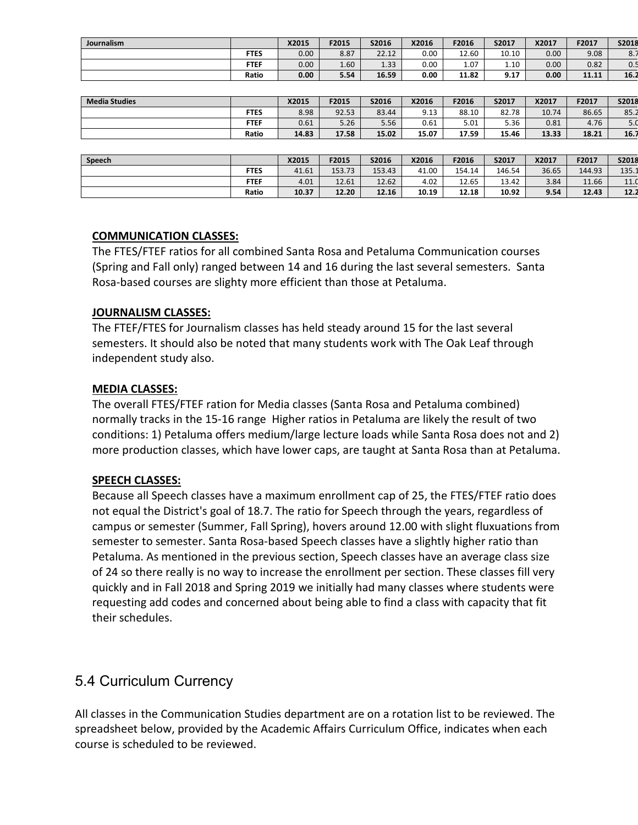| <b>Journalism</b> |             | X2015 | F2015 | S2016 | X2016 | F2016 | S2017 | X2017 | F2017 | S2018            |
|-------------------|-------------|-------|-------|-------|-------|-------|-------|-------|-------|------------------|
|                   | <b>FTES</b> | 0.00  | 8.87  | 22.12 | 0.00  | 12.60 | 10.10 | 0.00  | 9.08  | $\Omega$<br>o. / |
|                   | <b>FTEF</b> | 0.00  | 1.60  | 1.33  | 0.00  | 1.07  | 1.10  | 0.00  | 0.82  | υ.:              |
|                   | Ratio       | 0.00  | 5.54  | 16.59 | 0.00  | 11.82 | 9.17  | 0.00  | 11.11 | 16.2             |

| <b>Media Studies</b> |             | X2015 | F2015 | S2016 | X2016 | F2016 | S2017 | X2017 | F2017 | S2018 |
|----------------------|-------------|-------|-------|-------|-------|-------|-------|-------|-------|-------|
|                      | <b>FTES</b> | 8.98  | 92.53 | 83.44 | 9.13  | 88.10 | 82.78 | 10.74 | 86.65 | 85.2  |
|                      | <b>FTEF</b> | 0.61  | 5.26  | 5.56  | 0.61  | 5.01  | 5.36  | 0.81  | 4.76  | 5.0   |
|                      | Ratio       | 14.83 | 17.58 | 15.02 | 15.07 | 17.59 | 15.46 | 13.33 | 18.21 | 16.7  |

| Speech |             | X2015 | F2015  | S2016  | X2016 | F2016  | S2017  | X2017 | F2017  | S2018 |
|--------|-------------|-------|--------|--------|-------|--------|--------|-------|--------|-------|
|        | <b>FTES</b> | 41.61 | 153.73 | 153.43 | 41.00 | 154.14 | 146.54 | 36.65 | 144.93 | 135.1 |
|        | <b>FTEF</b> | 4.01  | 12.61  | 12.62  | 4.02  | 12.65  | 13.42  | 3.84  | 11.66  | 11.0  |
|        | Ratio       | 10.37 | 12.20  | 12.16  | 10.19 | 12.18  | 10.92  | 9.54  | 12.43  | 12.2  |

#### **COMMUNICATION CLASSES:**

The FTES/FTEF ratios for all combined Santa Rosa and Petaluma Communication courses (Spring and Fall only) ranged between 14 and 16 during the last several semesters. Santa Rosa-based courses are slighty more efficient than those at Petaluma.

#### **JOURNALISM CLASSES:**

The FTEF/FTES for Journalism classes has held steady around 15 for the last several semesters. It should also be noted that many students work with The Oak Leaf through independent study also.

#### **MEDIA CLASSES:**

The overall FTES/FTEF ration for Media classes (Santa Rosa and Petaluma combined) normally tracks in the 15-16 range Higher ratios in Petaluma are likely the result of two conditions: 1) Petaluma offers medium/large lecture loads while Santa Rosa does not and 2) more production classes, which have lower caps, are taught at Santa Rosa than at Petaluma.

#### **SPEECH CLASSES:**

Because all Speech classes have a maximum enrollment cap of 25, the FTES/FTEF ratio does not equal the District's goal of 18.7. The ratio for Speech through the years, regardless of campus or semester (Summer, Fall Spring), hovers around 12.00 with slight fluxuations from semester to semester. Santa Rosa-based Speech classes have a slightly higher ratio than Petaluma. As mentioned in the previous section, Speech classes have an average class size of 24 so there really is no way to increase the enrollment per section. These classes fill very quickly and in Fall 2018 and Spring 2019 we initially had many classes where students were requesting add codes and concerned about being able to find a class with capacity that fit their schedules.

### 5.4 Curriculum Currency

All classes in the Communication Studies department are on a rotation list to be reviewed. The spreadsheet below, provided by the Academic Affairs Curriculum Office, indicates when each course is scheduled to be reviewed.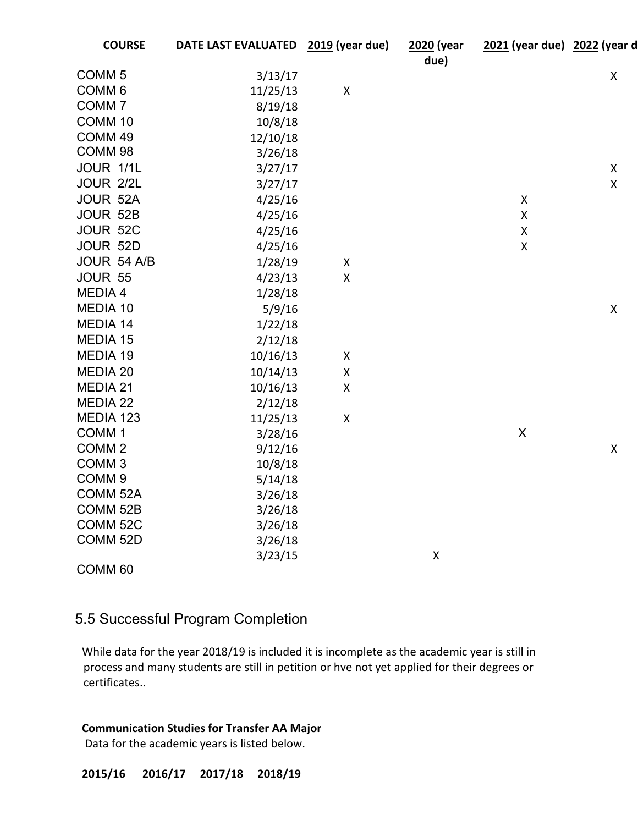| <b>COURSE</b>       | DATE LAST EVALUATED 2019 (year due) |                    | 2020 (year<br>due) | 2021 (year due) 2022 (year d |                           |
|---------------------|-------------------------------------|--------------------|--------------------|------------------------------|---------------------------|
| COMM <sub>5</sub>   | 3/13/17                             |                    |                    |                              | $\mathsf X$               |
| COMM <sub>6</sub>   | 11/25/13                            | $\pmb{\mathsf{X}}$ |                    |                              |                           |
| COMM <sub>7</sub>   | 8/19/18                             |                    |                    |                              |                           |
| COMM <sub>10</sub>  | 10/8/18                             |                    |                    |                              |                           |
| COMM 49             | 12/10/18                            |                    |                    |                              |                           |
| COMM <sub>98</sub>  | 3/26/18                             |                    |                    |                              |                           |
| JOUR 1/1L           | 3/27/17                             |                    |                    |                              | $\pmb{\times}$            |
| JOUR 2/2L           | 3/27/17                             |                    |                    |                              | $\pmb{\mathsf{X}}$        |
| JOUR 52A            | 4/25/16                             |                    |                    | $\pmb{\mathsf{X}}$           |                           |
| JOUR 52B            | 4/25/16                             |                    |                    | $\pmb{\mathsf{X}}$           |                           |
| JOUR 52C            | 4/25/16                             |                    |                    | $\pmb{\mathsf{X}}$           |                           |
| JOUR 52D            | 4/25/16                             |                    |                    | $\pmb{\mathsf{X}}$           |                           |
| JOUR 54 A/B         | 1/28/19                             | X                  |                    |                              |                           |
| JOUR 55             | 4/23/13                             | $\pmb{\mathsf{X}}$ |                    |                              |                           |
| MEDIA 4             | 1/28/18                             |                    |                    |                              |                           |
| MEDIA 10            | 5/9/16                              |                    |                    |                              | $\pmb{\times}$            |
| MEDIA 14            | 1/22/18                             |                    |                    |                              |                           |
| MEDIA 15            | 2/12/18                             |                    |                    |                              |                           |
| MEDIA 19            | 10/16/13                            | $\pmb{\mathsf{X}}$ |                    |                              |                           |
| MEDIA 20            | 10/14/13                            | $\pmb{\mathsf{X}}$ |                    |                              |                           |
| MEDIA 21            | 10/16/13                            | $\pmb{\mathsf{X}}$ |                    |                              |                           |
| <b>MEDIA 22</b>     | 2/12/18                             |                    |                    |                              |                           |
| MEDIA 123           | 11/25/13                            | $\pmb{\mathsf{X}}$ |                    |                              |                           |
| COMM <sub>1</sub>   | 3/28/16                             |                    |                    | $\mathsf X$                  |                           |
| COMM <sub>2</sub>   | 9/12/16                             |                    |                    |                              | $\boldsymbol{\mathsf{X}}$ |
| COMM <sub>3</sub>   | 10/8/18                             |                    |                    |                              |                           |
| COMM <sub>9</sub>   | 5/14/18                             |                    |                    |                              |                           |
| COMM <sub>52A</sub> | 3/26/18                             |                    |                    |                              |                           |
| COMM <sub>52B</sub> | 3/26/18                             |                    |                    |                              |                           |
| COMM <sub>52C</sub> | 3/26/18                             |                    |                    |                              |                           |
| COMM <sub>52D</sub> | 3/26/18                             |                    |                    |                              |                           |
|                     | 3/23/15                             |                    | $\pmb{\mathsf{X}}$ |                              |                           |
| COMM <sub>60</sub>  |                                     |                    |                    |                              |                           |

## 5.5 Successful Program Completion

While data for the year 2018/19 is included it is incomplete as the academic year is still in process and many students are still in petition or hve not yet applied for their degrees or certificates..

**Communication Studies for Transfer AA Major**

Data for the academic years is listed below.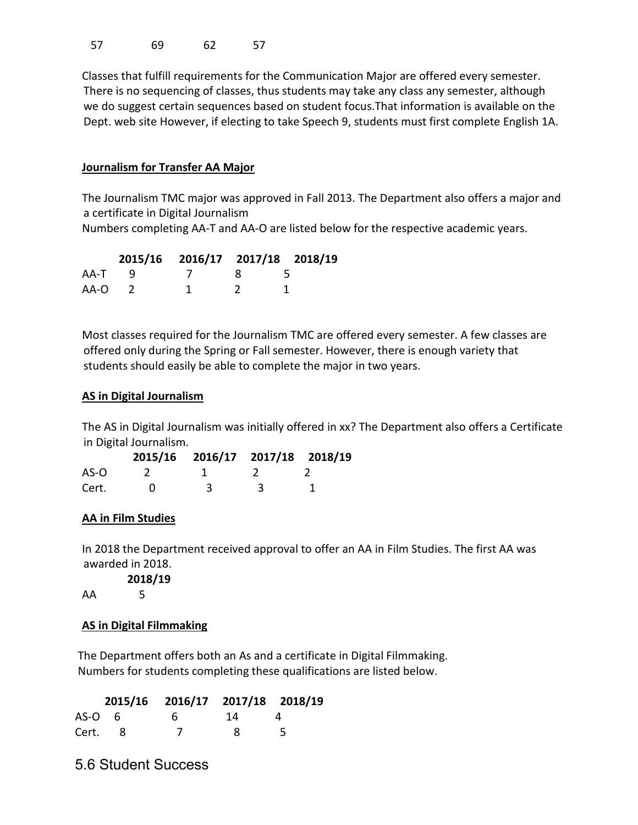57 69 62 57

Classes that fulfill requirements for the Communication Major are offered every semester. There is no sequencing of classes, thus students may take any class any semester, although we do suggest certain sequences based on student focus.That information is available on the Dept. web site However, if electing to take Speech 9, students must first complete English 1A.

#### **Journalism for Transfer AA Major**

The Journalism TMC major was approved in Fall 2013. The Department also offers a major and a certificate in Digital Journalism

Numbers completing AA-T and AA-O are listed below for the respective academic years.

|      | 2015/16 2016/17 2017/18 2018/19 |      |  |
|------|---------------------------------|------|--|
| AA-T |                                 | - 82 |  |
| AA-O |                                 |      |  |

Most classes required for the Journalism TMC are offered every semester. A few classes are offered only during the Spring or Fall semester. However, there is enough variety that students should easily be able to complete the major in two years.

#### **AS in Digital Journalism**

The AS in Digital Journalism was initially offered in xx? The Department also offers a Certificate in Digital Journalism.

|       | 2015/16 2016/17 2017/18 2018/19 |  |
|-------|---------------------------------|--|
| AS-O  |                                 |  |
| Cert. | 3                               |  |

### **AA in Film Studies**

In 2018 the Department received approval to offer an AA in Film Studies. The first AA was awarded in 2018.

**2018/19**

AA 5

### **AS in Digital Filmmaking**

The Department offers both an As and a certificate in Digital Filmmaking. Numbers for students completing these qualifications are listed below.

|        | 2015/16 2016/17 2017/18 2018/19 |      |  |
|--------|---------------------------------|------|--|
| AS-O 6 | <sub>h</sub>                    | - 14 |  |
| Cert.  |                                 | -8   |  |

5.6 Student Success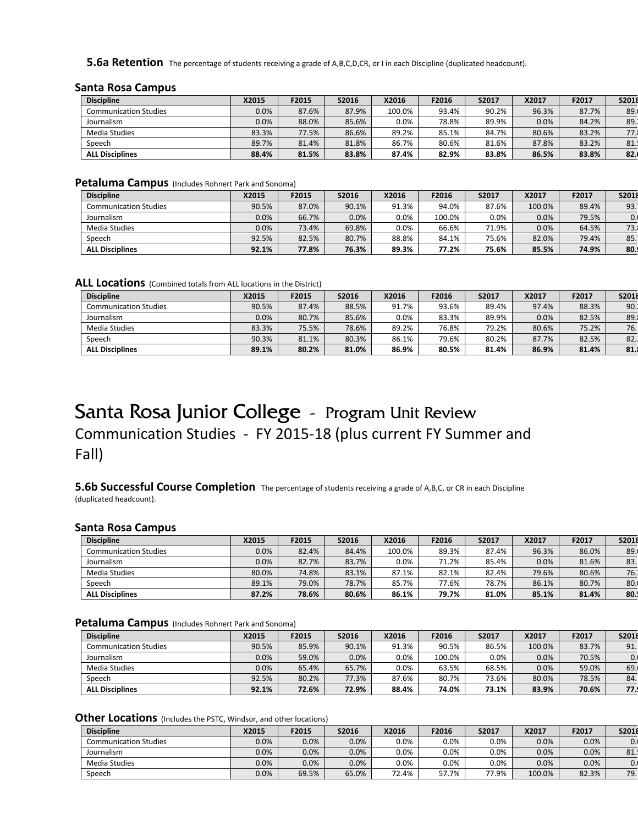**5.6a Retention** The percentage of students receiving a grade of A,B,C,D,CR, or I in each Discipline (duplicated headcount).

#### **Santa Rosa Campus**

| <b>Discipline</b>      | X2015   | F2015 | S2016 | X2016   | F2016 | S2017 | X2017 | F2017 | S2018 |
|------------------------|---------|-------|-------|---------|-------|-------|-------|-------|-------|
| Communication Studies  | $0.0\%$ | 87.6% | 87.9% | 100.0%  | 93.4% | 90.2% | 96.3% | 87.7% | 89.   |
| Journalism             | $0.0\%$ | 88.0% | 85.6% | $0.0\%$ | 78.8% | 89.9% | 0.0%  | 84.2% | 89.   |
| Media Studies          | 83.3%   | 77.5% | 86.6% | 89.2%   | 85.1% | 84.7% | 80.6% | 83.2% | 77.1  |
| Speech                 | 89.7%   | 81.4% | 81.8% | 86.7%   | 80.6% | 81.6% | 87.8% | 83.2% | 81.   |
| <b>ALL Disciplines</b> | 88.4%   | 81.5% | 83.8% | 87.4%   | 82.9% | 83.8% | 86.5% | 83.8% | 82.1  |

#### **Petaluma Campus** (Includes Rohnert Park and Sonoma)

| <b>Discipline</b>            | X2015   | F2015 | S2016 | X2016   | F2016  | S2017 | X2017  | F2017 | S2018 |
|------------------------------|---------|-------|-------|---------|--------|-------|--------|-------|-------|
| <b>Communication Studies</b> | 90.5%   | 87.0% | 90.1% | 91.3%   | 94.0%  | 87.6% | 100.0% | 89.4% | 93.   |
| Journalism                   | $0.0\%$ | 66.7% | 0.0%  | $0.0\%$ | 100.0% | 0.0%  | 0.0%   | 79.5% | 0.    |
| Media Studies                | $0.0\%$ | 73.4% | 69.8% | $0.0\%$ | 66.6%  | 71.9% | 0.0%   | 64.5% | 73.1  |
| Speech                       | 92.5%   | 82.5% | 80.7% | 88.8%   | 84.1%  | 75.6% | 82.0%  | 79.4% | 85.   |
| <b>ALL Disciplines</b>       | 92.1%   | 77.8% | 76.3% | 89.3%   | 77.2%  | 75.6% | 85.5%  | 74.9% | 80.1  |

#### **ALL Locations** (Combined totals from ALL locations in the District)

| <b>Discipline</b>            | X2015 | F2015 | S2016 | X2016   | F2016 | S2017 | X2017 | F2017 | S2018 |
|------------------------------|-------|-------|-------|---------|-------|-------|-------|-------|-------|
| <b>Communication Studies</b> | 90.5% | 87.4% | 88.5% | 91.7%   | 93.6% | 89.4% | 97.4% | 88.3% | 90.   |
| Journalism                   | 0.0%  | 80.7% | 85.6% | $0.0\%$ | 83.3% | 89.9% | 0.0%  | 82.5% | 89.   |
| Media Studies                | 83.3% | 75.5% | 78.6% | 89.2%   | 76.8% | 79.2% | 80.6% | 75.2% | 76.1  |
| Speech                       | 90.3% | 81.1% | 80.3% | 86.1%   | 79.6% | 80.2% | 87.7% | 82.5% | 82.   |
| <b>ALL Disciplines</b>       | 89.1% | 80.2% | 81.0% | 86.9%   | 80.5% | 81.4% | 86.9% | 81.4% | 81.1  |

# Santa Rosa Junior College - Program Unit Review Communication Studies - FY 2015-18 (plus current FY Summer and Fall)

### **5.6b Successful Course Completion** The percentage of students receiving a grade of A,B,C, or CR in each Discipline

(duplicated headcount).

#### **Santa Rosa Campus**

| <b>Discipline</b>      | X2015 | F2015 | S2016 | X2016   | F2016 | S2017 | X2017 | F2017 | S2018 |
|------------------------|-------|-------|-------|---------|-------|-------|-------|-------|-------|
| Communication Studies  | 0.0%  | 82.4% | 84.4% | 100.0%  | 89.3% | 87.4% | 96.3% | 86.0% | 89.   |
| Journalism             | 0.0%  | 82.7% | 83.7% | $0.0\%$ | 71.2% | 85.4% | 0.0%  | 81.6% | 83.   |
| Media Studies          | 80.0% | 74.8% | 83.1% | 87.1%   | 82.1% | 82.4% | 79.6% | 80.6% | 76.1  |
| Speech                 | 89.1% | 79.0% | 78.7% | 85.7%   | 77.6% | 78.7% | 86.1% | 80.7% | 80.1  |
| <b>ALL Disciplines</b> | 87.2% | 78.6% | 80.6% | 86.1%   | 79.7% | 81.0% | 85.1% | 81.4% | 80.   |

#### **Petaluma Campus** (Includes Rohnert Park and Sonoma)

| <b>Discipline</b>            | X2015   | F2015 | S2016 | X2016   | F2016  | S2017 | X2017  | F2017 | S2018 |
|------------------------------|---------|-------|-------|---------|--------|-------|--------|-------|-------|
| <b>Communication Studies</b> | 90.5%   | 85.9% | 90.1% | 91.3%   | 90.5%  | 86.5% | 100.0% | 83.7% | 91.1  |
| Journalism                   | $0.0\%$ | 59.0% | 0.0%  | $0.0\%$ | 100.0% | 0.0%  | 0.0%   | 70.5% | 0.    |
| Media Studies                | 0.0%    | 65.4% | 65.7% | $0.0\%$ | 63.5%  | 68.5% | 0.0%   | 59.0% | 69.   |
| Speech                       | 92.5%   | 80.2% | 77.3% | 87.6%   | 80.7%  | 73.6% | 80.0%  | 78.5% | 84.   |
| <b>ALL Disciplines</b>       | 92.1%   | 72.6% | 72.9% | 88.4%   | 74.0%  | 73.1% | 83.9%  | 70.6% | 77.   |

#### **Other Locations** (Includes the PSTC, Windsor, and other locations)

| <b>Discipline</b>            | X2015   | F2015 | S2016 | X2016 | F2016   | S2017   | X2017  | F2017 | <b>S2018</b> |
|------------------------------|---------|-------|-------|-------|---------|---------|--------|-------|--------------|
| <b>Communication Studies</b> | $0.0\%$ | 0.0%  | 0.0%  | 0.0%  | $0.0\%$ | $0.0\%$ | 0.0%   | 0.0%  | υ.,          |
| <b>Journalism</b>            | $0.0\%$ | 0.0%  | 0.0%  | 0.0%  | $0.0\%$ | $0.0\%$ | 0.0%   | 0.0%  | 81.          |
| <b>Media Studies</b>         | $0.0\%$ | 0.0%  | 0.0%  | 0.0%  | $0.0\%$ | 0.0%    | 0.0%   | 0.0%  | υ.           |
| Speech                       | 0.0%    | 69.5% | 65.0% | 72.4% | 57.7%   | 77.9%   | 100.0% | 82.3% | 79.1         |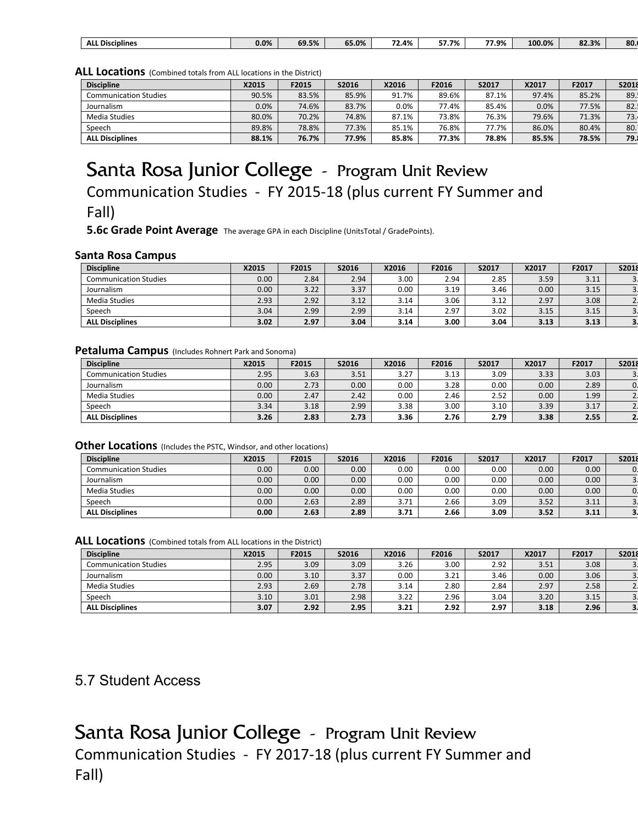| ۔ 9%،<br>0.0%<br>the contract of the contract of the |
|------------------------------------------------------|
|------------------------------------------------------|

#### **ALL Locations** (Combined totals from ALL locations in the District)

| <b>Discipline</b>            | X2015 | F2015 | S2016 | X2016   | F2016 | S2017 | X2017 | F2017 | S2018 |
|------------------------------|-------|-------|-------|---------|-------|-------|-------|-------|-------|
| <b>Communication Studies</b> | 90.5% | 83.5% | 85.9% | 91.7%   | 89.6% | 87.1% | 97.4% | 85.2% | 89.   |
| Journalism                   | 0.0%  | 74.6% | 83.7% | $0.0\%$ | 77.4% | 85.4% | 0.0%  | 77.5% | 82.   |
| Media Studies                | 80.0% | 70.2% | 74.8% | 87.1%   | 73.8% | 76.3% | 79.6% | 71.3% | 73.1  |
| Speech                       | 89.8% | 78.8% | 77.3% | 85.1%   | 76.8% | 77.7% | 86.0% | 80.4% | 80.1  |
| <b>ALL Disciplines</b>       | 88.1% | 76.7% | 77.9% | 85.8%   | 77.3% | 78.8% | 85.5% | 78.5% | 79.   |

# Santa Rosa Junior College - Program Unit Review Communication Studies - FY 2015-18 (plus current FY Summer and Fall)

**5.6c Grade Point Average** The average GPA in each Discipline (UnitsTotal / GradePoints).

#### **Santa Rosa Campus**

| <b>Discipline</b>            | X2015 | F2015 | S2016 | X2016 | F2016 | S2017 | X2017             | F2017 | S2018 |
|------------------------------|-------|-------|-------|-------|-------|-------|-------------------|-------|-------|
| <b>Communication Studies</b> | 0.00  | 2.84  | 2.94  | 3.00  | 2.94  | 2.85  | 3.59              | 3.11  |       |
| Journalism                   | 0.00  | 3.22  | 3.37  | 0.00  | 3.19  | 3.46  | 0.00 <sub>1</sub> | 3.15  |       |
| Media Studies                | 2.93  | 2.92  | 3.12  | 3.14  | 3.06  | 3.12  | 2.97              | 3.08  |       |
| Speech                       | 3.04  | 2.99  | 2.99  | 3.14  | 2.97  | 3.02  | 3.15              | 3.15  |       |
| <b>ALL Disciplines</b>       | 3.02  | 2.97  | 3.04  | 3.14  | 3.00  | 3.04  | 3.13              | 3.13  |       |

#### **Petaluma Campus** (Includes Rohnert Park and Sonoma)

| <b>Discipline</b>            | X2015 | F2015 | S2016             | X2016 | F2016 | S2017 | X2017 | F2017 | S2018 |
|------------------------------|-------|-------|-------------------|-------|-------|-------|-------|-------|-------|
| <b>Communication Studies</b> | 2.95  | 3.63  | 3.51              | 3.27  | 3.13  | 3.09  | 3.33  | 3.03  |       |
| Journalism                   | 0.00  | 2.73  | 0.00 <sub>1</sub> | 0.00  | 3.28  | 0.00  | 0.00  | 2.89  |       |
| Media Studies                | 0.00  | 2.47  | 2.42              | 0.00  | 2.46  | 2.52  | 0.00  | 1.99  |       |
| Speech                       | 3.34  | 3.18  | 2.99              | 3.38  | 3.00  | 3.10  | 3.39  | 3.17  |       |
| <b>ALL Disciplines</b>       | 3.26  | 2.83  | 2.73              | 3.36  | 2.76  | 2.79  | 3.38  | 2.55  |       |

#### **Other Locations** (Includes the PSTC, Windsor, and other locations)

| <b>Discipline</b>            | X2015 | F2015 | S2016             | X2016 | F2016 | S2017 | X2017 | F2017 | S2018 |
|------------------------------|-------|-------|-------------------|-------|-------|-------|-------|-------|-------|
| <b>Communication Studies</b> | 0.00  | 0.00  | 0.00 <sub>1</sub> | 0.00  | 0.00  | 0.00  | 0.00  | 0.00  |       |
| Journalism                   | 0.00  | 0.00  | $0.00\,$          | 0.00  | 0.00  | 0.00  | 0.00  | 0.00  |       |
| Media Studies                | 0.00  | 0.00  | 0.00 <sub>1</sub> | 0.00  | 0.00  | 0.00  | 0.00  | 0.00  |       |
| Speech                       | 0.00  | 2.63  | 2.89              | 3.71  | 2.66  | 3.09  | 3.52  | 3.11  |       |
| <b>ALL Disciplines</b>       | 0.00  | 2.63  | 2.89              | 3.71  | 2.66  | 3.09  | 3.52  | 3.11  |       |

#### **ALL Locations** (Combined totals from ALL locations in the District)

| <b>Discipline</b>            | X2015 | F2015 | S2016 | X2016 | F2016 | S2017 | X2017 | F2017 | S2018 |
|------------------------------|-------|-------|-------|-------|-------|-------|-------|-------|-------|
| <b>Communication Studies</b> | 2.95  | 3.09  | 3.09  | 3.26  | 3.00  | 2.92  | 3.51  | 3.08  |       |
| Journalism                   | 0.00  | 3.10  | 3.37  | 0.00  | 3.21  | 3.46  | 0.00  | 3.06  |       |
| Media Studies                | 2.93  | 2.69  | 2.78  | 3.14  | 2.80  | 2.84  | 2.97  | 2.58  |       |
| Speech                       | 3.10  | 3.01  | 2.98  | 3.22  | 2.96  | 3.04  | 3.20  | 3.15  |       |
| <b>ALL Disciplines</b>       | 3.07  | 2.92  | 2.95  | 3.21  | 2.92  | 2.97  | 3.18  | 2.96  |       |

### 5.7 Student Access

Santa Rosa Junior College - Program Unit Review Communication Studies - FY 2017-18 (plus current FY Summer and Fall)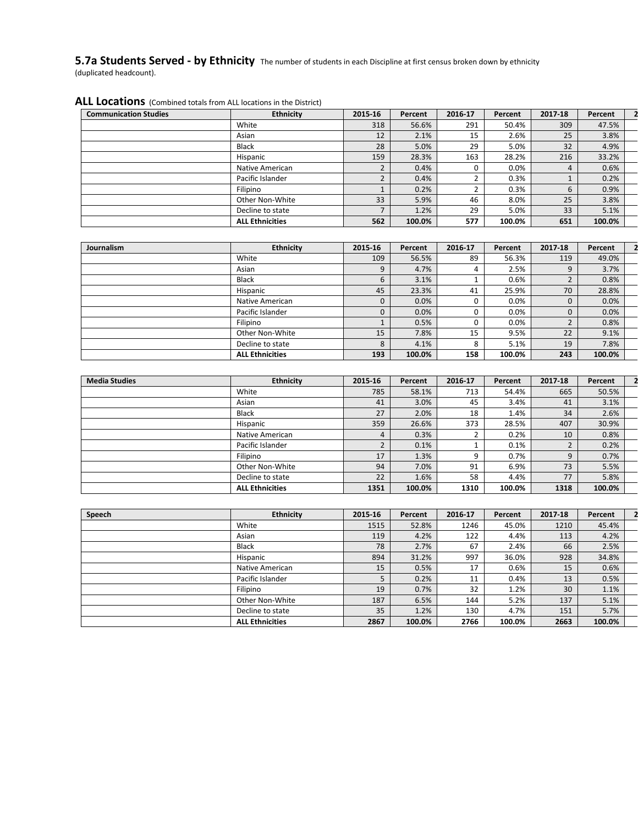#### **5.7a Students Served - by Ethnicity** The number of students in each Discipline at first census broken down by ethnicity (duplicated headcount).

#### **ALL Locations** (Combined totals from ALL locations in the District)

| <b>Communication Studies</b> | <b>Ethnicity</b>       | 2015-16 | Percent | 2016-17 | Percent | 2017-18 | Percent |  |
|------------------------------|------------------------|---------|---------|---------|---------|---------|---------|--|
|                              | White                  | 318     | 56.6%   | 291     | 50.4%   | 309     | 47.5%   |  |
|                              | Asian                  | 12      | 2.1%    | 15      | 2.6%    | 25      | 3.8%    |  |
|                              | Black                  | 28      | 5.0%    | 29      | 5.0%    | 32      | 4.9%    |  |
|                              | Hispanic               | 159     | 28.3%   | 163     | 28.2%   | 216     | 33.2%   |  |
|                              | Native American        |         | 0.4%    |         | 0.0%    | 4       | 0.6%    |  |
|                              | Pacific Islander       |         | 0.4%    |         | 0.3%    |         | 0.2%    |  |
|                              | Filipino               |         | 0.2%    |         | 0.3%    | b       | 0.9%    |  |
|                              | Other Non-White        | 33      | 5.9%    | 46      | 8.0%    | 25      | 3.8%    |  |
|                              | Decline to state       |         | 1.2%    | 29      | 5.0%    | 33      | 5.1%    |  |
|                              | <b>ALL Ethnicities</b> | 562     | 100.0%  | 577     | 100.0%  | 651     | 100.0%  |  |

| Journalism | <b>Ethnicity</b>       | 2015-16 | Percent | 2016-17 | Percent | 2017-18 | Percent |  |
|------------|------------------------|---------|---------|---------|---------|---------|---------|--|
|            | White                  | 109     | 56.5%   | 89      | 56.3%   | 119     | 49.0%   |  |
|            | Asian                  | 9       | 4.7%    | 4       | 2.5%    | 9       | 3.7%    |  |
|            | <b>Black</b>           | b       | 3.1%    |         | 0.6%    |         | 0.8%    |  |
|            | Hispanic               | 45      | 23.3%   | 41      | 25.9%   | 70      | 28.8%   |  |
|            | Native American        | 0       | 0.0%    |         | 0.0%    | 0       | 0.0%    |  |
|            | Pacific Islander       | 0       | 0.0%    |         | 0.0%    |         | 0.0%    |  |
|            | Filipino               |         | 0.5%    |         | 0.0%    |         | 0.8%    |  |
|            | Other Non-White        | 15      | 7.8%    | 15      | 9.5%    | 22      | 9.1%    |  |
|            | Decline to state       | 8       | 4.1%    | 8       | 5.1%    | 19      | 7.8%    |  |
|            | <b>ALL Ethnicities</b> | 193     | 100.0%  | 158     | 100.0%  | 243     | 100.0%  |  |

| <b>Media Studies</b> | <b>Ethnicity</b>       | 2015-16 | Percent | 2016-17 | Percent | 2017-18 | Percent |  |
|----------------------|------------------------|---------|---------|---------|---------|---------|---------|--|
|                      | White                  | 785     | 58.1%   | 713     | 54.4%   | 665     | 50.5%   |  |
|                      | Asian                  | 41      | 3.0%    | 45      | 3.4%    | 41      | 3.1%    |  |
|                      | <b>Black</b>           | 27      | 2.0%    | 18      | 1.4%    | 34      | 2.6%    |  |
|                      | Hispanic               | 359     | 26.6%   | 373     | 28.5%   | 407     | 30.9%   |  |
|                      | Native American        | 4       | 0.3%    |         | 0.2%    | 10      | 0.8%    |  |
|                      | Pacific Islander       | ∍       | 0.1%    |         | 0.1%    | ∍       | 0.2%    |  |
|                      | Filipino               | 17      | 1.3%    | 9       | 0.7%    | 9       | 0.7%    |  |
|                      | Other Non-White        | 94      | 7.0%    | 91      | 6.9%    | 73      | 5.5%    |  |
|                      | Decline to state       | 22      | 1.6%    | 58      | 4.4%    | 77      | 5.8%    |  |
|                      | <b>ALL Ethnicities</b> | 1351    | 100.0%  | 1310    | 100.0%  | 1318    | 100.0%  |  |

| Speech | <b>Ethnicity</b>       | 2015-16 | Percent | 2016-17 | Percent | 2017-18 | Percent |  |
|--------|------------------------|---------|---------|---------|---------|---------|---------|--|
|        | White                  | 1515    | 52.8%   | 1246    | 45.0%   | 1210    | 45.4%   |  |
|        | Asian                  | 119     | 4.2%    | 122     | 4.4%    | 113     | 4.2%    |  |
|        | Black                  | 78      | 2.7%    | 67      | 2.4%    | 66      | 2.5%    |  |
|        | Hispanic               | 894     | 31.2%   | 997     | 36.0%   | 928     | 34.8%   |  |
|        | Native American        | 15      | 0.5%    | 17      | 0.6%    | 15      | 0.6%    |  |
|        | Pacific Islander       |         | 0.2%    | 11      | 0.4%    | 13      | 0.5%    |  |
|        | Filipino               | 19      | 0.7%    | 32      | 1.2%    | 30      | 1.1%    |  |
|        | Other Non-White        | 187     | 6.5%    | 144     | 5.2%    | 137     | 5.1%    |  |
|        | Decline to state       | 35      | 1.2%    | 130     | 4.7%    | 151     | 5.7%    |  |
|        | <b>ALL Ethnicities</b> | 2867    | 100.0%  | 2766    | 100.0%  | 2663    | 100.0%  |  |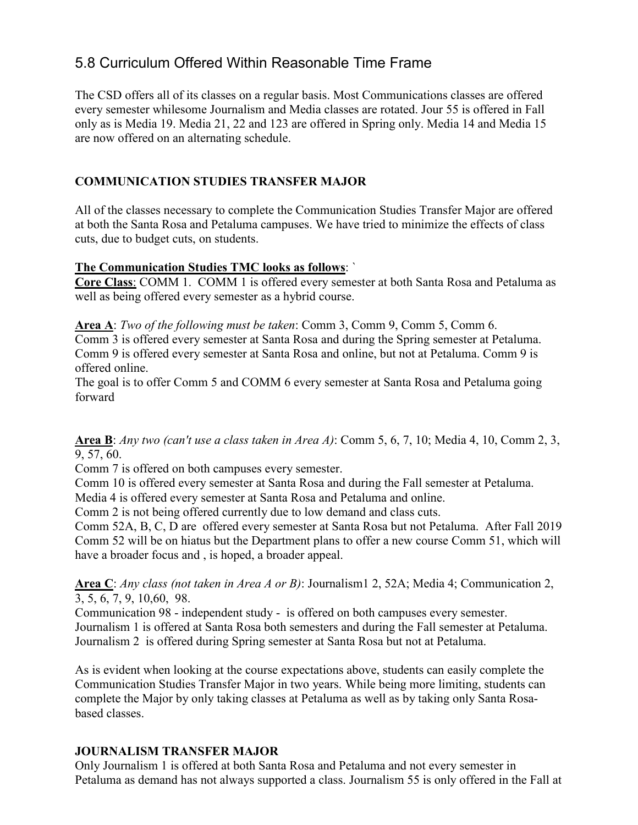## 5.8 Curriculum Offered Within Reasonable Time Frame

The CSD offers all of its classes on a regular basis. Most Communications classes are offered every semester whilesome Journalism and Media classes are rotated. Jour 55 is offered in Fall only as is Media 19. Media 21, 22 and 123 are offered in Spring only. Media 14 and Media 15 are now offered on an alternating schedule.

### **COMMUNICATION STUDIES TRANSFER MAJOR**

All of the classes necessary to complete the Communication Studies Transfer Major are offered at both the Santa Rosa and Petaluma campuses. We have tried to minimize the effects of class cuts, due to budget cuts, on students.

#### **The Communication Studies TMC looks as follows**: `

**Core Class**: COMM 1. COMM 1 is offered every semester at both Santa Rosa and Petaluma as well as being offered every semester as a hybrid course.

**Area A**: *Two of the following must be taken*: Comm 3, Comm 9, Comm 5, Comm 6.

Comm 3 is offered every semester at Santa Rosa and during the Spring semester at Petaluma. Comm 9 is offered every semester at Santa Rosa and online, but not at Petaluma. Comm 9 is offered online.

The goal is to offer Comm 5 and COMM 6 every semester at Santa Rosa and Petaluma going forward

**Area B**: *Any two (can't use a class taken in Area A)*: Comm 5, 6, 7, 10; Media 4, 10, Comm 2, 3, 9, 57, 60.

Comm 7 is offered on both campuses every semester.

Comm 10 is offered every semester at Santa Rosa and during the Fall semester at Petaluma.

Media 4 is offered every semester at Santa Rosa and Petaluma and online.

Comm 2 is not being offered currently due to low demand and class cuts.

Comm 52A, B, C, D are offered every semester at Santa Rosa but not Petaluma. After Fall 2019 Comm 52 will be on hiatus but the Department plans to offer a new course Comm 51, which will have a broader focus and , is hoped, a broader appeal.

**Area C**: *Any class (not taken in Area A or B)*: Journalism1 2, 52A; Media 4; Communication 2, 3, 5, 6, 7, 9, 10,60, 98.

Communication 98 - independent study - is offered on both campuses every semester. Journalism 1 is offered at Santa Rosa both semesters and during the Fall semester at Petaluma. Journalism 2 is offered during Spring semester at Santa Rosa but not at Petaluma.

As is evident when looking at the course expectations above, students can easily complete the Communication Studies Transfer Major in two years. While being more limiting, students can complete the Major by only taking classes at Petaluma as well as by taking only Santa Rosabased classes.

### **JOURNALISM TRANSFER MAJOR**

Only Journalism 1 is offered at both Santa Rosa and Petaluma and not every semester in Petaluma as demand has not always supported a class. Journalism 55 is only offered in the Fall at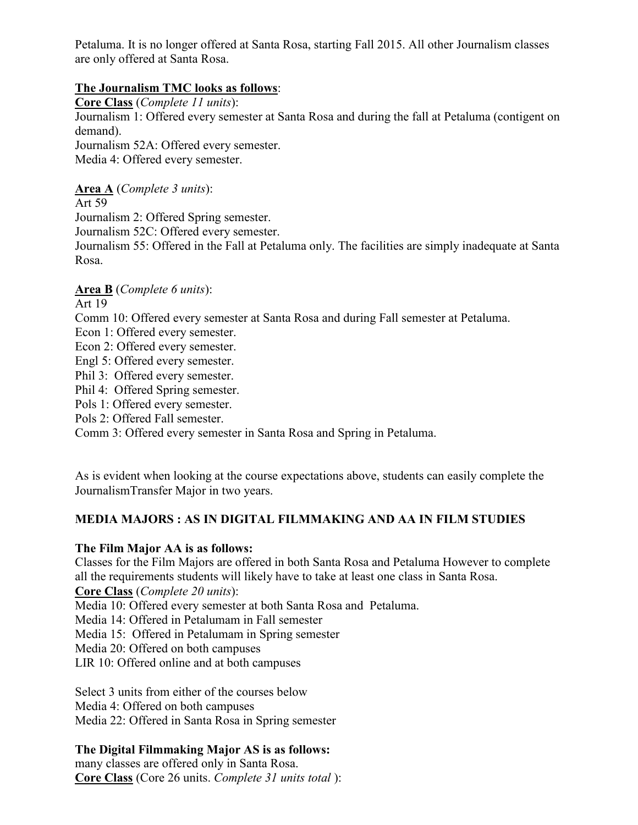Petaluma. It is no longer offered at Santa Rosa, starting Fall 2015. All other Journalism classes are only offered at Santa Rosa.

### **The Journalism TMC looks as follows**:

**Core Class** (*Complete 11 units*): Journalism 1: Offered every semester at Santa Rosa and during the fall at Petaluma (contigent on demand). Journalism 52A: Offered every semester. Media 4: Offered every semester.

**Area A** (*Complete 3 units*):

Art 59

Journalism 2: Offered Spring semester.

Journalism 52C: Offered every semester.

Journalism 55: Offered in the Fall at Petaluma only. The facilities are simply inadequate at Santa Rosa.

### **Area B** (*Complete 6 units*):

Art 19

Comm 10: Offered every semester at Santa Rosa and during Fall semester at Petaluma.

Econ 1: Offered every semester.

Econ 2: Offered every semester.

Engl 5: Offered every semester.

Phil 3: Offered every semester.

Phil 4: Offered Spring semester.

Pols 1: Offered every semester.

Pols 2: Offered Fall semester.

Comm 3: Offered every semester in Santa Rosa and Spring in Petaluma.

As is evident when looking at the course expectations above, students can easily complete the JournalismTransfer Major in two years.

### **MEDIA MAJORS : AS IN DIGITAL FILMMAKING AND AA IN FILM STUDIES**

### **The Film Major AA is as follows:**

Classes for the Film Majors are offered in both Santa Rosa and Petaluma However to complete all the requirements students will likely have to take at least one class in Santa Rosa.

**Core Class** (*Complete 20 units*):

Media 10: Offered every semester at both Santa Rosa and Petaluma.

Media 14: Offered in Petalumam in Fall semester

Media 15: Offered in Petalumam in Spring semester

Media 20: Offered on both campuses

LIR 10: Offered online and at both campuses

Select 3 units from either of the courses below Media 4: Offered on both campuses Media 22: Offered in Santa Rosa in Spring semester

### **The Digital Filmmaking Major AS is as follows:**

many classes are offered only in Santa Rosa. **Core Class** (Core 26 units. *Complete 31 units total* ):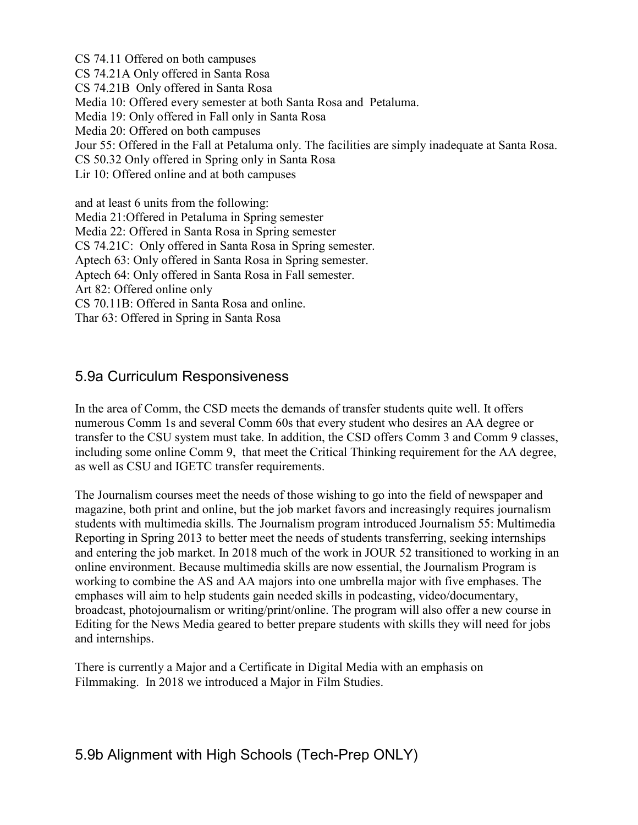CS 74.11 Offered on both campuses CS 74.21A Only offered in Santa Rosa CS 74.21B Only offered in Santa Rosa Media 10: Offered every semester at both Santa Rosa and Petaluma. Media 19: Only offered in Fall only in Santa Rosa Media 20: Offered on both campuses Jour 55: Offered in the Fall at Petaluma only. The facilities are simply inadequate at Santa Rosa. CS 50.32 Only offered in Spring only in Santa Rosa Lir 10: Offered online and at both campuses and at least 6 units from the following: Media 21:Offered in Petaluma in Spring semester Media 22: Offered in Santa Rosa in Spring semester CS 74.21C: Only offered in Santa Rosa in Spring semester. Aptech 63: Only offered in Santa Rosa in Spring semester.

Aptech 64: Only offered in Santa Rosa in Fall semester.

Art 82: Offered online only

CS 70.11B: Offered in Santa Rosa and online.

Thar 63: Offered in Spring in Santa Rosa

### 5.9a Curriculum Responsiveness

In the area of Comm, the CSD meets the demands of transfer students quite well. It offers numerous Comm 1s and several Comm 60s that every student who desires an AA degree or transfer to the CSU system must take. In addition, the CSD offers Comm 3 and Comm 9 classes, including some online Comm 9, that meet the Critical Thinking requirement for the AA degree, as well as CSU and IGETC transfer requirements.

The Journalism courses meet the needs of those wishing to go into the field of newspaper and magazine, both print and online, but the job market favors and increasingly requires journalism students with multimedia skills. The Journalism program introduced Journalism 55: Multimedia Reporting in Spring 2013 to better meet the needs of students transferring, seeking internships and entering the job market. In 2018 much of the work in JOUR 52 transitioned to working in an online environment. Because multimedia skills are now essential, the Journalism Program is working to combine the AS and AA majors into one umbrella major with five emphases. The emphases will aim to help students gain needed skills in podcasting, video/documentary, broadcast, photojournalism or writing/print/online. The program will also offer a new course in Editing for the News Media geared to better prepare students with skills they will need for jobs and internships.

There is currently a Major and a Certificate in Digital Media with an emphasis on Filmmaking. In 2018 we introduced a Major in Film Studies.

## 5.9b Alignment with High Schools (Tech-Prep ONLY)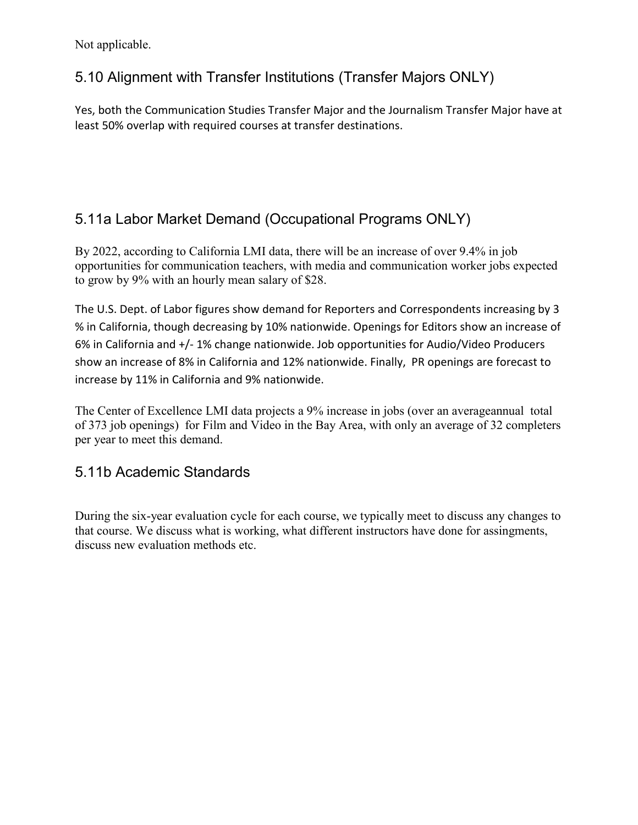Not applicable.

# 5.10 Alignment with Transfer Institutions (Transfer Majors ONLY)

Yes, both the Communication Studies Transfer Major and the Journalism Transfer Major have at least 50% overlap with required courses at transfer destinations.

# 5.11a Labor Market Demand (Occupational Programs ONLY)

By 2022, according to California LMI data, there will be an increase of over 9.4% in job opportunities for communication teachers, with media and communication worker jobs expected to grow by 9% with an hourly mean salary of \$28.

The U.S. Dept. of Labor figures show demand for Reporters and Correspondents increasing by 3 % in California, though decreasing by 10% nationwide. Openings for Editors show an increase of 6% in California and +/- 1% change nationwide. Job opportunities for Audio/Video Producers show an increase of 8% in California and 12% nationwide. Finally, PR openings are forecast to increase by 11% in California and 9% nationwide.

The Center of Excellence LMI data projects a 9% increase in jobs (over an averageannual total of 373 job openings) for Film and Video in the Bay Area, with only an average of 32 completers per year to meet this demand.

## 5.11b Academic Standards

During the six-year evaluation cycle for each course, we typically meet to discuss any changes to that course. We discuss what is working, what different instructors have done for assingments, discuss new evaluation methods etc.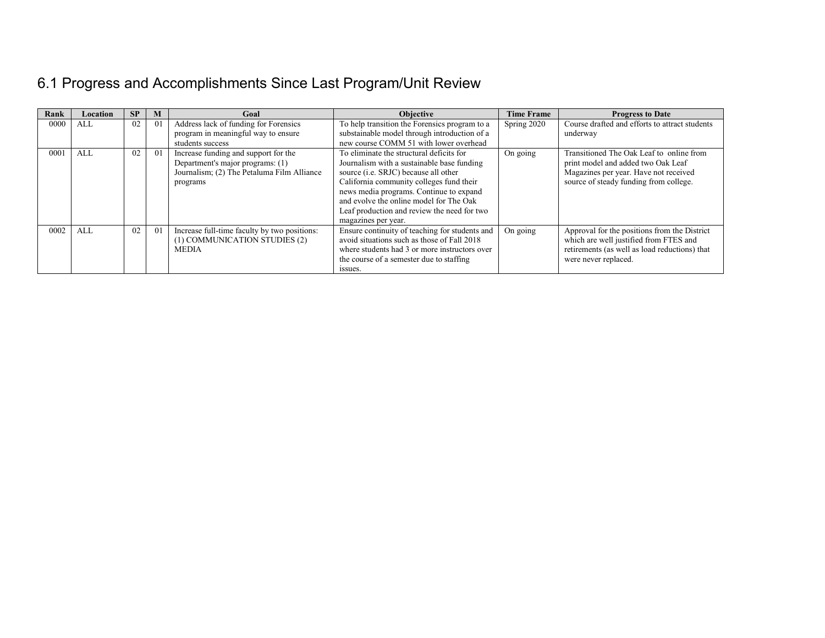# 6.1 Progress and Accomplishments Since Last Program/Unit Review

| Rank | Location | <b>SP</b> | M  | Goal                                                                                                                               | <b>Objective</b>                                                                                                                                                                                                                                                                                                                               | <b>Time Frame</b> | <b>Progress to Date</b>                                                                                                                                           |
|------|----------|-----------|----|------------------------------------------------------------------------------------------------------------------------------------|------------------------------------------------------------------------------------------------------------------------------------------------------------------------------------------------------------------------------------------------------------------------------------------------------------------------------------------------|-------------------|-------------------------------------------------------------------------------------------------------------------------------------------------------------------|
| 0000 | ALL      | 02        | 01 | Address lack of funding for Forensics<br>program in meaningful way to ensure<br>students success                                   | To help transition the Forensics program to a<br>substainable model through introduction of a<br>new course COMM 51 with lower overhead                                                                                                                                                                                                        | Spring 2020       | Course drafted and efforts to attract students<br>underway                                                                                                        |
| 0001 | ALL      | 02        | 01 | Increase funding and support for the<br>Department's major programs: (1)<br>Journalism; (2) The Petaluma Film Alliance<br>programs | To eliminate the structural deficits for<br>Journalism with a sustainable base funding<br>source ( <i>i.e.</i> SRJC) because all other<br>California community colleges fund their<br>news media programs. Continue to expand<br>and evolve the online model for The Oak<br>Leaf production and review the need for two<br>magazines per year. | On going          | Transitioned The Oak Leaf to online from<br>print model and added two Oak Leaf<br>Magazines per year. Have not received<br>source of steady funding from college. |
| 0002 | ALL      | 02        | 01 | Increase full-time faculty by two positions:<br>(1) COMMUNICATION STUDIES (2)<br><b>MEDIA</b>                                      | Ensure continuity of teaching for students and<br>avoid situations such as those of Fall 2018<br>where students had 3 or more instructors over<br>the course of a semester due to staffing<br>issues.                                                                                                                                          | On going          | Approval for the positions from the District<br>which are well justified from FTES and<br>retirements (as well as load reductions) that<br>were never replaced.   |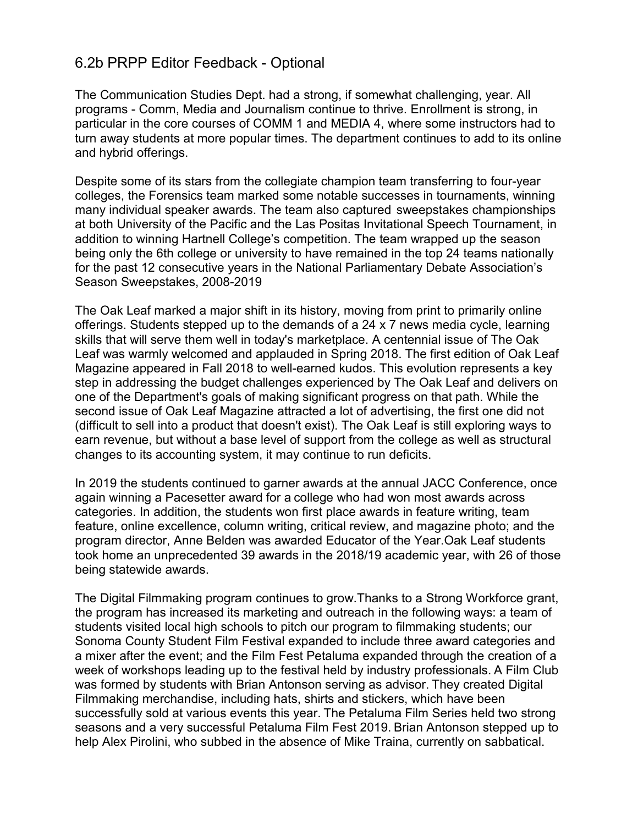### 6.2b PRPP Editor Feedback - Optional

The Communication Studies Dept. had a strong, if somewhat challenging, year. All programs - Comm, Media and Journalism continue to thrive. Enrollment is strong, in particular in the core courses of COMM 1 and MEDIA 4, where some instructors had to turn away students at more popular times. The department continues to add to its online and hybrid offerings.

Despite some of its stars from the collegiate champion team transferring to four-year colleges, the Forensics team marked some notable successes in tournaments, winning many individual speaker awards. The team also captured sweepstakes championships at both University of the Pacific and the Las Positas Invitational Speech Tournament, in addition to winning Hartnell College's competition. The team wrapped up the season being only the 6th college or university to have remained in the top 24 teams nationally for the past 12 consecutive years in the National Parliamentary Debate Association's Season Sweepstakes, 2008-2019

The Oak Leaf marked a major shift in its history, moving from print to primarily online offerings. Students stepped up to the demands of a 24 x 7 news media cycle, learning skills that will serve them well in today's marketplace. A centennial issue of The Oak Leaf was warmly welcomed and applauded in Spring 2018. The first edition of Oak Leaf Magazine appeared in Fall 2018 to well-earned kudos. This evolution represents a key step in addressing the budget challenges experienced by The Oak Leaf and delivers on one of the Department's goals of making significant progress on that path. While the second issue of Oak Leaf Magazine attracted a lot of advertising, the first one did not (difficult to sell into a product that doesn't exist). The Oak Leaf is still exploring ways to earn revenue, but without a base level of support from the college as well as structural changes to its accounting system, it may continue to run deficits.

In 2019 the students continued to garner awards at the annual JACC Conference, once again winning a Pacesetter award for a college who had won most awards across categories. In addition, the students won first place awards in feature writing, team feature, online excellence, column writing, critical review, and magazine photo; and the program director, Anne Belden was awarded Educator of the Year.Oak Leaf students took home an unprecedented 39 awards in the 2018/19 academic year, with 26 of those being statewide awards.

The Digital Filmmaking program continues to grow.Thanks to a Strong Workforce grant, the program has increased its marketing and outreach in the following ways: a team of students visited local high schools to pitch our program to filmmaking students; our Sonoma County Student Film Festival expanded to include three award categories and a mixer after the event; and the Film Fest Petaluma expanded through the creation of a week of workshops leading up to the festival held by industry professionals. A Film Club was formed by students with Brian Antonson serving as advisor. They created Digital Filmmaking merchandise, including hats, shirts and stickers, which have been successfully sold at various events this year. The Petaluma Film Series held two strong seasons and a very successful Petaluma Film Fest 2019. Brian Antonson stepped up to help Alex Pirolini, who subbed in the absence of Mike Traina, currently on sabbatical.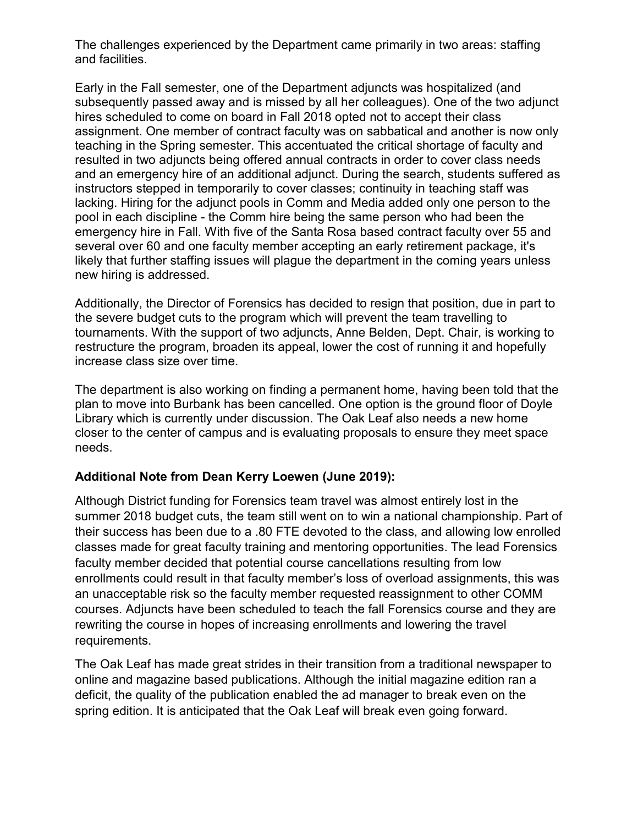The challenges experienced by the Department came primarily in two areas: staffing and facilities.

Early in the Fall semester, one of the Department adjuncts was hospitalized (and subsequently passed away and is missed by all her colleagues). One of the two adjunct hires scheduled to come on board in Fall 2018 opted not to accept their class assignment. One member of contract faculty was on sabbatical and another is now only teaching in the Spring semester. This accentuated the critical shortage of faculty and resulted in two adjuncts being offered annual contracts in order to cover class needs and an emergency hire of an additional adjunct. During the search, students suffered as instructors stepped in temporarily to cover classes; continuity in teaching staff was lacking. Hiring for the adjunct pools in Comm and Media added only one person to the pool in each discipline - the Comm hire being the same person who had been the emergency hire in Fall. With five of the Santa Rosa based contract faculty over 55 and several over 60 and one faculty member accepting an early retirement package, it's likely that further staffing issues will plague the department in the coming years unless new hiring is addressed.

Additionally, the Director of Forensics has decided to resign that position, due in part to the severe budget cuts to the program which will prevent the team travelling to tournaments. With the support of two adjuncts, Anne Belden, Dept. Chair, is working to restructure the program, broaden its appeal, lower the cost of running it and hopefully increase class size over time.

The department is also working on finding a permanent home, having been told that the plan to move into Burbank has been cancelled. One option is the ground floor of Doyle Library which is currently under discussion. The Oak Leaf also needs a new home closer to the center of campus and is evaluating proposals to ensure they meet space needs.

### **Additional Note from Dean Kerry Loewen (June 2019):**

Although District funding for Forensics team travel was almost entirely lost in the summer 2018 budget cuts, the team still went on to win a national championship. Part of their success has been due to a .80 FTE devoted to the class, and allowing low enrolled classes made for great faculty training and mentoring opportunities. The lead Forensics faculty member decided that potential course cancellations resulting from low enrollments could result in that faculty member's loss of overload assignments, this was an unacceptable risk so the faculty member requested reassignment to other COMM courses. Adjuncts have been scheduled to teach the fall Forensics course and they are rewriting the course in hopes of increasing enrollments and lowering the travel requirements.

The Oak Leaf has made great strides in their transition from a traditional newspaper to online and magazine based publications. Although the initial magazine edition ran a deficit, the quality of the publication enabled the ad manager to break even on the spring edition. It is anticipated that the Oak Leaf will break even going forward.